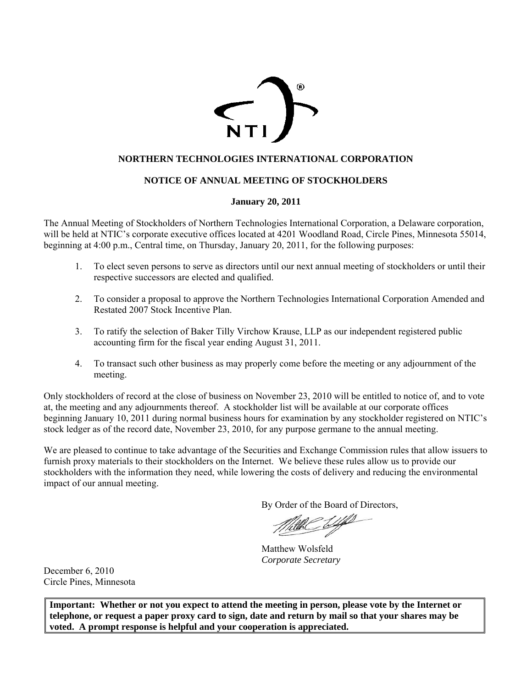

# **NORTHERN TECHNOLOGIES INTERNATIONAL CORPORATION**

# **NOTICE OF ANNUAL MEETING OF STOCKHOLDERS**

## **January 20, 2011**

The Annual Meeting of Stockholders of Northern Technologies International Corporation, a Delaware corporation, will be held at NTIC's corporate executive offices located at 4201 Woodland Road, Circle Pines, Minnesota 55014, beginning at 4:00 p.m., Central time, on Thursday, January 20, 2011, for the following purposes:

- 1. To elect seven persons to serve as directors until our next annual meeting of stockholders or until their respective successors are elected and qualified.
- 2. To consider a proposal to approve the Northern Technologies International Corporation Amended and Restated 2007 Stock Incentive Plan.
- 3. To ratify the selection of Baker Tilly Virchow Krause, LLP as our independent registered public accounting firm for the fiscal year ending August 31, 2011.
- 4. To transact such other business as may properly come before the meeting or any adjournment of the meeting.

Only stockholders of record at the close of business on November 23, 2010 will be entitled to notice of, and to vote at, the meeting and any adjournments thereof. A stockholder list will be available at our corporate offices beginning January 10, 2011 during normal business hours for examination by any stockholder registered on NTIC's stock ledger as of the record date, November 23, 2010, for any purpose germane to the annual meeting.

We are pleased to continue to take advantage of the Securities and Exchange Commission rules that allow issuers to furnish proxy materials to their stockholders on the Internet. We believe these rules allow us to provide our stockholders with the information they need, while lowering the costs of delivery and reducing the environmental impact of our annual meeting.

By Order of the Board of Directors,

the Wy

Matthew Wolsfeld *Corporate Secretary* 

December 6, 2010 Circle Pines, Minnesota

**Important: Whether or not you expect to attend the meeting in person, please vote by the Internet or telephone, or request a paper proxy card to sign, date and return by mail so that your shares may be voted. A prompt response is helpful and your cooperation is appreciated.**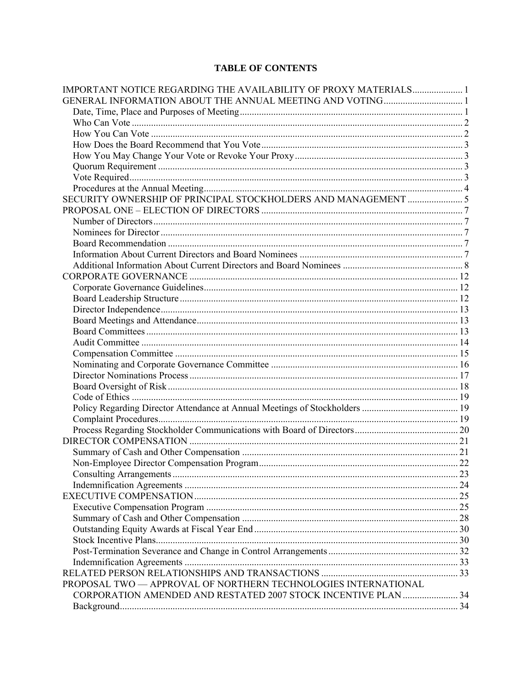# **TABLE OF CONTENTS**

| IMPORTANT NOTICE REGARDING THE AVAILABILITY OF PROXY MATERIALS 1 |  |
|------------------------------------------------------------------|--|
|                                                                  |  |
|                                                                  |  |
|                                                                  |  |
|                                                                  |  |
|                                                                  |  |
|                                                                  |  |
|                                                                  |  |
|                                                                  |  |
|                                                                  |  |
|                                                                  |  |
|                                                                  |  |
|                                                                  |  |
|                                                                  |  |
|                                                                  |  |
|                                                                  |  |
|                                                                  |  |
|                                                                  |  |
|                                                                  |  |
|                                                                  |  |
|                                                                  |  |
|                                                                  |  |
|                                                                  |  |
|                                                                  |  |
|                                                                  |  |
|                                                                  |  |
|                                                                  |  |
|                                                                  |  |
|                                                                  |  |
|                                                                  |  |
|                                                                  |  |
|                                                                  |  |
|                                                                  |  |
|                                                                  |  |
|                                                                  |  |
|                                                                  |  |
|                                                                  |  |
|                                                                  |  |
|                                                                  |  |
|                                                                  |  |
|                                                                  |  |
|                                                                  |  |
|                                                                  |  |
|                                                                  |  |
|                                                                  |  |
| PROPOSAL TWO - APPROVAL OF NORTHERN TECHNOLOGIES INTERNATIONAL   |  |
| CORPORATION AMENDED AND RESTATED 2007 STOCK INCENTIVE PLAN  34   |  |
|                                                                  |  |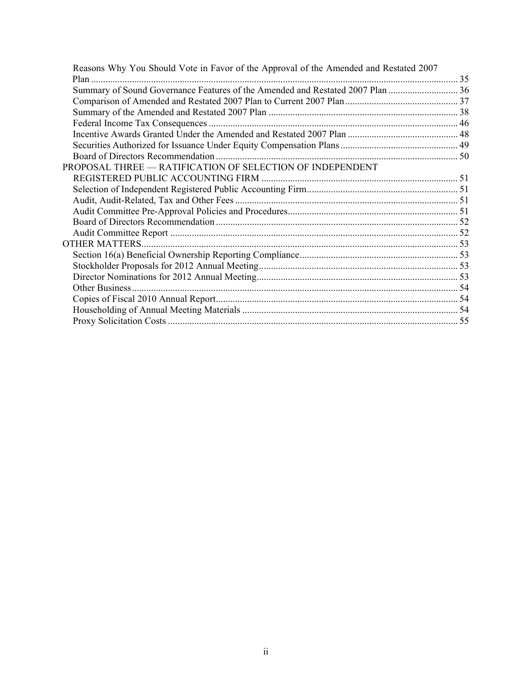| Reasons Why You Should Vote in Favor of the Approval of the Amended and Restated 2007 |  |
|---------------------------------------------------------------------------------------|--|
|                                                                                       |  |
| Summary of Sound Governance Features of the Amended and Restated 2007 Plan  36        |  |
|                                                                                       |  |
|                                                                                       |  |
|                                                                                       |  |
|                                                                                       |  |
|                                                                                       |  |
|                                                                                       |  |
| PROPOSAL THREE - RATIFICATION OF SELECTION OF INDEPENDENT                             |  |
|                                                                                       |  |
|                                                                                       |  |
|                                                                                       |  |
|                                                                                       |  |
|                                                                                       |  |
|                                                                                       |  |
|                                                                                       |  |
|                                                                                       |  |
|                                                                                       |  |
|                                                                                       |  |
|                                                                                       |  |
|                                                                                       |  |
|                                                                                       |  |
|                                                                                       |  |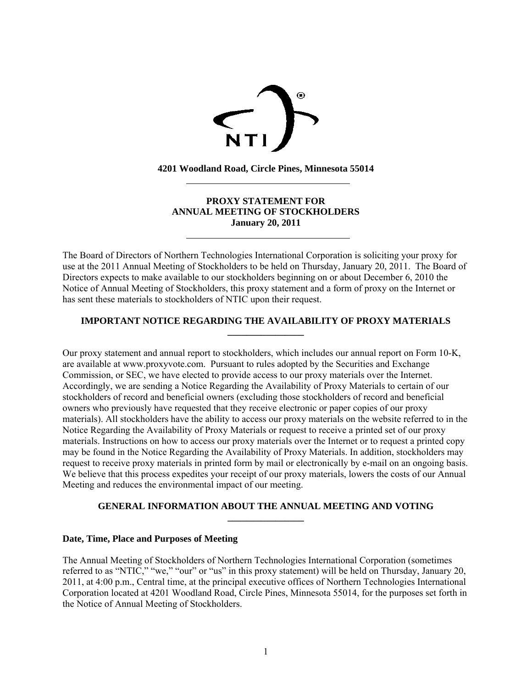

**4201 Woodland Road, Circle Pines, Minnesota 55014** 

 $\overline{a}$ 

 $\overline{a}$ 

# **PROXY STATEMENT FOR ANNUAL MEETING OF STOCKHOLDERS January 20, 2011**

The Board of Directors of Northern Technologies International Corporation is soliciting your proxy for use at the 2011 Annual Meeting of Stockholders to be held on Thursday, January 20, 2011. The Board of Directors expects to make available to our stockholders beginning on or about December 6, 2010 the Notice of Annual Meeting of Stockholders, this proxy statement and a form of proxy on the Internet or has sent these materials to stockholders of NTIC upon their request.

## **IMPORTANT NOTICE REGARDING THE AVAILABILITY OF PROXY MATERIALS \_\_\_\_\_\_\_\_\_\_\_\_\_\_\_\_**

Our proxy statement and annual report to stockholders, which includes our annual report on Form 10-K, are available at www.proxyvote.com. Pursuant to rules adopted by the Securities and Exchange Commission, or SEC, we have elected to provide access to our proxy materials over the Internet. Accordingly, we are sending a Notice Regarding the Availability of Proxy Materials to certain of our stockholders of record and beneficial owners (excluding those stockholders of record and beneficial owners who previously have requested that they receive electronic or paper copies of our proxy materials). All stockholders have the ability to access our proxy materials on the website referred to in the Notice Regarding the Availability of Proxy Materials or request to receive a printed set of our proxy materials. Instructions on how to access our proxy materials over the Internet or to request a printed copy may be found in the Notice Regarding the Availability of Proxy Materials. In addition, stockholders may request to receive proxy materials in printed form by mail or electronically by e-mail on an ongoing basis. We believe that this process expedites your receipt of our proxy materials, lowers the costs of our Annual Meeting and reduces the environmental impact of our meeting.

## **GENERAL INFORMATION ABOUT THE ANNUAL MEETING AND VOTING \_\_\_\_\_\_\_\_\_\_\_\_\_\_\_\_**

## **Date, Time, Place and Purposes of Meeting**

The Annual Meeting of Stockholders of Northern Technologies International Corporation (sometimes referred to as "NTIC," "we," "our" or "us" in this proxy statement) will be held on Thursday, January 20, 2011, at 4:00 p.m., Central time, at the principal executive offices of Northern Technologies International Corporation located at 4201 Woodland Road, Circle Pines, Minnesota 55014, for the purposes set forth in the Notice of Annual Meeting of Stockholders.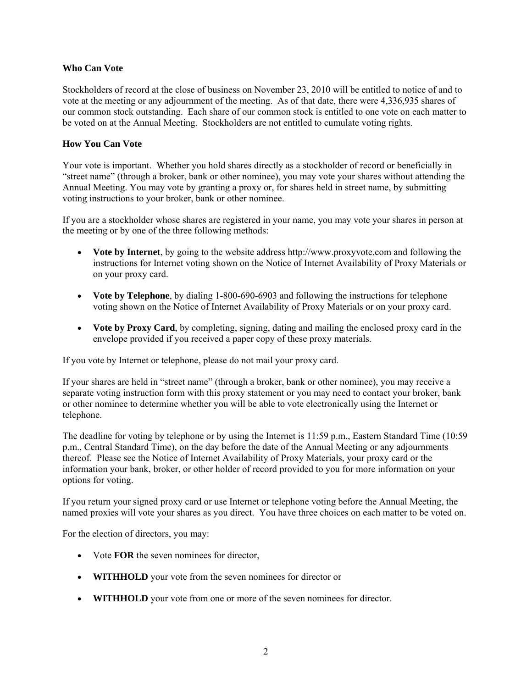## **Who Can Vote**

Stockholders of record at the close of business on November 23, 2010 will be entitled to notice of and to vote at the meeting or any adjournment of the meeting. As of that date, there were 4,336,935 shares of our common stock outstanding. Each share of our common stock is entitled to one vote on each matter to be voted on at the Annual Meeting. Stockholders are not entitled to cumulate voting rights.

# **How You Can Vote**

Your vote is important. Whether you hold shares directly as a stockholder of record or beneficially in "street name" (through a broker, bank or other nominee), you may vote your shares without attending the Annual Meeting. You may vote by granting a proxy or, for shares held in street name, by submitting voting instructions to your broker, bank or other nominee.

If you are a stockholder whose shares are registered in your name, you may vote your shares in person at the meeting or by one of the three following methods:

- **Vote by Internet**, by going to the website address http://www.proxyvote.com and following the instructions for Internet voting shown on the Notice of Internet Availability of Proxy Materials or on your proxy card.
- **Vote by Telephone**, by dialing 1-800-690-6903 and following the instructions for telephone voting shown on the Notice of Internet Availability of Proxy Materials or on your proxy card.
- **Vote by Proxy Card**, by completing, signing, dating and mailing the enclosed proxy card in the envelope provided if you received a paper copy of these proxy materials.

If you vote by Internet or telephone, please do not mail your proxy card.

If your shares are held in "street name" (through a broker, bank or other nominee), you may receive a separate voting instruction form with this proxy statement or you may need to contact your broker, bank or other nominee to determine whether you will be able to vote electronically using the Internet or telephone.

The deadline for voting by telephone or by using the Internet is 11:59 p.m., Eastern Standard Time (10:59 p.m., Central Standard Time), on the day before the date of the Annual Meeting or any adjournments thereof. Please see the Notice of Internet Availability of Proxy Materials, your proxy card or the information your bank, broker, or other holder of record provided to you for more information on your options for voting.

If you return your signed proxy card or use Internet or telephone voting before the Annual Meeting, the named proxies will vote your shares as you direct. You have three choices on each matter to be voted on.

For the election of directors, you may:

- Vote **FOR** the seven nominees for director,
- **WITHHOLD** your vote from the seven nominees for director or
- **WITHHOLD** your vote from one or more of the seven nominees for director.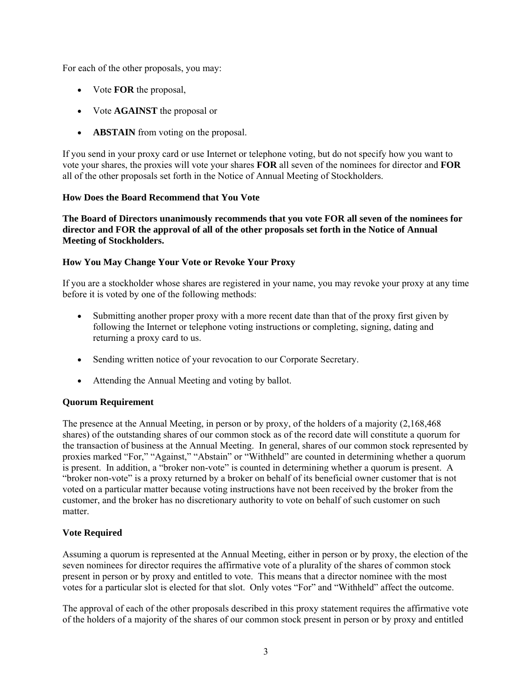For each of the other proposals, you may:

- Vote **FOR** the proposal,
- Vote **AGAINST** the proposal or
- **ABSTAIN** from voting on the proposal.

If you send in your proxy card or use Internet or telephone voting, but do not specify how you want to vote your shares, the proxies will vote your shares **FOR** all seven of the nominees for director and **FOR** all of the other proposals set forth in the Notice of Annual Meeting of Stockholders.

# **How Does the Board Recommend that You Vote**

**The Board of Directors unanimously recommends that you vote FOR all seven of the nominees for director and FOR the approval of all of the other proposals set forth in the Notice of Annual Meeting of Stockholders.** 

# **How You May Change Your Vote or Revoke Your Proxy**

If you are a stockholder whose shares are registered in your name, you may revoke your proxy at any time before it is voted by one of the following methods:

- Submitting another proper proxy with a more recent date than that of the proxy first given by following the Internet or telephone voting instructions or completing, signing, dating and returning a proxy card to us.
- Sending written notice of your revocation to our Corporate Secretary.
- Attending the Annual Meeting and voting by ballot.

# **Quorum Requirement**

The presence at the Annual Meeting, in person or by proxy, of the holders of a majority (2,168,468 shares) of the outstanding shares of our common stock as of the record date will constitute a quorum for the transaction of business at the Annual Meeting. In general, shares of our common stock represented by proxies marked "For," "Against," "Abstain" or "Withheld" are counted in determining whether a quorum is present. In addition, a "broker non-vote" is counted in determining whether a quorum is present. A "broker non-vote" is a proxy returned by a broker on behalf of its beneficial owner customer that is not voted on a particular matter because voting instructions have not been received by the broker from the customer, and the broker has no discretionary authority to vote on behalf of such customer on such matter.

# **Vote Required**

Assuming a quorum is represented at the Annual Meeting, either in person or by proxy, the election of the seven nominees for director requires the affirmative vote of a plurality of the shares of common stock present in person or by proxy and entitled to vote. This means that a director nominee with the most votes for a particular slot is elected for that slot. Only votes "For" and "Withheld" affect the outcome.

The approval of each of the other proposals described in this proxy statement requires the affirmative vote of the holders of a majority of the shares of our common stock present in person or by proxy and entitled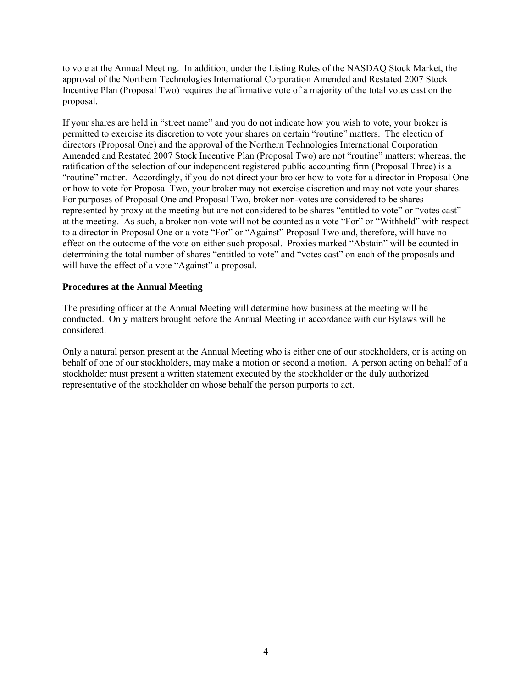to vote at the Annual Meeting. In addition, under the Listing Rules of the NASDAQ Stock Market, the approval of the Northern Technologies International Corporation Amended and Restated 2007 Stock Incentive Plan (Proposal Two) requires the affirmative vote of a majority of the total votes cast on the proposal.

If your shares are held in "street name" and you do not indicate how you wish to vote, your broker is permitted to exercise its discretion to vote your shares on certain "routine" matters. The election of directors (Proposal One) and the approval of the Northern Technologies International Corporation Amended and Restated 2007 Stock Incentive Plan (Proposal Two) are not "routine" matters; whereas, the ratification of the selection of our independent registered public accounting firm (Proposal Three) is a "routine" matter. Accordingly, if you do not direct your broker how to vote for a director in Proposal One or how to vote for Proposal Two, your broker may not exercise discretion and may not vote your shares. For purposes of Proposal One and Proposal Two, broker non-votes are considered to be shares represented by proxy at the meeting but are not considered to be shares "entitled to vote" or "votes cast" at the meeting. As such, a broker non-vote will not be counted as a vote "For" or "Withheld" with respect to a director in Proposal One or a vote "For" or "Against" Proposal Two and, therefore, will have no effect on the outcome of the vote on either such proposal. Proxies marked "Abstain" will be counted in determining the total number of shares "entitled to vote" and "votes cast" on each of the proposals and will have the effect of a vote "Against" a proposal.

## **Procedures at the Annual Meeting**

The presiding officer at the Annual Meeting will determine how business at the meeting will be conducted. Only matters brought before the Annual Meeting in accordance with our Bylaws will be considered.

Only a natural person present at the Annual Meeting who is either one of our stockholders, or is acting on behalf of one of our stockholders, may make a motion or second a motion. A person acting on behalf of a stockholder must present a written statement executed by the stockholder or the duly authorized representative of the stockholder on whose behalf the person purports to act.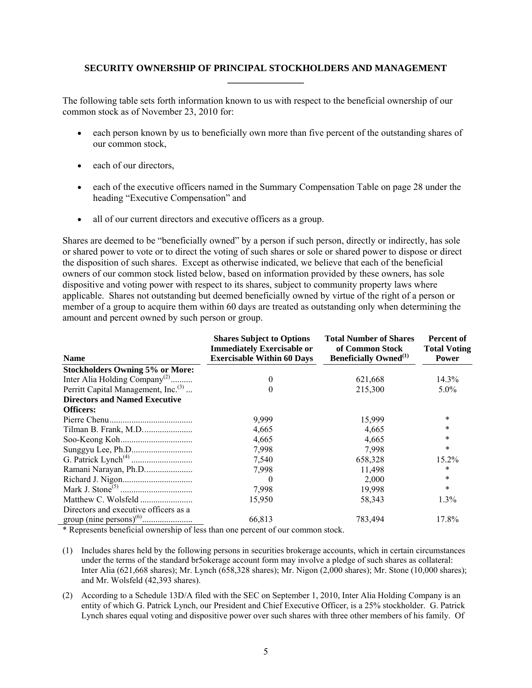## **SECURITY OWNERSHIP OF PRINCIPAL STOCKHOLDERS AND MANAGEMENT \_\_\_\_\_\_\_\_\_\_\_\_\_\_\_\_**

The following table sets forth information known to us with respect to the beneficial ownership of our common stock as of November 23, 2010 for:

- each person known by us to beneficially own more than five percent of the outstanding shares of our common stock,
- each of our directors,
- each of the executive officers named in the Summary Compensation Table on page 28 under the heading "Executive Compensation" and
- all of our current directors and executive officers as a group.

Shares are deemed to be "beneficially owned" by a person if such person, directly or indirectly, has sole or shared power to vote or to direct the voting of such shares or sole or shared power to dispose or direct the disposition of such shares. Except as otherwise indicated, we believe that each of the beneficial owners of our common stock listed below, based on information provided by these owners, has sole dispositive and voting power with respect to its shares, subject to community property laws where applicable. Shares not outstanding but deemed beneficially owned by virtue of the right of a person or member of a group to acquire them within 60 days are treated as outstanding only when determining the amount and percent owned by such person or group.

| <b>Name</b>                                                                                | <b>Shares Subject to Options</b><br><b>Immediately Exercisable or</b><br><b>Exercisable Within 60 Days</b> | <b>Total Number of Shares</b><br>of Common Stock<br><b>Beneficially Owned</b> <sup>(1)</sup> | Percent of<br><b>Total Voting</b><br><b>Power</b> |  |
|--------------------------------------------------------------------------------------------|------------------------------------------------------------------------------------------------------------|----------------------------------------------------------------------------------------------|---------------------------------------------------|--|
| <b>Stockholders Owning 5% or More:</b>                                                     |                                                                                                            |                                                                                              |                                                   |  |
| Inter Alia Holding Company <sup>(2)</sup>                                                  | 0                                                                                                          | 621,668                                                                                      | 14.3%                                             |  |
| Perritt Capital Management, Inc. <sup>(3)</sup>                                            | 0                                                                                                          | 215,300                                                                                      | $5.0\%$                                           |  |
| <b>Directors and Named Executive</b>                                                       |                                                                                                            |                                                                                              |                                                   |  |
| <b>Officers:</b>                                                                           |                                                                                                            |                                                                                              |                                                   |  |
|                                                                                            | 9,999                                                                                                      | 15,999                                                                                       | $\ast$                                            |  |
|                                                                                            | 4,665                                                                                                      | 4,665                                                                                        | $\ast$                                            |  |
|                                                                                            | 4,665                                                                                                      | 4,665                                                                                        | $\ast$                                            |  |
|                                                                                            | 7,998                                                                                                      | 7,998                                                                                        | $\ast$                                            |  |
|                                                                                            | 7,540                                                                                                      | 658,328                                                                                      | 15.2%                                             |  |
|                                                                                            | 7,998                                                                                                      | 11,498                                                                                       | *                                                 |  |
|                                                                                            | $\theta$                                                                                                   | 2,000                                                                                        | $\ast$                                            |  |
|                                                                                            | 7,998                                                                                                      | 19,998                                                                                       | $\ast$                                            |  |
|                                                                                            | 15,950                                                                                                     | 58,343                                                                                       | 1.3%                                              |  |
| Directors and executive officers as a                                                      |                                                                                                            |                                                                                              |                                                   |  |
| $\overline{a}$ and $\overline{a}$ and $\overline{a}$ and $\overline{a}$ and $\overline{a}$ | 66,813                                                                                                     | 783,494                                                                                      | 17.8%                                             |  |

\* Represents beneficial ownership of less than one percent of our common stock.

- (1) Includes shares held by the following persons in securities brokerage accounts, which in certain circumstances under the terms of the standard br5okerage account form may involve a pledge of such shares as collateral: Inter Alia (621,668 shares); Mr. Lynch (658,328 shares); Mr. Nigon (2,000 shares); Mr. Stone (10,000 shares); and Mr. Wolsfeld (42,393 shares).
- (2) According to a Schedule 13D/A filed with the SEC on September 1, 2010, Inter Alia Holding Company is an entity of which G. Patrick Lynch, our President and Chief Executive Officer, is a 25% stockholder. G. Patrick Lynch shares equal voting and dispositive power over such shares with three other members of his family. Of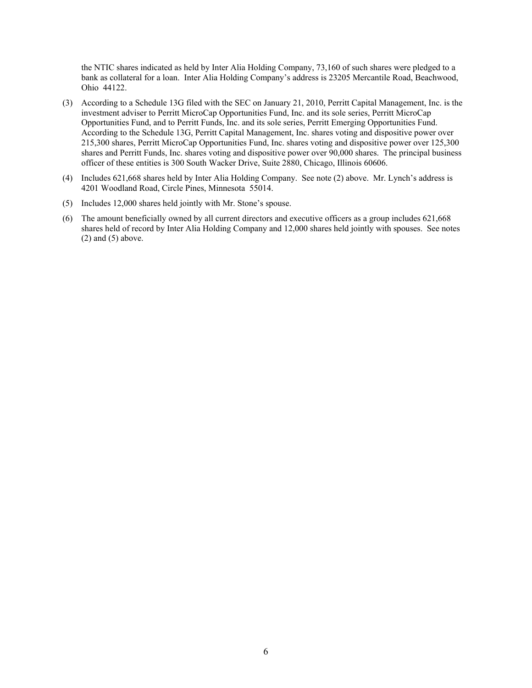the NTIC shares indicated as held by Inter Alia Holding Company, 73,160 of such shares were pledged to a bank as collateral for a loan. Inter Alia Holding Company's address is 23205 Mercantile Road, Beachwood, Ohio 44122.

- (3) According to a Schedule 13G filed with the SEC on January 21, 2010, Perritt Capital Management, Inc. is the investment adviser to Perritt MicroCap Opportunities Fund, Inc. and its sole series, Perritt MicroCap Opportunities Fund, and to Perritt Funds, Inc. and its sole series, Perritt Emerging Opportunities Fund. According to the Schedule 13G, Perritt Capital Management, Inc. shares voting and dispositive power over 215,300 shares, Perritt MicroCap Opportunities Fund, Inc. shares voting and dispositive power over 125,300 shares and Perritt Funds, Inc. shares voting and dispositive power over 90,000 shares. The principal business officer of these entities is 300 South Wacker Drive, Suite 2880, Chicago, Illinois 60606.
- (4) Includes 621,668 shares held by Inter Alia Holding Company. See note (2) above. Mr. Lynch's address is 4201 Woodland Road, Circle Pines, Minnesota 55014.
- (5) Includes 12,000 shares held jointly with Mr. Stone's spouse.
- (6) The amount beneficially owned by all current directors and executive officers as a group includes 621,668 shares held of record by Inter Alia Holding Company and 12,000 shares held jointly with spouses. See notes  $(2)$  and  $(5)$  above.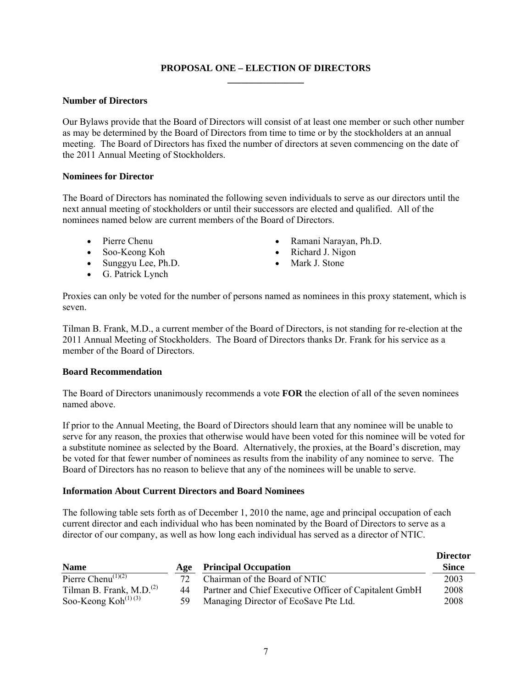## **PROPOSAL ONE – ELECTION OF DIRECTORS \_\_\_\_\_\_\_\_\_\_\_\_\_\_\_\_**

#### **Number of Directors**

Our Bylaws provide that the Board of Directors will consist of at least one member or such other number as may be determined by the Board of Directors from time to time or by the stockholders at an annual meeting. The Board of Directors has fixed the number of directors at seven commencing on the date of the 2011 Annual Meeting of Stockholders.

#### **Nominees for Director**

The Board of Directors has nominated the following seven individuals to serve as our directors until the next annual meeting of stockholders or until their successors are elected and qualified. All of the nominees named below are current members of the Board of Directors.

- 
- 
- Sunggyu Lee, Ph.D. Mark J. Stone
- G. Patrick Lynch
- Pierre Chenu Ramani Narayan, Ph.D.
- Soo-Keong Koh Richard J. Nigon
	-

Proxies can only be voted for the number of persons named as nominees in this proxy statement, which is seven.

Tilman B. Frank, M.D., a current member of the Board of Directors, is not standing for re-election at the 2011 Annual Meeting of Stockholders. The Board of Directors thanks Dr. Frank for his service as a member of the Board of Directors.

## **Board Recommendation**

The Board of Directors unanimously recommends a vote **FOR** the election of all of the seven nominees named above.

If prior to the Annual Meeting, the Board of Directors should learn that any nominee will be unable to serve for any reason, the proxies that otherwise would have been voted for this nominee will be voted for a substitute nominee as selected by the Board. Alternatively, the proxies, at the Board's discretion, may be voted for that fewer number of nominees as results from the inability of any nominee to serve. The Board of Directors has no reason to believe that any of the nominees will be unable to serve.

#### **Information About Current Directors and Board Nominees**

The following table sets forth as of December 1, 2010 the name, age and principal occupation of each current director and each individual who has been nominated by the Board of Directors to serve as a director of our company, as well as how long each individual has served as a director of NTIC.

|                                              |     |                                                        | <b>Director</b> |
|----------------------------------------------|-----|--------------------------------------------------------|-----------------|
| <b>Name</b>                                  | Age | <b>Principal Occupation</b>                            | Since           |
| Pierre Chenu <sup>(1)(2)</sup>               | 72. | Chairman of the Board of NTIC                          | 2003            |
| Tilman B. Frank, M.D. $^{(2)}$               | 44  | Partner and Chief Executive Officer of Capitalent GmbH | 2008            |
| Soo-Keong Koh <sup><math>(1)(3)</math></sup> | 59. | Managing Director of EcoSave Pte Ltd.                  | 2008            |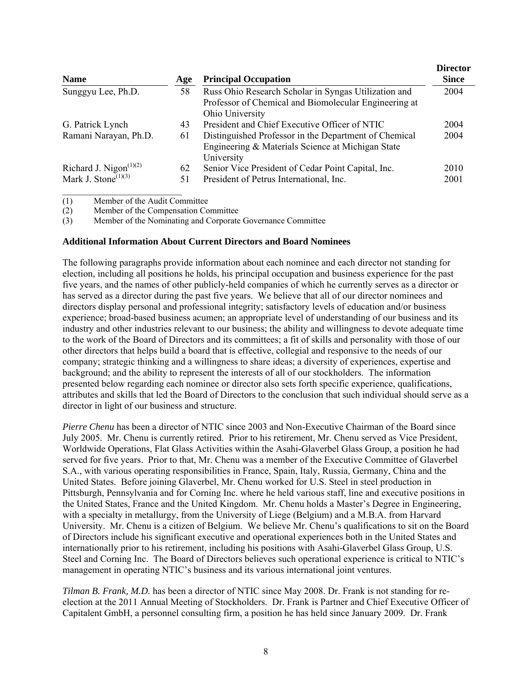| <b>Name</b>                                  | Age | <b>Principal Occupation</b>                                                                                                      | <b>Director</b><br><b>Since</b> |
|----------------------------------------------|-----|----------------------------------------------------------------------------------------------------------------------------------|---------------------------------|
| Sunggyu Lee, Ph.D.                           | 58  | Russ Ohio Research Scholar in Syngas Utilization and<br>Professor of Chemical and Biomolecular Engineering at<br>Ohio University | 2004                            |
| G. Patrick Lynch                             | 43  | President and Chief Executive Officer of NTIC                                                                                    | 2004                            |
| Ramani Narayan, Ph.D.                        | 61  | Distinguished Professor in the Department of Chemical<br>Engineering & Materials Science at Michigan State<br>University         | 2004                            |
| Richard J. Nigon $(1)(2)$                    | 62  | Senior Vice President of Cedar Point Capital, Inc.                                                                               | 2010                            |
| Mark J. Stone <sup><math>(1)(3)</math></sup> | 51  | President of Petrus International, Inc.                                                                                          | 2001                            |

(1) Member of the Audit Committee

(2) Member of the Compensation Committee

(3) Member of the Nominating and Corporate Governance Committee

#### **Additional Information About Current Directors and Board Nominees**

The following paragraphs provide information about each nominee and each director not standing for election, including all positions he holds, his principal occupation and business experience for the past five years, and the names of other publicly-held companies of which he currently serves as a director or has served as a director during the past five years. We believe that all of our director nominees and directors display personal and professional integrity; satisfactory levels of education and/or business experience; broad-based business acumen; an appropriate level of understanding of our business and its industry and other industries relevant to our business; the ability and willingness to devote adequate time to the work of the Board of Directors and its committees; a fit of skills and personality with those of our other directors that helps build a board that is effective, collegial and responsive to the needs of our company; strategic thinking and a willingness to share ideas; a diversity of experiences, expertise and background; and the ability to represent the interests of all of our stockholders. The information presented below regarding each nominee or director also sets forth specific experience, qualifications, attributes and skills that led the Board of Directors to the conclusion that such individual should serve as a director in light of our business and structure.

*Pierre Chenu* has been a director of NTIC since 2003 and Non-Executive Chairman of the Board since July 2005. Mr. Chenu is currently retired. Prior to his retirement, Mr. Chenu served as Vice President, Worldwide Operations, Flat Glass Activities within the Asahi-Glaverbel Glass Group, a position he had served for five years. Prior to that, Mr. Chenu was a member of the Executive Committee of Glaverbel S.A., with various operating responsibilities in France, Spain, Italy, Russia, Germany, China and the United States. Before joining Glaverbel, Mr. Chenu worked for U.S. Steel in steel production in Pittsburgh, Pennsylvania and for Corning Inc. where he held various staff, line and executive positions in the United States, France and the United Kingdom. Mr. Chenu holds a Master's Degree in Engineering, with a specialty in metallurgy, from the University of Liege (Belgium) and a M.B.A. from Harvard University. Mr. Chenu is a citizen of Belgium. We believe Mr. Chenu's qualifications to sit on the Board of Directors include his significant executive and operational experiences both in the United States and internationally prior to his retirement, including his positions with Asahi-Glaverbel Glass Group, U.S. Steel and Corning Inc. The Board of Directors believes such operational experience is critical to NTIC's management in operating NTIC's business and its various international joint ventures.

*Tilman B. Frank, M.D.* has been a director of NTIC since May 2008. Dr. Frank is not standing for reelection at the 2011 Annual Meeting of Stockholders. Dr. Frank is Partner and Chief Executive Officer of Capitalent GmbH, a personnel consulting firm, a position he has held since January 2009. Dr. Frank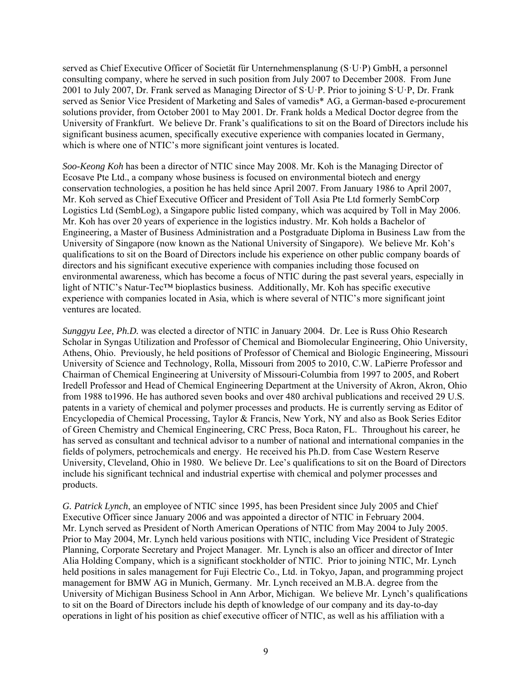served as Chief Executive Officer of Societät für Unternehmensplanung (S·U·P) GmbH, a personnel consulting company, where he served in such position from July 2007 to December 2008. From June 2001 to July 2007, Dr. Frank served as Managing Director of S·U·P. Prior to joining S·U·P, Dr. Frank served as Senior Vice President of Marketing and Sales of vamedis\* AG, a German-based e-procurement solutions provider, from October 2001 to May 2001. Dr. Frank holds a Medical Doctor degree from the University of Frankfurt. We believe Dr. Frank's qualifications to sit on the Board of Directors include his significant business acumen, specifically executive experience with companies located in Germany, which is where one of NTIC's more significant joint ventures is located.

*Soo-Keong Koh* has been a director of NTIC since May 2008. Mr. Koh is the Managing Director of Ecosave Pte Ltd., a company whose business is focused on environmental biotech and energy conservation technologies, a position he has held since April 2007. From January 1986 to April 2007, Mr. Koh served as Chief Executive Officer and President of Toll Asia Pte Ltd formerly SembCorp Logistics Ltd (SembLog), a Singapore public listed company, which was acquired by Toll in May 2006. Mr. Koh has over 20 years of experience in the logistics industry. Mr. Koh holds a Bachelor of Engineering, a Master of Business Administration and a Postgraduate Diploma in Business Law from the University of Singapore (now known as the National University of Singapore). We believe Mr. Koh's qualifications to sit on the Board of Directors include his experience on other public company boards of directors and his significant executive experience with companies including those focused on environmental awareness, which has become a focus of NTIC during the past several years, especially in light of NTIC's Natur-Tec™ bioplastics business. Additionally, Mr. Koh has specific executive experience with companies located in Asia, which is where several of NTIC's more significant joint ventures are located.

*Sunggyu Lee, Ph.D.* was elected a director of NTIC in January 2004. Dr. Lee is Russ Ohio Research Scholar in Syngas Utilization and Professor of Chemical and Biomolecular Engineering, Ohio University, Athens, Ohio. Previously, he held positions of Professor of Chemical and Biologic Engineering, Missouri University of Science and Technology, Rolla, Missouri from 2005 to 2010, C.W. LaPierre Professor and Chairman of Chemical Engineering at University of Missouri-Columbia from 1997 to 2005, and Robert Iredell Professor and Head of Chemical Engineering Department at the University of Akron, Akron, Ohio from 1988 to1996. He has authored seven books and over 480 archival publications and received 29 U.S. patents in a variety of chemical and polymer processes and products. He is currently serving as Editor of Encyclopedia of Chemical Processing, Taylor & Francis, New York, NY and also as Book Series Editor of Green Chemistry and Chemical Engineering, CRC Press, Boca Raton, FL. Throughout his career, he has served as consultant and technical advisor to a number of national and international companies in the fields of polymers, petrochemicals and energy. He received his Ph.D. from Case Western Reserve University, Cleveland, Ohio in 1980. We believe Dr. Lee's qualifications to sit on the Board of Directors include his significant technical and industrial expertise with chemical and polymer processes and products.

*G. Patrick Lynch*, an employee of NTIC since 1995, has been President since July 2005 and Chief Executive Officer since January 2006 and was appointed a director of NTIC in February 2004. Mr. Lynch served as President of North American Operations of NTIC from May 2004 to July 2005. Prior to May 2004, Mr. Lynch held various positions with NTIC, including Vice President of Strategic Planning, Corporate Secretary and Project Manager. Mr. Lynch is also an officer and director of Inter Alia Holding Company, which is a significant stockholder of NTIC. Prior to joining NTIC, Mr. Lynch held positions in sales management for Fuji Electric Co., Ltd. in Tokyo, Japan, and programming project management for BMW AG in Munich, Germany. Mr. Lynch received an M.B.A. degree from the University of Michigan Business School in Ann Arbor, Michigan. We believe Mr. Lynch's qualifications to sit on the Board of Directors include his depth of knowledge of our company and its day-to-day operations in light of his position as chief executive officer of NTIC, as well as his affiliation with a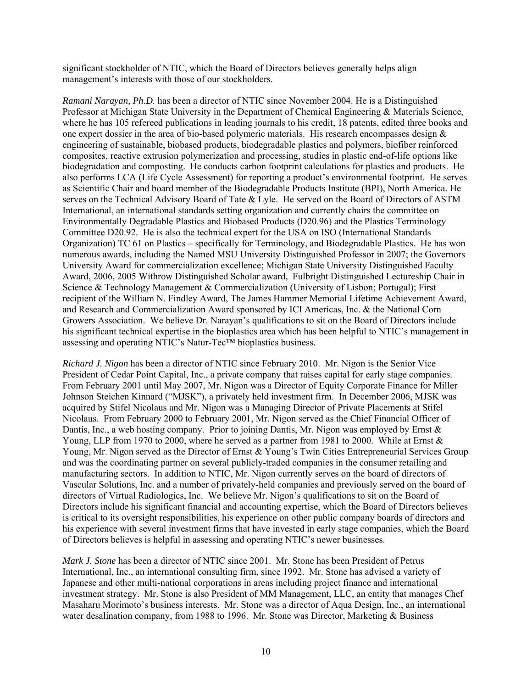significant stockholder of NTIC, which the Board of Directors believes generally helps align management's interests with those of our stockholders.

*Ramani Narayan, Ph.D.* has been a director of NTIC since November 2004. He is a Distinguished Professor at Michigan State University in the Department of Chemical Engineering & Materials Science, where he has 105 refereed publications in leading journals to his credit, 18 patents, edited three books and one expert dossier in the area of bio-based polymeric materials. His research encompasses design  $\&$ engineering of sustainable, biobased products, biodegradable plastics and polymers, biofiber reinforced composites, reactive extrusion polymerization and processing, studies in plastic end-of-life options like biodegradation and composting. He conducts carbon footprint calculations for plastics and products. He also performs LCA (Life Cycle Assessment) for reporting a product's environmental footprint. He serves as Scientific Chair and board member of the Biodegradable Products Institute (BPI), North America. He serves on the Technical Advisory Board of Tate & Lyle. He served on the Board of Directors of ASTM International, an international standards setting organization and currently chairs the committee on Environmentally Degradable Plastics and Biobased Products (D20.96) and the Plastics Terminology Committee D20.92. He is also the technical expert for the USA on ISO (International Standards Organization) TC 61 on Plastics – specifically for Terminology, and Biodegradable Plastics. He has won numerous awards, including the Named MSU University Distinguished Professor in 2007; the Governors University Award for commercialization excellence; Michigan State University Distinguished Faculty Award, 2006, 2005 Withrow Distinguished Scholar award, Fulbright Distinguished Lectureship Chair in Science & Technology Management & Commercialization (University of Lisbon; Portugal); First recipient of the William N. Findley Award, The James Hammer Memorial Lifetime Achievement Award, and Research and Commercialization Award sponsored by ICI Americas, Inc. & the National Corn Growers Association. We believe Dr. Narayan's qualifications to sit on the Board of Directors include his significant technical expertise in the bioplastics area which has been helpful to NTIC's management in assessing and operating NTIC's Natur-Tec™ bioplastics business.

*Richard J. Nigon* has been a director of NTIC since February 2010. Mr. Nigon is the Senior Vice President of Cedar Point Capital, Inc., a private company that raises capital for early stage companies. From February 2001 until May 2007, Mr. Nigon was a Director of Equity Corporate Finance for Miller Johnson Steichen Kinnard ("MJSK"), a privately held investment firm. In December 2006, MJSK was acquired by Stifel Nicolaus and Mr. Nigon was a Managing Director of Private Placements at Stifel Nicolaus. From February 2000 to February 2001, Mr. Nigon served as the Chief Financial Officer of Dantis, Inc., a web hosting company. Prior to joining Dantis, Mr. Nigon was employed by Ernst & Young, LLP from 1970 to 2000, where he served as a partner from 1981 to 2000. While at Ernst & Young, Mr. Nigon served as the Director of Ernst & Young's Twin Cities Entrepreneurial Services Group and was the coordinating partner on several publicly-traded companies in the consumer retailing and manufacturing sectors. In addition to NTIC, Mr. Nigon currently serves on the board of directors of Vascular Solutions, Inc. and a number of privately-held companies and previously served on the board of directors of Virtual Radiologics, Inc. We believe Mr. Nigon's qualifications to sit on the Board of Directors include his significant financial and accounting expertise, which the Board of Directors believes is critical to its oversight responsibilities, his experience on other public company boards of directors and his experience with several investment firms that have invested in early stage companies, which the Board of Directors believes is helpful in assessing and operating NTIC's newer businesses.

*Mark J. Stone* has been a director of NTIC since 2001. Mr. Stone has been President of Petrus International, Inc., an international consulting firm, since 1992. Mr. Stone has advised a variety of Japanese and other multi-national corporations in areas including project finance and international investment strategy. Mr. Stone is also President of MM Management, LLC, an entity that manages Chef Masaharu Morimoto's business interests. Mr. Stone was a director of Aqua Design, Inc., an international water desalination company, from 1988 to 1996. Mr. Stone was Director, Marketing & Business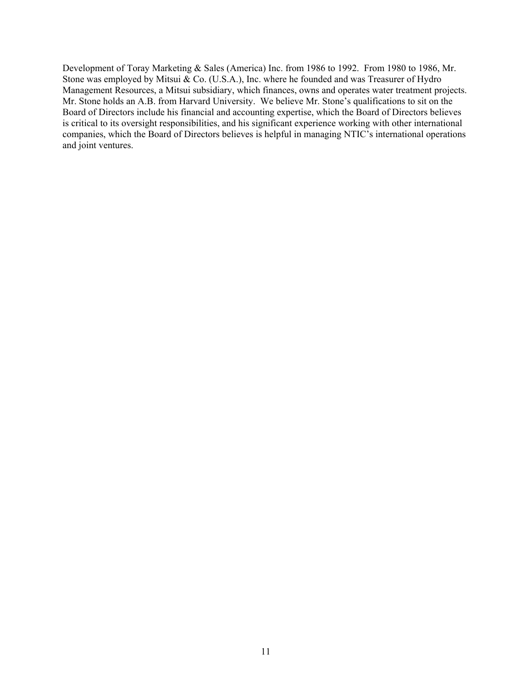Development of Toray Marketing & Sales (America) Inc. from 1986 to 1992. From 1980 to 1986, Mr. Stone was employed by Mitsui & Co. (U.S.A.), Inc. where he founded and was Treasurer of Hydro Management Resources, a Mitsui subsidiary, which finances, owns and operates water treatment projects. Mr. Stone holds an A.B. from Harvard University. We believe Mr. Stone's qualifications to sit on the Board of Directors include his financial and accounting expertise, which the Board of Directors believes is critical to its oversight responsibilities, and his significant experience working with other international companies, which the Board of Directors believes is helpful in managing NTIC's international operations and joint ventures.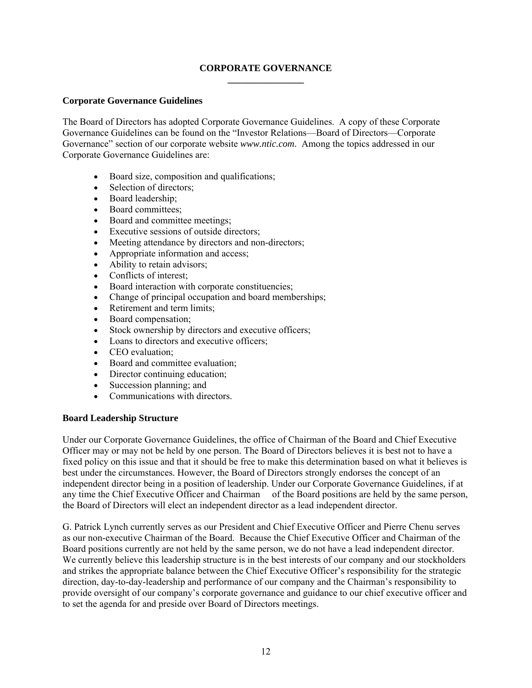## **CORPORATE GOVERNANCE \_\_\_\_\_\_\_\_\_\_\_\_\_\_\_\_**

## **Corporate Governance Guidelines**

The Board of Directors has adopted Corporate Governance Guidelines. A copy of these Corporate Governance Guidelines can be found on the "Investor Relations—Board of Directors—Corporate Governance" section of our corporate website *www.ntic.com*. Among the topics addressed in our Corporate Governance Guidelines are:

- Board size, composition and qualifications;
- Selection of directors;
- Board leadership;
- Board committees;
- Board and committee meetings;
- Executive sessions of outside directors:
- Meeting attendance by directors and non-directors;
- Appropriate information and access;
- Ability to retain advisors;
- Conflicts of interest:
- Board interaction with corporate constituencies;
- Change of principal occupation and board memberships;
- Retirement and term limits:
- Board compensation:
- Stock ownership by directors and executive officers;
- Loans to directors and executive officers;
- CEO evaluation:
- Board and committee evaluation;
- Director continuing education;
- Succession planning; and
- Communications with directors.

## **Board Leadership Structure**

Under our Corporate Governance Guidelines, the office of Chairman of the Board and Chief Executive Officer may or may not be held by one person. The Board of Directors believes it is best not to have a fixed policy on this issue and that it should be free to make this determination based on what it believes is best under the circumstances. However, the Board of Directors strongly endorses the concept of an independent director being in a position of leadership. Under our Corporate Governance Guidelines, if at any time the Chief Executive Officer and Chairman of the Board positions are held by the same person, the Board of Directors will elect an independent director as a lead independent director.

G. Patrick Lynch currently serves as our President and Chief Executive Officer and Pierre Chenu serves as our non-executive Chairman of the Board. Because the Chief Executive Officer and Chairman of the Board positions currently are not held by the same person, we do not have a lead independent director. We currently believe this leadership structure is in the best interests of our company and our stockholders and strikes the appropriate balance between the Chief Executive Officer's responsibility for the strategic direction, day-to-day-leadership and performance of our company and the Chairman's responsibility to provide oversight of our company's corporate governance and guidance to our chief executive officer and to set the agenda for and preside over Board of Directors meetings.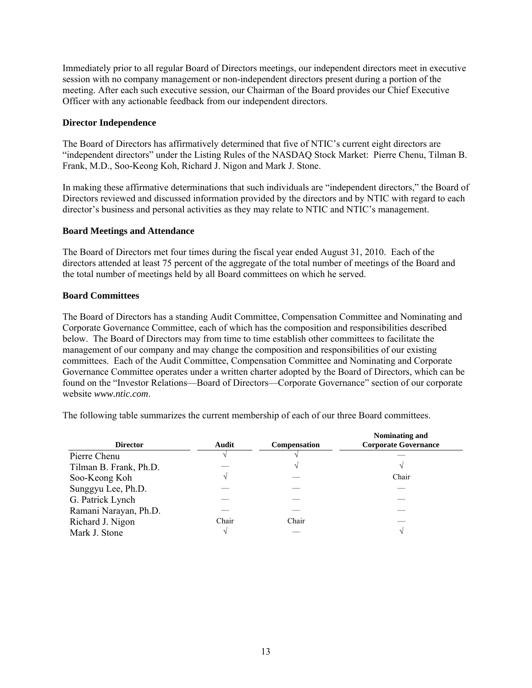Immediately prior to all regular Board of Directors meetings, our independent directors meet in executive session with no company management or non-independent directors present during a portion of the meeting. After each such executive session, our Chairman of the Board provides our Chief Executive Officer with any actionable feedback from our independent directors.

#### **Director Independence**

The Board of Directors has affirmatively determined that five of NTIC's current eight directors are "independent directors" under the Listing Rules of the NASDAQ Stock Market: Pierre Chenu, Tilman B. Frank, M.D., Soo-Keong Koh, Richard J. Nigon and Mark J. Stone.

In making these affirmative determinations that such individuals are "independent directors," the Board of Directors reviewed and discussed information provided by the directors and by NTIC with regard to each director's business and personal activities as they may relate to NTIC and NTIC's management.

#### **Board Meetings and Attendance**

The Board of Directors met four times during the fiscal year ended August 31, 2010. Each of the directors attended at least 75 percent of the aggregate of the total number of meetings of the Board and the total number of meetings held by all Board committees on which he served.

#### **Board Committees**

The Board of Directors has a standing Audit Committee, Compensation Committee and Nominating and Corporate Governance Committee, each of which has the composition and responsibilities described below. The Board of Directors may from time to time establish other committees to facilitate the management of our company and may change the composition and responsibilities of our existing committees. Each of the Audit Committee, Compensation Committee and Nominating and Corporate Governance Committee operates under a written charter adopted by the Board of Directors, which can be found on the "Investor Relations—Board of Directors—Corporate Governance" section of our corporate website *www.ntic.com*.

The following table summarizes the current membership of each of our three Board committees.

| <b>Director</b>        | Audit | <b>Compensation</b> | Nominating and<br><b>Corporate Governance</b> |
|------------------------|-------|---------------------|-----------------------------------------------|
| Pierre Chenu           |       |                     |                                               |
| Tilman B. Frank, Ph.D. |       |                     |                                               |
| Soo-Keong Koh          |       |                     | Chair                                         |
| Sunggyu Lee, Ph.D.     |       |                     |                                               |
| G. Patrick Lynch       |       |                     |                                               |
| Ramani Narayan, Ph.D.  |       |                     |                                               |
| Richard J. Nigon       | Chair | Chair               |                                               |
| Mark J. Stone          |       |                     |                                               |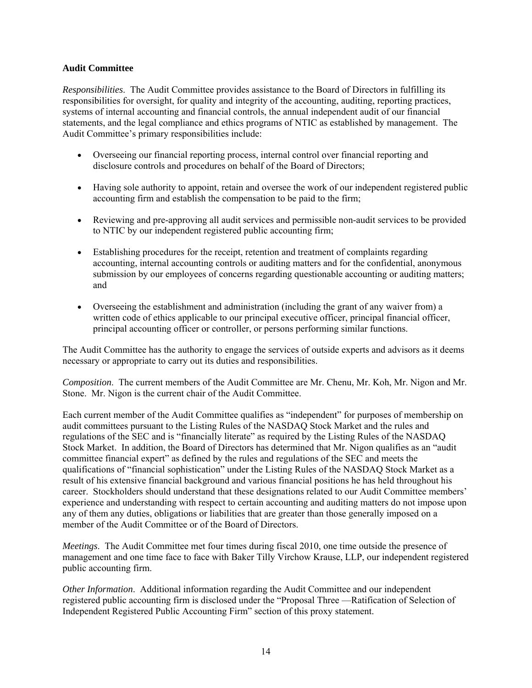## **Audit Committee**

*Responsibilities*. The Audit Committee provides assistance to the Board of Directors in fulfilling its responsibilities for oversight, for quality and integrity of the accounting, auditing, reporting practices, systems of internal accounting and financial controls, the annual independent audit of our financial statements, and the legal compliance and ethics programs of NTIC as established by management. The Audit Committee's primary responsibilities include:

- Overseeing our financial reporting process, internal control over financial reporting and disclosure controls and procedures on behalf of the Board of Directors;
- Having sole authority to appoint, retain and oversee the work of our independent registered public accounting firm and establish the compensation to be paid to the firm;
- Reviewing and pre-approving all audit services and permissible non-audit services to be provided to NTIC by our independent registered public accounting firm;
- Establishing procedures for the receipt, retention and treatment of complaints regarding accounting, internal accounting controls or auditing matters and for the confidential, anonymous submission by our employees of concerns regarding questionable accounting or auditing matters; and
- Overseeing the establishment and administration (including the grant of any waiver from) a written code of ethics applicable to our principal executive officer, principal financial officer, principal accounting officer or controller, or persons performing similar functions.

The Audit Committee has the authority to engage the services of outside experts and advisors as it deems necessary or appropriate to carry out its duties and responsibilities.

*Composition*. The current members of the Audit Committee are Mr. Chenu, Mr. Koh, Mr. Nigon and Mr. Stone. Mr. Nigon is the current chair of the Audit Committee.

Each current member of the Audit Committee qualifies as "independent" for purposes of membership on audit committees pursuant to the Listing Rules of the NASDAQ Stock Market and the rules and regulations of the SEC and is "financially literate" as required by the Listing Rules of the NASDAQ Stock Market. In addition, the Board of Directors has determined that Mr. Nigon qualifies as an "audit committee financial expert" as defined by the rules and regulations of the SEC and meets the qualifications of "financial sophistication" under the Listing Rules of the NASDAQ Stock Market as a result of his extensive financial background and various financial positions he has held throughout his career. Stockholders should understand that these designations related to our Audit Committee members' experience and understanding with respect to certain accounting and auditing matters do not impose upon any of them any duties, obligations or liabilities that are greater than those generally imposed on a member of the Audit Committee or of the Board of Directors.

*Meetings*. The Audit Committee met four times during fiscal 2010, one time outside the presence of management and one time face to face with Baker Tilly Virchow Krause, LLP, our independent registered public accounting firm.

*Other Information*. Additional information regarding the Audit Committee and our independent registered public accounting firm is disclosed under the "Proposal Three —Ratification of Selection of Independent Registered Public Accounting Firm" section of this proxy statement.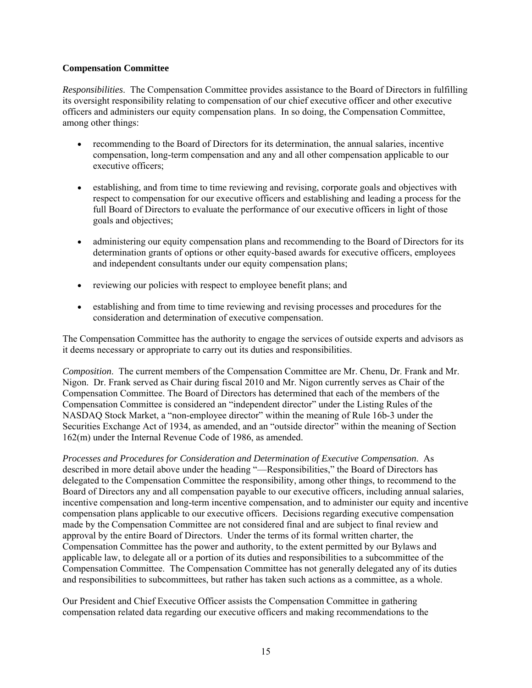## **Compensation Committee**

*Responsibilities*. The Compensation Committee provides assistance to the Board of Directors in fulfilling its oversight responsibility relating to compensation of our chief executive officer and other executive officers and administers our equity compensation plans. In so doing, the Compensation Committee, among other things:

- recommending to the Board of Directors for its determination, the annual salaries, incentive compensation, long-term compensation and any and all other compensation applicable to our executive officers;
- establishing, and from time to time reviewing and revising, corporate goals and objectives with respect to compensation for our executive officers and establishing and leading a process for the full Board of Directors to evaluate the performance of our executive officers in light of those goals and objectives;
- administering our equity compensation plans and recommending to the Board of Directors for its determination grants of options or other equity-based awards for executive officers, employees and independent consultants under our equity compensation plans;
- reviewing our policies with respect to employee benefit plans; and
- establishing and from time to time reviewing and revising processes and procedures for the consideration and determination of executive compensation.

The Compensation Committee has the authority to engage the services of outside experts and advisors as it deems necessary or appropriate to carry out its duties and responsibilities.

*Composition*. The current members of the Compensation Committee are Mr. Chenu, Dr. Frank and Mr. Nigon. Dr. Frank served as Chair during fiscal 2010 and Mr. Nigon currently serves as Chair of the Compensation Committee. The Board of Directors has determined that each of the members of the Compensation Committee is considered an "independent director" under the Listing Rules of the NASDAQ Stock Market, a "non-employee director" within the meaning of Rule 16b-3 under the Securities Exchange Act of 1934, as amended, and an "outside director" within the meaning of Section 162(m) under the Internal Revenue Code of 1986, as amended.

*Processes and Procedures for Consideration and Determination of Executive Compensation*. As described in more detail above under the heading "—Responsibilities," the Board of Directors has delegated to the Compensation Committee the responsibility, among other things, to recommend to the Board of Directors any and all compensation payable to our executive officers, including annual salaries, incentive compensation and long-term incentive compensation, and to administer our equity and incentive compensation plans applicable to our executive officers. Decisions regarding executive compensation made by the Compensation Committee are not considered final and are subject to final review and approval by the entire Board of Directors. Under the terms of its formal written charter, the Compensation Committee has the power and authority, to the extent permitted by our Bylaws and applicable law, to delegate all or a portion of its duties and responsibilities to a subcommittee of the Compensation Committee. The Compensation Committee has not generally delegated any of its duties and responsibilities to subcommittees, but rather has taken such actions as a committee, as a whole.

Our President and Chief Executive Officer assists the Compensation Committee in gathering compensation related data regarding our executive officers and making recommendations to the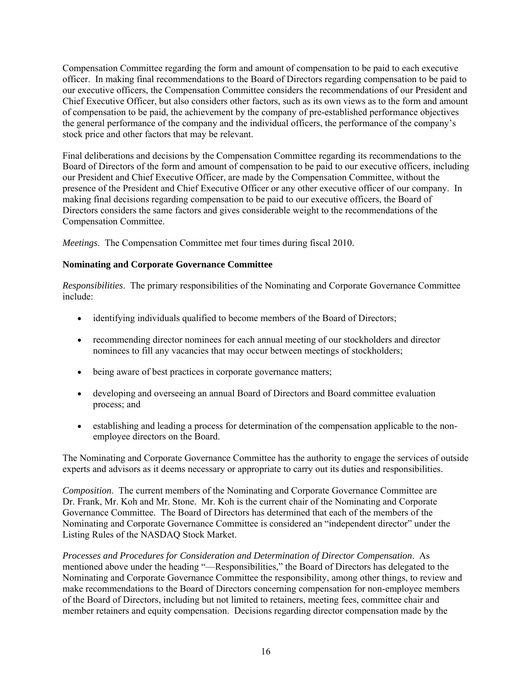Compensation Committee regarding the form and amount of compensation to be paid to each executive officer. In making final recommendations to the Board of Directors regarding compensation to be paid to our executive officers, the Compensation Committee considers the recommendations of our President and Chief Executive Officer, but also considers other factors, such as its own views as to the form and amount of compensation to be paid, the achievement by the company of pre-established performance objectives the general performance of the company and the individual officers, the performance of the company's stock price and other factors that may be relevant.

Final deliberations and decisions by the Compensation Committee regarding its recommendations to the Board of Directors of the form and amount of compensation to be paid to our executive officers, including our President and Chief Executive Officer, are made by the Compensation Committee, without the presence of the President and Chief Executive Officer or any other executive officer of our company. In making final decisions regarding compensation to be paid to our executive officers, the Board of Directors considers the same factors and gives considerable weight to the recommendations of the Compensation Committee.

*Meetings*. The Compensation Committee met four times during fiscal 2010.

# **Nominating and Corporate Governance Committee**

*Responsibilities*. The primary responsibilities of the Nominating and Corporate Governance Committee include:

- identifying individuals qualified to become members of the Board of Directors;
- recommending director nominees for each annual meeting of our stockholders and director nominees to fill any vacancies that may occur between meetings of stockholders;
- being aware of best practices in corporate governance matters;
- developing and overseeing an annual Board of Directors and Board committee evaluation process; and
- establishing and leading a process for determination of the compensation applicable to the nonemployee directors on the Board.

The Nominating and Corporate Governance Committee has the authority to engage the services of outside experts and advisors as it deems necessary or appropriate to carry out its duties and responsibilities.

*Composition*. The current members of the Nominating and Corporate Governance Committee are Dr. Frank, Mr. Koh and Mr. Stone. Mr. Koh is the current chair of the Nominating and Corporate Governance Committee. The Board of Directors has determined that each of the members of the Nominating and Corporate Governance Committee is considered an "independent director" under the Listing Rules of the NASDAQ Stock Market.

*Processes and Procedures for Consideration and Determination of Director Compensation*. As mentioned above under the heading "—Responsibilities," the Board of Directors has delegated to the Nominating and Corporate Governance Committee the responsibility, among other things, to review and make recommendations to the Board of Directors concerning compensation for non-employee members of the Board of Directors, including but not limited to retainers, meeting fees, committee chair and member retainers and equity compensation. Decisions regarding director compensation made by the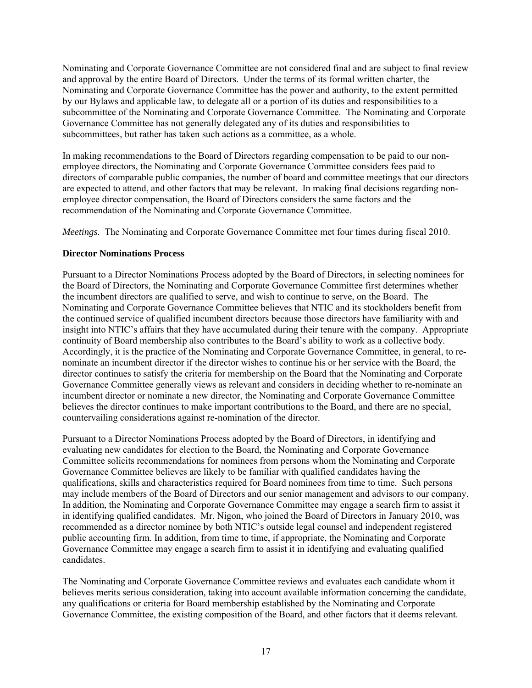Nominating and Corporate Governance Committee are not considered final and are subject to final review and approval by the entire Board of Directors. Under the terms of its formal written charter, the Nominating and Corporate Governance Committee has the power and authority, to the extent permitted by our Bylaws and applicable law, to delegate all or a portion of its duties and responsibilities to a subcommittee of the Nominating and Corporate Governance Committee. The Nominating and Corporate Governance Committee has not generally delegated any of its duties and responsibilities to subcommittees, but rather has taken such actions as a committee, as a whole.

In making recommendations to the Board of Directors regarding compensation to be paid to our nonemployee directors, the Nominating and Corporate Governance Committee considers fees paid to directors of comparable public companies, the number of board and committee meetings that our directors are expected to attend, and other factors that may be relevant. In making final decisions regarding nonemployee director compensation, the Board of Directors considers the same factors and the recommendation of the Nominating and Corporate Governance Committee.

*Meetings*. The Nominating and Corporate Governance Committee met four times during fiscal 2010.

# **Director Nominations Process**

Pursuant to a Director Nominations Process adopted by the Board of Directors, in selecting nominees for the Board of Directors, the Nominating and Corporate Governance Committee first determines whether the incumbent directors are qualified to serve, and wish to continue to serve, on the Board. The Nominating and Corporate Governance Committee believes that NTIC and its stockholders benefit from the continued service of qualified incumbent directors because those directors have familiarity with and insight into NTIC's affairs that they have accumulated during their tenure with the company. Appropriate continuity of Board membership also contributes to the Board's ability to work as a collective body. Accordingly, it is the practice of the Nominating and Corporate Governance Committee, in general, to renominate an incumbent director if the director wishes to continue his or her service with the Board, the director continues to satisfy the criteria for membership on the Board that the Nominating and Corporate Governance Committee generally views as relevant and considers in deciding whether to re-nominate an incumbent director or nominate a new director, the Nominating and Corporate Governance Committee believes the director continues to make important contributions to the Board, and there are no special, countervailing considerations against re-nomination of the director.

Pursuant to a Director Nominations Process adopted by the Board of Directors, in identifying and evaluating new candidates for election to the Board, the Nominating and Corporate Governance Committee solicits recommendations for nominees from persons whom the Nominating and Corporate Governance Committee believes are likely to be familiar with qualified candidates having the qualifications, skills and characteristics required for Board nominees from time to time. Such persons may include members of the Board of Directors and our senior management and advisors to our company. In addition, the Nominating and Corporate Governance Committee may engage a search firm to assist it in identifying qualified candidates. Mr. Nigon, who joined the Board of Directors in January 2010, was recommended as a director nominee by both NTIC's outside legal counsel and independent registered public accounting firm. In addition, from time to time, if appropriate, the Nominating and Corporate Governance Committee may engage a search firm to assist it in identifying and evaluating qualified candidates.

The Nominating and Corporate Governance Committee reviews and evaluates each candidate whom it believes merits serious consideration, taking into account available information concerning the candidate, any qualifications or criteria for Board membership established by the Nominating and Corporate Governance Committee, the existing composition of the Board, and other factors that it deems relevant.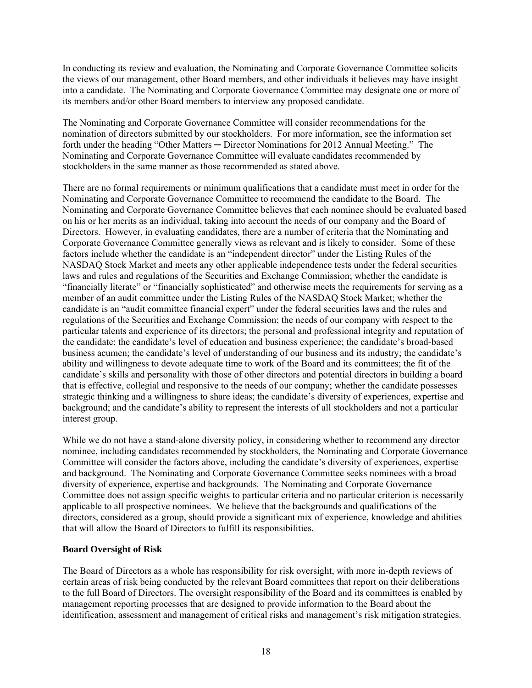In conducting its review and evaluation, the Nominating and Corporate Governance Committee solicits the views of our management, other Board members, and other individuals it believes may have insight into a candidate. The Nominating and Corporate Governance Committee may designate one or more of its members and/or other Board members to interview any proposed candidate.

The Nominating and Corporate Governance Committee will consider recommendations for the nomination of directors submitted by our stockholders. For more information, see the information set forth under the heading "Other Matters — Director Nominations for 2012 Annual Meeting." The Nominating and Corporate Governance Committee will evaluate candidates recommended by stockholders in the same manner as those recommended as stated above.

There are no formal requirements or minimum qualifications that a candidate must meet in order for the Nominating and Corporate Governance Committee to recommend the candidate to the Board. The Nominating and Corporate Governance Committee believes that each nominee should be evaluated based on his or her merits as an individual, taking into account the needs of our company and the Board of Directors. However, in evaluating candidates, there are a number of criteria that the Nominating and Corporate Governance Committee generally views as relevant and is likely to consider. Some of these factors include whether the candidate is an "independent director" under the Listing Rules of the NASDAQ Stock Market and meets any other applicable independence tests under the federal securities laws and rules and regulations of the Securities and Exchange Commission; whether the candidate is "financially literate" or "financially sophisticated" and otherwise meets the requirements for serving as a member of an audit committee under the Listing Rules of the NASDAQ Stock Market; whether the candidate is an "audit committee financial expert" under the federal securities laws and the rules and regulations of the Securities and Exchange Commission; the needs of our company with respect to the particular talents and experience of its directors; the personal and professional integrity and reputation of the candidate; the candidate's level of education and business experience; the candidate's broad-based business acumen; the candidate's level of understanding of our business and its industry; the candidate's ability and willingness to devote adequate time to work of the Board and its committees; the fit of the candidate's skills and personality with those of other directors and potential directors in building a board that is effective, collegial and responsive to the needs of our company; whether the candidate possesses strategic thinking and a willingness to share ideas; the candidate's diversity of experiences, expertise and background; and the candidate's ability to represent the interests of all stockholders and not a particular interest group.

While we do not have a stand-alone diversity policy, in considering whether to recommend any director nominee, including candidates recommended by stockholders, the Nominating and Corporate Governance Committee will consider the factors above, including the candidate's diversity of experiences, expertise and background. The Nominating and Corporate Governance Committee seeks nominees with a broad diversity of experience, expertise and backgrounds. The Nominating and Corporate Governance Committee does not assign specific weights to particular criteria and no particular criterion is necessarily applicable to all prospective nominees. We believe that the backgrounds and qualifications of the directors, considered as a group, should provide a significant mix of experience, knowledge and abilities that will allow the Board of Directors to fulfill its responsibilities.

## **Board Oversight of Risk**

The Board of Directors as a whole has responsibility for risk oversight, with more in-depth reviews of certain areas of risk being conducted by the relevant Board committees that report on their deliberations to the full Board of Directors. The oversight responsibility of the Board and its committees is enabled by management reporting processes that are designed to provide information to the Board about the identification, assessment and management of critical risks and management's risk mitigation strategies.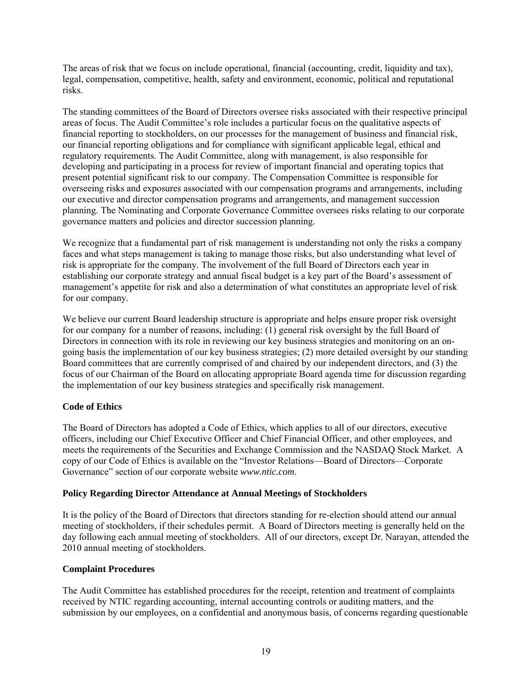The areas of risk that we focus on include operational, financial (accounting, credit, liquidity and tax), legal, compensation, competitive, health, safety and environment, economic, political and reputational risks.

The standing committees of the Board of Directors oversee risks associated with their respective principal areas of focus. The Audit Committee's role includes a particular focus on the qualitative aspects of financial reporting to stockholders, on our processes for the management of business and financial risk, our financial reporting obligations and for compliance with significant applicable legal, ethical and regulatory requirements. The Audit Committee, along with management, is also responsible for developing and participating in a process for review of important financial and operating topics that present potential significant risk to our company. The Compensation Committee is responsible for overseeing risks and exposures associated with our compensation programs and arrangements, including our executive and director compensation programs and arrangements, and management succession planning. The Nominating and Corporate Governance Committee oversees risks relating to our corporate governance matters and policies and director succession planning.

We recognize that a fundamental part of risk management is understanding not only the risks a company faces and what steps management is taking to manage those risks, but also understanding what level of risk is appropriate for the company. The involvement of the full Board of Directors each year in establishing our corporate strategy and annual fiscal budget is a key part of the Board's assessment of management's appetite for risk and also a determination of what constitutes an appropriate level of risk for our company.

We believe our current Board leadership structure is appropriate and helps ensure proper risk oversight for our company for a number of reasons, including: (1) general risk oversight by the full Board of Directors in connection with its role in reviewing our key business strategies and monitoring on an ongoing basis the implementation of our key business strategies; (2) more detailed oversight by our standing Board committees that are currently comprised of and chaired by our independent directors, and (3) the focus of our Chairman of the Board on allocating appropriate Board agenda time for discussion regarding the implementation of our key business strategies and specifically risk management.

## **Code of Ethics**

The Board of Directors has adopted a Code of Ethics, which applies to all of our directors, executive officers, including our Chief Executive Officer and Chief Financial Officer, and other employees, and meets the requirements of the Securities and Exchange Commission and the NASDAQ Stock Market. A copy of our Code of Ethics is available on the "Investor Relations—Board of Directors—Corporate Governance" section of our corporate website *www.ntic.com*.

## **Policy Regarding Director Attendance at Annual Meetings of Stockholders**

It is the policy of the Board of Directors that directors standing for re-election should attend our annual meeting of stockholders, if their schedules permit. A Board of Directors meeting is generally held on the day following each annual meeting of stockholders. All of our directors, except Dr. Narayan, attended the 2010 annual meeting of stockholders.

## **Complaint Procedures**

The Audit Committee has established procedures for the receipt, retention and treatment of complaints received by NTIC regarding accounting, internal accounting controls or auditing matters, and the submission by our employees, on a confidential and anonymous basis, of concerns regarding questionable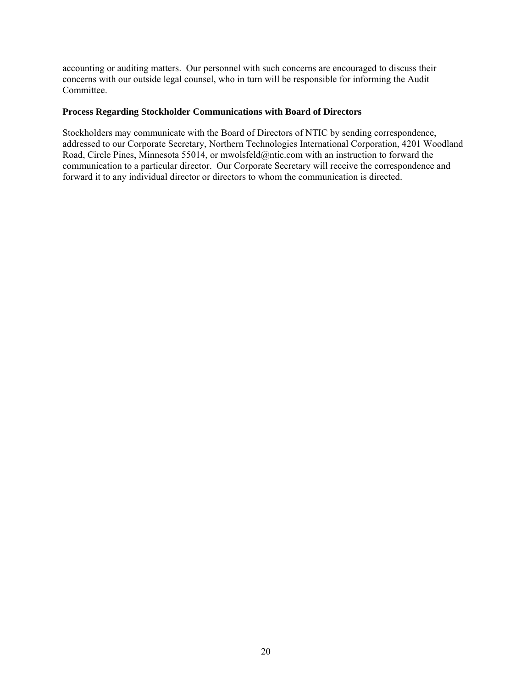accounting or auditing matters. Our personnel with such concerns are encouraged to discuss their concerns with our outside legal counsel, who in turn will be responsible for informing the Audit Committee.

# **Process Regarding Stockholder Communications with Board of Directors**

Stockholders may communicate with the Board of Directors of NTIC by sending correspondence, addressed to our Corporate Secretary, Northern Technologies International Corporation, 4201 Woodland Road, Circle Pines, Minnesota 55014, or mwolsfeld@ntic.com with an instruction to forward the communication to a particular director. Our Corporate Secretary will receive the correspondence and forward it to any individual director or directors to whom the communication is directed.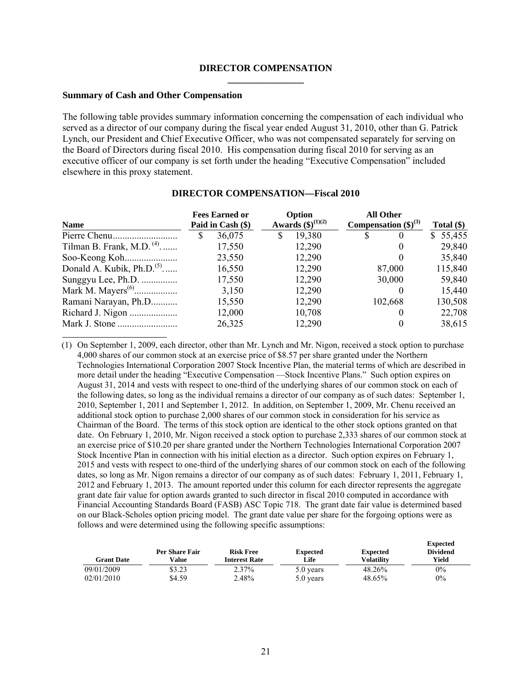#### **DIRECTOR COMPENSATION \_\_\_\_\_\_\_\_\_\_\_\_\_\_\_\_**

#### **Summary of Cash and Other Compensation**

The following table provides summary information concerning the compensation of each individual who served as a director of our company during the fiscal year ended August 31, 2010, other than G. Patrick Lynch, our President and Chief Executive Officer, who was not compensated separately for serving on the Board of Directors during fiscal 2010. His compensation during fiscal 2010 for serving as an executive officer of our company is set forth under the heading "Executive Compensation" included elsewhere in this proxy statement.

| <b>Name</b>                 | <b>Fees Earned or</b><br>Paid in Cash (\$) | Option<br>Awards $(\$)^{(1)(2)}$ | <b>All Other</b><br>Compensation $(\$)^{(3)}$ | Total $(\$)$ |
|-----------------------------|--------------------------------------------|----------------------------------|-----------------------------------------------|--------------|
|                             | 36,075<br>S                                | 19,380<br>S                      | S.<br>$\theta$                                | \$55,455     |
| Tilman B. Frank, M.D. $(4)$ | 17,550                                     | 12,290                           | $\theta$                                      | 29,840       |
|                             | 23,550                                     | 12,290                           |                                               | 35,840       |
| Donald A. Kubik, $Ph.D.(5)$ | 16,550                                     | 12,290                           | 87,000                                        | 115,840      |
| Sunggyu Lee, Ph.D.          | 17,550                                     | 12,290                           | 30,000                                        | 59,840       |
|                             | 3,150                                      | 12,290                           |                                               | 15,440       |
| Ramani Narayan, Ph.D        | 15,550                                     | 12,290                           | 102,668                                       | 130,508      |
|                             | 12,000                                     | 10,708                           |                                               | 22,708       |
|                             | 26,325                                     | 12,290                           |                                               | 38,615       |

#### **DIRECTOR COMPENSATION—Fiscal 2010**

(1) On September 1, 2009, each director, other than Mr. Lynch and Mr. Nigon, received a stock option to purchase 4,000 shares of our common stock at an exercise price of \$8.57 per share granted under the Northern Technologies International Corporation 2007 Stock Incentive Plan, the material terms of which are described in more detail under the heading "Executive Compensation —Stock Incentive Plans." Such option expires on August 31, 2014 and vests with respect to one-third of the underlying shares of our common stock on each of the following dates, so long as the individual remains a director of our company as of such dates: September 1, 2010, September 1, 2011 and September 1, 2012. In addition, on September 1, 2009, Mr. Chenu received an additional stock option to purchase 2,000 shares of our common stock in consideration for his service as Chairman of the Board. The terms of this stock option are identical to the other stock options granted on that date. On February 1, 2010, Mr. Nigon received a stock option to purchase 2,333 shares of our common stock at an exercise price of \$10.20 per share granted under the Northern Technologies International Corporation 2007 Stock Incentive Plan in connection with his initial election as a director. Such option expires on February 1, 2015 and vests with respect to one-third of the underlying shares of our common stock on each of the following dates, so long as Mr. Nigon remains a director of our company as of such dates: February 1, 2011, February 1, 2012 and February 1, 2013. The amount reported under this column for each director represents the aggregate grant date fair value for option awards granted to such director in fiscal 2010 computed in accordance with Financial Accounting Standards Board (FASB) ASC Topic 718. The grant date fair value is determined based on our Black-Scholes option pricing model. The grant date value per share for the forgoing options were as follows and were determined using the following specific assumptions:

| <b>Grant Date</b> | Per Share Fair<br>Value | <b>Risk Free</b><br><b>Interest Rate</b> | <b>Expected</b><br>Life | <b>Expected</b><br><b>Volatility</b> | <b>Expected</b><br><b>Dividend</b><br>Yield |
|-------------------|-------------------------|------------------------------------------|-------------------------|--------------------------------------|---------------------------------------------|
| 09/01/2009        | \$3.23                  | 2.37%                                    | 5.0 years               | 48.26%                               | $0\%$                                       |
| 02/01/2010        | \$4.59                  | 2.48%                                    | 5.0 years               | 48.65%                               | $0\%$                                       |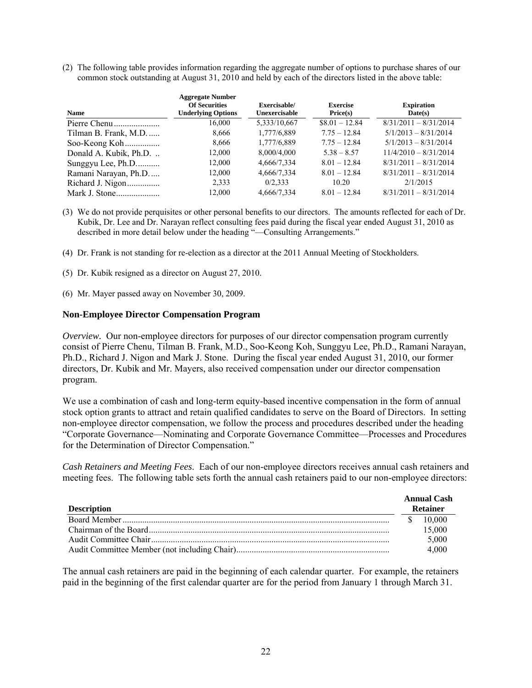(2) The following table provides information regarding the aggregate number of options to purchase shares of our common stock outstanding at August 31, 2010 and held by each of the directors listed in the above table:

| <b>Name</b>           | <b>Aggregate Number</b><br><b>Of Securities</b><br><b>Underlying Options</b> | Exercisable/<br>Unexercisable | <b>Exercise</b><br>Price(s) | <b>Expiration</b><br>Date(s) |
|-----------------------|------------------------------------------------------------------------------|-------------------------------|-----------------------------|------------------------------|
|                       | 16,000                                                                       | 5,333/10,667                  | $$8.01 - 12.84$             | $8/31/2011 - 8/31/2014$      |
| Tilman B. Frank, M.D  | 8,666                                                                        | 1,777/6,889                   | $7.75 - 12.84$              | $5/1/2013 - 8/31/2014$       |
| Soo-Keong Koh         | 8,666                                                                        | 1,777/6,889                   | $7.75 - 12.84$              | $5/1/2013 - 8/31/2014$       |
| Donald A. Kubik, Ph.D | 12,000                                                                       | 8,000/4,000                   | $5.38 - 8.57$               | $11/4/2010 - 8/31/2014$      |
| Sunggyu Lee, Ph.D     | 12,000                                                                       | 4,666/7,334                   | $8.01 - 12.84$              | $8/31/2011 - 8/31/2014$      |
| Ramani Narayan, Ph.D  | 12,000                                                                       | 4,666/7,334                   | $8.01 - 12.84$              | $8/31/2011 - 8/31/2014$      |
| Richard J. Nigon      | 2,333                                                                        | 0/2.333                       | 10.20                       | 2/1/2015                     |
|                       | 12.000                                                                       | 4,666/7,334                   | $8.01 - 12.84$              | $8/31/2011 - 8/31/2014$      |

(3) We do not provide perquisites or other personal benefits to our directors. The amounts reflected for each of Dr. Kubik, Dr. Lee and Dr. Narayan reflect consulting fees paid during the fiscal year ended August 31, 2010 as described in more detail below under the heading "-Consulting Arrangements."

- (4) Dr. Frank is not standing for re-election as a director at the 2011 Annual Meeting of Stockholders.
- (5) Dr. Kubik resigned as a director on August 27, 2010.
- (6) Mr. Mayer passed away on November 30, 2009.

#### **Non-Employee Director Compensation Program**

*Overview.* Our non-employee directors for purposes of our director compensation program currently consist of Pierre Chenu, Tilman B. Frank, M.D., Soo-Keong Koh, Sunggyu Lee, Ph.D., Ramani Narayan, Ph.D., Richard J. Nigon and Mark J. Stone. During the fiscal year ended August 31, 2010, our former directors, Dr. Kubik and Mr. Mayers, also received compensation under our director compensation program.

We use a combination of cash and long-term equity-based incentive compensation in the form of annual stock option grants to attract and retain qualified candidates to serve on the Board of Directors. In setting non-employee director compensation, we follow the process and procedures described under the heading "Corporate Governance—Nominating and Corporate Governance Committee—Processes and Procedures for the Determination of Director Compensation."

*Cash Retainers and Meeting Fees*. Each of our non-employee directors receives annual cash retainers and meeting fees. The following table sets forth the annual cash retainers paid to our non-employee directors:

| <b>Description</b> | <b>Annual Cash</b><br><b>Retainer</b> |
|--------------------|---------------------------------------|
|                    | \$10,000                              |
|                    | 15,000                                |
|                    | 5,000                                 |
|                    | 4,000                                 |

The annual cash retainers are paid in the beginning of each calendar quarter. For example, the retainers paid in the beginning of the first calendar quarter are for the period from January 1 through March 31.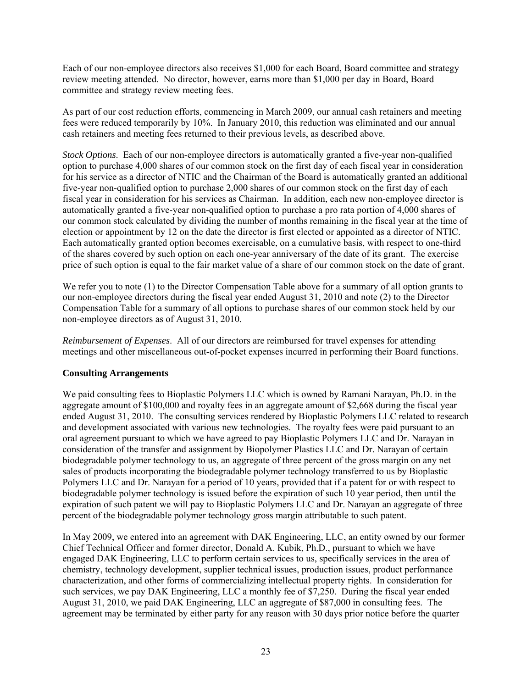Each of our non-employee directors also receives \$1,000 for each Board, Board committee and strategy review meeting attended. No director, however, earns more than \$1,000 per day in Board, Board committee and strategy review meeting fees.

As part of our cost reduction efforts, commencing in March 2009, our annual cash retainers and meeting fees were reduced temporarily by 10%. In January 2010, this reduction was eliminated and our annual cash retainers and meeting fees returned to their previous levels, as described above.

*Stock Options*. Each of our non-employee directors is automatically granted a five-year non-qualified option to purchase 4,000 shares of our common stock on the first day of each fiscal year in consideration for his service as a director of NTIC and the Chairman of the Board is automatically granted an additional five-year non-qualified option to purchase 2,000 shares of our common stock on the first day of each fiscal year in consideration for his services as Chairman. In addition, each new non-employee director is automatically granted a five-year non-qualified option to purchase a pro rata portion of 4,000 shares of our common stock calculated by dividing the number of months remaining in the fiscal year at the time of election or appointment by 12 on the date the director is first elected or appointed as a director of NTIC. Each automatically granted option becomes exercisable, on a cumulative basis, with respect to one-third of the shares covered by such option on each one-year anniversary of the date of its grant. The exercise price of such option is equal to the fair market value of a share of our common stock on the date of grant.

We refer you to note (1) to the Director Compensation Table above for a summary of all option grants to our non-employee directors during the fiscal year ended August 31, 2010 and note (2) to the Director Compensation Table for a summary of all options to purchase shares of our common stock held by our non-employee directors as of August 31, 2010.

*Reimbursement of Expenses*. All of our directors are reimbursed for travel expenses for attending meetings and other miscellaneous out-of-pocket expenses incurred in performing their Board functions.

## **Consulting Arrangements**

We paid consulting fees to Bioplastic Polymers LLC which is owned by Ramani Narayan, Ph.D. in the aggregate amount of \$100,000 and royalty fees in an aggregate amount of \$2,668 during the fiscal year ended August 31, 2010. The consulting services rendered by Bioplastic Polymers LLC related to research and development associated with various new technologies. The royalty fees were paid pursuant to an oral agreement pursuant to which we have agreed to pay Bioplastic Polymers LLC and Dr. Narayan in consideration of the transfer and assignment by Biopolymer Plastics LLC and Dr. Narayan of certain biodegradable polymer technology to us, an aggregate of three percent of the gross margin on any net sales of products incorporating the biodegradable polymer technology transferred to us by Bioplastic Polymers LLC and Dr. Narayan for a period of 10 years, provided that if a patent for or with respect to biodegradable polymer technology is issued before the expiration of such 10 year period, then until the expiration of such patent we will pay to Bioplastic Polymers LLC and Dr. Narayan an aggregate of three percent of the biodegradable polymer technology gross margin attributable to such patent.

In May 2009, we entered into an agreement with DAK Engineering, LLC, an entity owned by our former Chief Technical Officer and former director, Donald A. Kubik, Ph.D., pursuant to which we have engaged DAK Engineering, LLC to perform certain services to us, specifically services in the area of chemistry, technology development, supplier technical issues, production issues, product performance characterization, and other forms of commercializing intellectual property rights. In consideration for such services, we pay DAK Engineering, LLC a monthly fee of \$7,250. During the fiscal year ended August 31, 2010, we paid DAK Engineering, LLC an aggregate of \$87,000 in consulting fees. The agreement may be terminated by either party for any reason with 30 days prior notice before the quarter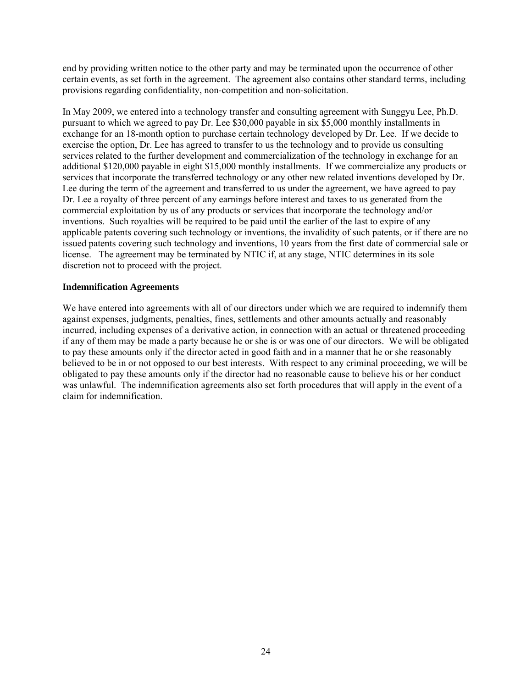end by providing written notice to the other party and may be terminated upon the occurrence of other certain events, as set forth in the agreement. The agreement also contains other standard terms, including provisions regarding confidentiality, non-competition and non-solicitation.

In May 2009, we entered into a technology transfer and consulting agreement with Sunggyu Lee, Ph.D. pursuant to which we agreed to pay Dr. Lee \$30,000 payable in six \$5,000 monthly installments in exchange for an 18-month option to purchase certain technology developed by Dr. Lee. If we decide to exercise the option, Dr. Lee has agreed to transfer to us the technology and to provide us consulting services related to the further development and commercialization of the technology in exchange for an additional \$120,000 payable in eight \$15,000 monthly installments. If we commercialize any products or services that incorporate the transferred technology or any other new related inventions developed by Dr. Lee during the term of the agreement and transferred to us under the agreement, we have agreed to pay Dr. Lee a royalty of three percent of any earnings before interest and taxes to us generated from the commercial exploitation by us of any products or services that incorporate the technology and/or inventions. Such royalties will be required to be paid until the earlier of the last to expire of any applicable patents covering such technology or inventions, the invalidity of such patents, or if there are no issued patents covering such technology and inventions, 10 years from the first date of commercial sale or license. The agreement may be terminated by NTIC if, at any stage, NTIC determines in its sole discretion not to proceed with the project.

#### **Indemnification Agreements**

We have entered into agreements with all of our directors under which we are required to indemnify them against expenses, judgments, penalties, fines, settlements and other amounts actually and reasonably incurred, including expenses of a derivative action, in connection with an actual or threatened proceeding if any of them may be made a party because he or she is or was one of our directors. We will be obligated to pay these amounts only if the director acted in good faith and in a manner that he or she reasonably believed to be in or not opposed to our best interests. With respect to any criminal proceeding, we will be obligated to pay these amounts only if the director had no reasonable cause to believe his or her conduct was unlawful. The indemnification agreements also set forth procedures that will apply in the event of a claim for indemnification.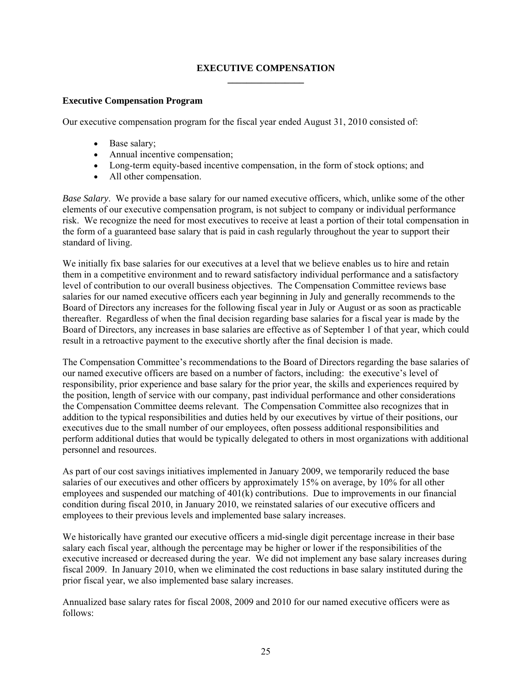## **EXECUTIVE COMPENSATION \_\_\_\_\_\_\_\_\_\_\_\_\_\_\_\_**

## **Executive Compensation Program**

Our executive compensation program for the fiscal year ended August 31, 2010 consisted of:

- Base salary;
- Annual incentive compensation;
- Long-term equity-based incentive compensation, in the form of stock options; and
- All other compensation.

*Base Salary*. We provide a base salary for our named executive officers, which, unlike some of the other elements of our executive compensation program, is not subject to company or individual performance risk. We recognize the need for most executives to receive at least a portion of their total compensation in the form of a guaranteed base salary that is paid in cash regularly throughout the year to support their standard of living.

We initially fix base salaries for our executives at a level that we believe enables us to hire and retain them in a competitive environment and to reward satisfactory individual performance and a satisfactory level of contribution to our overall business objectives. The Compensation Committee reviews base salaries for our named executive officers each year beginning in July and generally recommends to the Board of Directors any increases for the following fiscal year in July or August or as soon as practicable thereafter. Regardless of when the final decision regarding base salaries for a fiscal year is made by the Board of Directors, any increases in base salaries are effective as of September 1 of that year, which could result in a retroactive payment to the executive shortly after the final decision is made.

The Compensation Committee's recommendations to the Board of Directors regarding the base salaries of our named executive officers are based on a number of factors, including: the executive's level of responsibility, prior experience and base salary for the prior year, the skills and experiences required by the position, length of service with our company, past individual performance and other considerations the Compensation Committee deems relevant. The Compensation Committee also recognizes that in addition to the typical responsibilities and duties held by our executives by virtue of their positions, our executives due to the small number of our employees, often possess additional responsibilities and perform additional duties that would be typically delegated to others in most organizations with additional personnel and resources.

As part of our cost savings initiatives implemented in January 2009, we temporarily reduced the base salaries of our executives and other officers by approximately 15% on average, by 10% for all other employees and suspended our matching of 401(k) contributions.Due to improvements in our financial condition during fiscal 2010, in January 2010, we reinstated salaries of our executive officers and employees to their previous levels and implemented base salary increases.

We historically have granted our executive officers a mid-single digit percentage increase in their base salary each fiscal year, although the percentage may be higher or lower if the responsibilities of the executive increased or decreased during the year. We did not implement any base salary increases during fiscal 2009. In January 2010, when we eliminated the cost reductions in base salary instituted during the prior fiscal year, we also implemented base salary increases.

Annualized base salary rates for fiscal 2008, 2009 and 2010 for our named executive officers were as follows: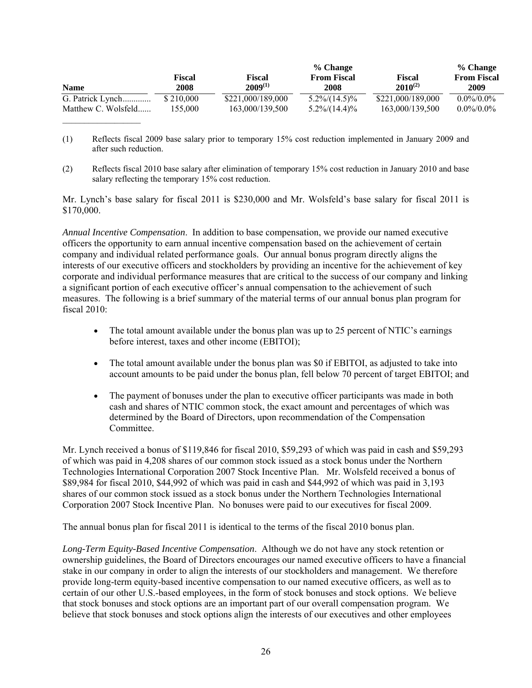|                     |           |                   | % Change           |                   | % Change           |
|---------------------|-----------|-------------------|--------------------|-------------------|--------------------|
|                     | Fiscal    | <b>Fiscal</b>     | <b>From Fiscal</b> | Fiscal            | <b>From Fiscal</b> |
| <b>Name</b>         | 2008      | $2009^{(1)}$      | 2008               | $2010^{(2)}$      | 2009               |
| G. Patrick Lynch    | \$210,000 | \$221,000/189,000 | $5.2\%/14.5\%$     | \$221,000/189,000 | $0.0\%/0.0\%$      |
| Matthew C. Wolsfeld | 155,000   | 163,000/139,500   | $5.2\%/14.4\%/6$   | 163,000/139.500   | $0.0\%/0.0\%$      |

- (1) Reflects fiscal 2009 base salary prior to temporary 15% cost reduction implemented in January 2009 and after such reduction.
- (2) Reflects fiscal 2010 base salary after elimination of temporary 15% cost reduction in January 2010 and base salary reflecting the temporary 15% cost reduction.

Mr. Lynch's base salary for fiscal 2011 is \$230,000 and Mr. Wolsfeld's base salary for fiscal 2011 is \$170,000.

*Annual Incentive Compensation*. In addition to base compensation, we provide our named executive officers the opportunity to earn annual incentive compensation based on the achievement of certain company and individual related performance goals. Our annual bonus program directly aligns the interests of our executive officers and stockholders by providing an incentive for the achievement of key corporate and individual performance measures that are critical to the success of our company and linking a significant portion of each executive officer's annual compensation to the achievement of such measures. The following is a brief summary of the material terms of our annual bonus plan program for fiscal 2010:

- The total amount available under the bonus plan was up to 25 percent of NTIC's earnings before interest, taxes and other income (EBITOI);
- The total amount available under the bonus plan was \$0 if EBITOI, as adjusted to take into account amounts to be paid under the bonus plan, fell below 70 percent of target EBITOI; and
- The payment of bonuses under the plan to executive officer participants was made in both cash and shares of NTIC common stock, the exact amount and percentages of which was determined by the Board of Directors, upon recommendation of the Compensation Committee.

Mr. Lynch received a bonus of \$119,846 for fiscal 2010, \$59,293 of which was paid in cash and \$59,293 of which was paid in 4,208 shares of our common stock issued as a stock bonus under the Northern Technologies International Corporation 2007 Stock Incentive Plan. Mr. Wolsfeld received a bonus of \$89,984 for fiscal 2010, \$44,992 of which was paid in cash and \$44,992 of which was paid in 3,193 shares of our common stock issued as a stock bonus under the Northern Technologies International Corporation 2007 Stock Incentive Plan. No bonuses were paid to our executives for fiscal 2009.

The annual bonus plan for fiscal 2011 is identical to the terms of the fiscal 2010 bonus plan.

*Long-Term Equity-Based Incentive Compensation*. Although we do not have any stock retention or ownership guidelines, the Board of Directors encourages our named executive officers to have a financial stake in our company in order to align the interests of our stockholders and management. We therefore provide long-term equity-based incentive compensation to our named executive officers, as well as to certain of our other U.S.-based employees, in the form of stock bonuses and stock options. We believe that stock bonuses and stock options are an important part of our overall compensation program. We believe that stock bonuses and stock options align the interests of our executives and other employees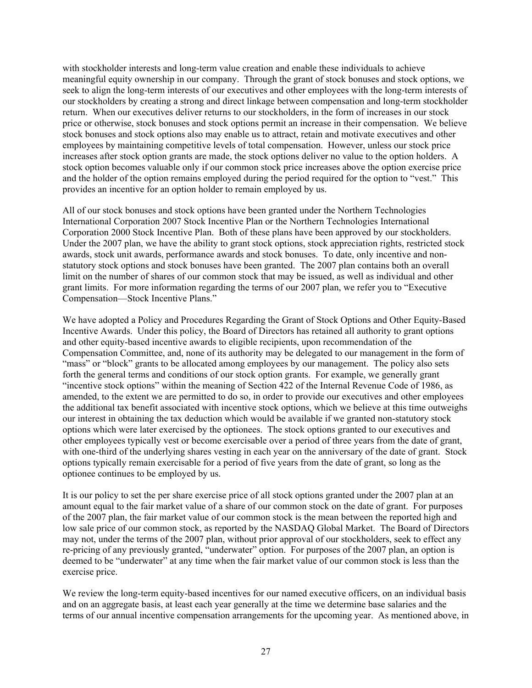with stockholder interests and long-term value creation and enable these individuals to achieve meaningful equity ownership in our company. Through the grant of stock bonuses and stock options, we seek to align the long-term interests of our executives and other employees with the long-term interests of our stockholders by creating a strong and direct linkage between compensation and long-term stockholder return. When our executives deliver returns to our stockholders, in the form of increases in our stock price or otherwise, stock bonuses and stock options permit an increase in their compensation. We believe stock bonuses and stock options also may enable us to attract, retain and motivate executives and other employees by maintaining competitive levels of total compensation. However, unless our stock price increases after stock option grants are made, the stock options deliver no value to the option holders. A stock option becomes valuable only if our common stock price increases above the option exercise price and the holder of the option remains employed during the period required for the option to "vest." This provides an incentive for an option holder to remain employed by us.

All of our stock bonuses and stock options have been granted under the Northern Technologies International Corporation 2007 Stock Incentive Plan or the Northern Technologies International Corporation 2000 Stock Incentive Plan. Both of these plans have been approved by our stockholders. Under the 2007 plan, we have the ability to grant stock options, stock appreciation rights, restricted stock awards, stock unit awards, performance awards and stock bonuses. To date, only incentive and nonstatutory stock options and stock bonuses have been granted. The 2007 plan contains both an overall limit on the number of shares of our common stock that may be issued, as well as individual and other grant limits. For more information regarding the terms of our 2007 plan, we refer you to "Executive Compensation—Stock Incentive Plans."

We have adopted a Policy and Procedures Regarding the Grant of Stock Options and Other Equity-Based Incentive Awards. Under this policy, the Board of Directors has retained all authority to grant options and other equity-based incentive awards to eligible recipients, upon recommendation of the Compensation Committee, and, none of its authority may be delegated to our management in the form of "mass" or "block" grants to be allocated among employees by our management. The policy also sets forth the general terms and conditions of our stock option grants. For example, we generally grant "incentive stock options" within the meaning of Section 422 of the Internal Revenue Code of 1986, as amended, to the extent we are permitted to do so, in order to provide our executives and other employees the additional tax benefit associated with incentive stock options, which we believe at this time outweighs our interest in obtaining the tax deduction which would be available if we granted non-statutory stock options which were later exercised by the optionees. The stock options granted to our executives and other employees typically vest or become exercisable over a period of three years from the date of grant, with one-third of the underlying shares vesting in each year on the anniversary of the date of grant. Stock options typically remain exercisable for a period of five years from the date of grant, so long as the optionee continues to be employed by us.

It is our policy to set the per share exercise price of all stock options granted under the 2007 plan at an amount equal to the fair market value of a share of our common stock on the date of grant. For purposes of the 2007 plan, the fair market value of our common stock is the mean between the reported high and low sale price of our common stock, as reported by the NASDAQ Global Market. The Board of Directors may not, under the terms of the 2007 plan, without prior approval of our stockholders, seek to effect any re-pricing of any previously granted, "underwater" option. For purposes of the 2007 plan, an option is deemed to be "underwater" at any time when the fair market value of our common stock is less than the exercise price.

We review the long-term equity-based incentives for our named executive officers, on an individual basis and on an aggregate basis, at least each year generally at the time we determine base salaries and the terms of our annual incentive compensation arrangements for the upcoming year. As mentioned above, in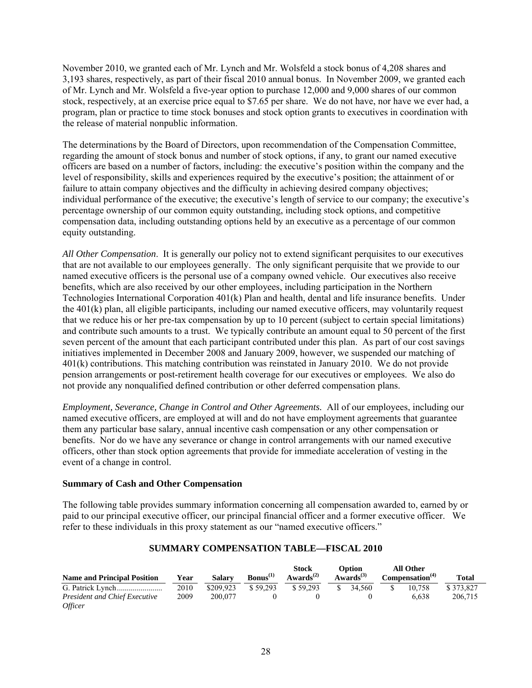November 2010, we granted each of Mr. Lynch and Mr. Wolsfeld a stock bonus of 4,208 shares and 3,193 shares, respectively, as part of their fiscal 2010 annual bonus. In November 2009, we granted each of Mr. Lynch and Mr. Wolsfeld a five-year option to purchase 12,000 and 9,000 shares of our common stock, respectively, at an exercise price equal to \$7.65 per share. We do not have, nor have we ever had, a program, plan or practice to time stock bonuses and stock option grants to executives in coordination with the release of material nonpublic information.

The determinations by the Board of Directors, upon recommendation of the Compensation Committee, regarding the amount of stock bonus and number of stock options, if any, to grant our named executive officers are based on a number of factors, including: the executive's position within the company and the level of responsibility, skills and experiences required by the executive's position; the attainment of or failure to attain company objectives and the difficulty in achieving desired company objectives; individual performance of the executive; the executive's length of service to our company; the executive's percentage ownership of our common equity outstanding, including stock options, and competitive compensation data, including outstanding options held by an executive as a percentage of our common equity outstanding.

*All Other Compensation*. It is generally our policy not to extend significant perquisites to our executives that are not available to our employees generally. The only significant perquisite that we provide to our named executive officers is the personal use of a company owned vehicle. Our executives also receive benefits, which are also received by our other employees, including participation in the Northern Technologies International Corporation 401(k) Plan and health, dental and life insurance benefits. Under the 401(k) plan, all eligible participants, including our named executive officers, may voluntarily request that we reduce his or her pre-tax compensation by up to 10 percent (subject to certain special limitations) and contribute such amounts to a trust. We typically contribute an amount equal to 50 percent of the first seven percent of the amount that each participant contributed under this plan. As part of our cost savings initiatives implemented in December 2008 and January 2009, however, we suspended our matching of 401(k) contributions. This matching contribution was reinstated in January 2010. We do not provide pension arrangements or post-retirement health coverage for our executives or employees. We also do not provide any nonqualified defined contribution or other deferred compensation plans.

*Employment, Severance, Change in Control and Other Agreements.* All of our employees, including our named executive officers, are employed at will and do not have employment agreements that guarantee them any particular base salary, annual incentive cash compensation or any other compensation or benefits. Nor do we have any severance or change in control arrangements with our named executive officers, other than stock option agreements that provide for immediate acceleration of vesting in the event of a change in control.

## **Summary of Cash and Other Compensation**

The following table provides summary information concerning all compensation awarded to, earned by or paid to our principal executive officer, our principal financial officer and a former executive officer. We refer to these individuals in this proxy statement as our "named executive officers."

#### **Name and Principal Position Year Salary Bonus(1) Stock**   $\mathbf{A}$ wards<sup>(2)</sup> **Option Awards(3) All Other Compensation(4) Total**  G. Patrick Lynch ....................... *President and Chief Executive Officer*  2010 2009 \$209,923 200,077 \$ 59,293  $\Omega$  \$ 59,293  $\Omega$  \$ 34,560  $\Omega$  \$ 10,758 6,638 \$ 373,827 206,715

## **SUMMARY COMPENSATION TABLE—FISCAL 2010**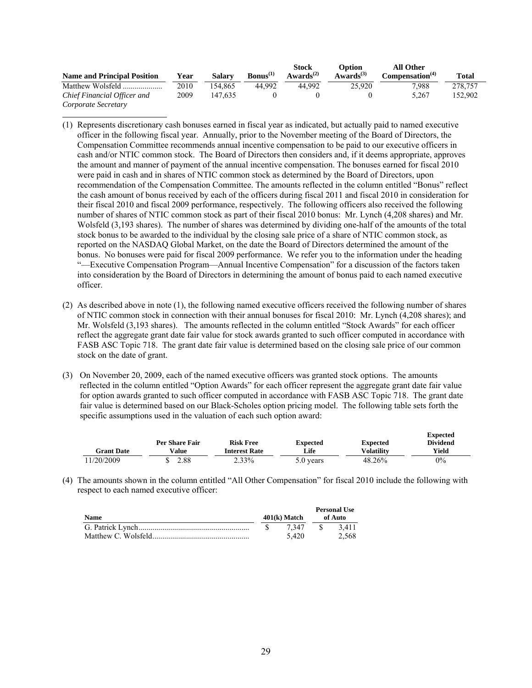|                                    |      |         |                      | <b>Stock</b>                       | Option                | All Other                   |              |
|------------------------------------|------|---------|----------------------|------------------------------------|-----------------------|-----------------------------|--------------|
| <b>Name and Principal Position</b> | Year | Salarv  | $\text{Bonus}^{(1)}$ | Awards <sup><math>(2)</math></sup> | Awards <sup>(3)</sup> | Compensation <sup>(4)</sup> | <b>Total</b> |
| Matthew Wolsfeld                   | 2010 | 54.865  | 44.992               | 44.992                             | 25.920                | 7.988                       | 278,757      |
| Chief Financial Officer and        | 2009 | 147.635 |                      |                                    |                       | 5.267                       | 152.902      |
| Corporate Secretary                |      |         |                      |                                    |                       |                             |              |

- (1) Represents discretionary cash bonuses earned in fiscal year as indicated, but actually paid to named executive officer in the following fiscal year. Annually, prior to the November meeting of the Board of Directors, the Compensation Committee recommends annual incentive compensation to be paid to our executive officers in cash and/or NTIC common stock. The Board of Directors then considers and, if it deems appropriate, approves the amount and manner of payment of the annual incentive compensation. The bonuses earned for fiscal 2010 were paid in cash and in shares of NTIC common stock as determined by the Board of Directors, upon recommendation of the Compensation Committee. The amounts reflected in the column entitled "Bonus" reflect the cash amount of bonus received by each of the officers during fiscal 2011 and fiscal 2010 in consideration for their fiscal 2010 and fiscal 2009 performance, respectively. The following officers also received the following number of shares of NTIC common stock as part of their fiscal 2010 bonus: Mr. Lynch (4,208 shares) and Mr. Wolsfeld (3,193 shares). The number of shares was determined by dividing one-half of the amounts of the total stock bonus to be awarded to the individual by the closing sale price of a share of NTIC common stock, as reported on the NASDAQ Global Market, on the date the Board of Directors determined the amount of the bonus. No bonuses were paid for fiscal 2009 performance. We refer you to the information under the heading "—Executive Compensation Program—Annual Incentive Compensation" for a discussion of the factors taken into consideration by the Board of Directors in determining the amount of bonus paid to each named executive officer.
- (2) As described above in note (1), the following named executive officers received the following number of shares of NTIC common stock in connection with their annual bonuses for fiscal 2010: Mr. Lynch (4,208 shares); and Mr. Wolsfeld (3,193 shares). The amounts reflected in the column entitled "Stock Awards" for each officer reflect the aggregate grant date fair value for stock awards granted to such officer computed in accordance with FASB ASC Topic 718. The grant date fair value is determined based on the closing sale price of our common stock on the date of grant.
- (3) On November 20, 2009, each of the named executive officers was granted stock options. The amounts reflected in the column entitled "Option Awards" for each officer represent the aggregate grant date fair value for option awards granted to such officer computed in accordance with FASB ASC Topic 718. The grant date fair value is determined based on our Black-Scholes option pricing model. The following table sets forth the specific assumptions used in the valuation of each such option award:

|                   |                |                      |                 |                   | <b>Expected</b> |
|-------------------|----------------|----------------------|-----------------|-------------------|-----------------|
|                   | Per Share Fair | <b>Risk Free</b>     | <b>Expected</b> | <b>Expected</b>   | <b>Dividend</b> |
| <b>Grant Date</b> | Value          | <b>Interest Rate</b> | Life            | <b>Volatility</b> | Yield           |
| 11/20/2009        | 2.88           | 2.33%                | 5.0 years       | 48.26%            | $0\%$           |

(4) The amounts shown in the column entitled "All Other Compensation" for fiscal 2010 include the following with respect to each named executive officer:

|             |                | <b>Personal Use</b> |
|-------------|----------------|---------------------|
| <b>Name</b> | $401(k)$ Match | of Auto             |
|             | 7 347          | 3.411               |
|             | 5.420          | 2.568               |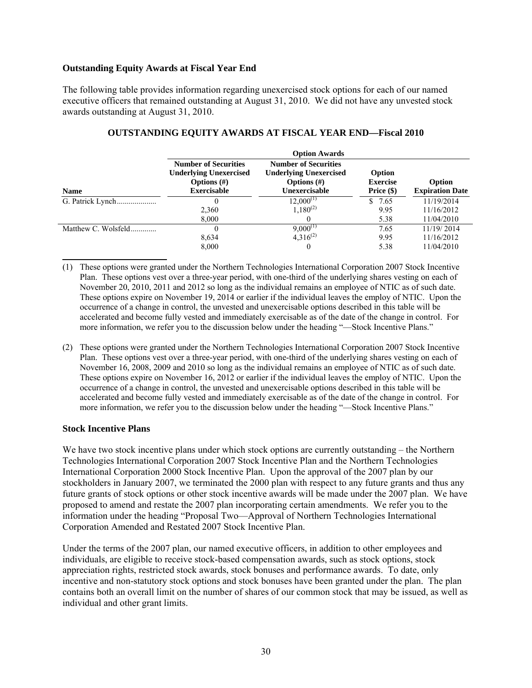#### **Outstanding Equity Awards at Fiscal Year End**

The following table provides information regarding unexercised stock options for each of our named executive officers that remained outstanding at August 31, 2010. We did not have any unvested stock awards outstanding at August 31, 2010.

|                     | <b>Option Awards</b>                                                                                 |                                                                                                 |                                           |                                  |  |
|---------------------|------------------------------------------------------------------------------------------------------|-------------------------------------------------------------------------------------------------|-------------------------------------------|----------------------------------|--|
| <b>Name</b>         | <b>Number of Securities</b><br><b>Underlying Unexercised</b><br>Options $(\#)$<br><b>Exercisable</b> | <b>Number of Securities</b><br><b>Underlying Unexercised</b><br>Options $(\#)$<br>Unexercisable | Option<br><b>Exercise</b><br>Price $(\$)$ | Option<br><b>Expiration Date</b> |  |
|                     | 0                                                                                                    | $12.000^{(1)}$                                                                                  | 7.65<br>S.                                | 11/19/2014                       |  |
|                     | 2,360                                                                                                | $1,180^{(2)}$                                                                                   | 9.95                                      | 11/16/2012                       |  |
|                     | 8,000                                                                                                |                                                                                                 | 5.38                                      | 11/04/2010                       |  |
| Matthew C. Wolsfeld | 0                                                                                                    | $9,000^{(1)}$                                                                                   | 7.65                                      | 11/19/2014                       |  |
|                     | 8,634                                                                                                | $4.316^{(2)}$                                                                                   | 9.95                                      | 11/16/2012                       |  |
|                     | 8,000                                                                                                |                                                                                                 | 5.38                                      | 11/04/2010                       |  |

#### **OUTSTANDING EQUITY AWARDS AT FISCAL YEAR END—Fiscal 2010**

- (1) These options were granted under the Northern Technologies International Corporation 2007 Stock Incentive Plan. These options vest over a three-year period, with one-third of the underlying shares vesting on each of November 20, 2010, 2011 and 2012 so long as the individual remains an employee of NTIC as of such date. These options expire on November 19, 2014 or earlier if the individual leaves the employ of NTIC. Upon the occurrence of a change in control, the unvested and unexercisable options described in this table will be accelerated and become fully vested and immediately exercisable as of the date of the change in control. For more information, we refer you to the discussion below under the heading "—Stock Incentive Plans."
- (2) These options were granted under the Northern Technologies International Corporation 2007 Stock Incentive Plan. These options vest over a three-year period, with one-third of the underlying shares vesting on each of November 16, 2008, 2009 and 2010 so long as the individual remains an employee of NTIC as of such date. These options expire on November 16, 2012 or earlier if the individual leaves the employ of NTIC. Upon the occurrence of a change in control, the unvested and unexercisable options described in this table will be accelerated and become fully vested and immediately exercisable as of the date of the change in control. For more information, we refer you to the discussion below under the heading "—Stock Incentive Plans."

#### **Stock Incentive Plans**

We have two stock incentive plans under which stock options are currently outstanding – the Northern Technologies International Corporation 2007 Stock Incentive Plan and the Northern Technologies International Corporation 2000 Stock Incentive Plan. Upon the approval of the 2007 plan by our stockholders in January 2007, we terminated the 2000 plan with respect to any future grants and thus any future grants of stock options or other stock incentive awards will be made under the 2007 plan. We have proposed to amend and restate the 2007 plan incorporating certain amendments. We refer you to the information under the heading "Proposal Two—Approval of Northern Technologies International Corporation Amended and Restated 2007 Stock Incentive Plan.

Under the terms of the 2007 plan, our named executive officers, in addition to other employees and individuals, are eligible to receive stock-based compensation awards, such as stock options, stock appreciation rights, restricted stock awards, stock bonuses and performance awards. To date, only incentive and non-statutory stock options and stock bonuses have been granted under the plan. The plan contains both an overall limit on the number of shares of our common stock that may be issued, as well as individual and other grant limits.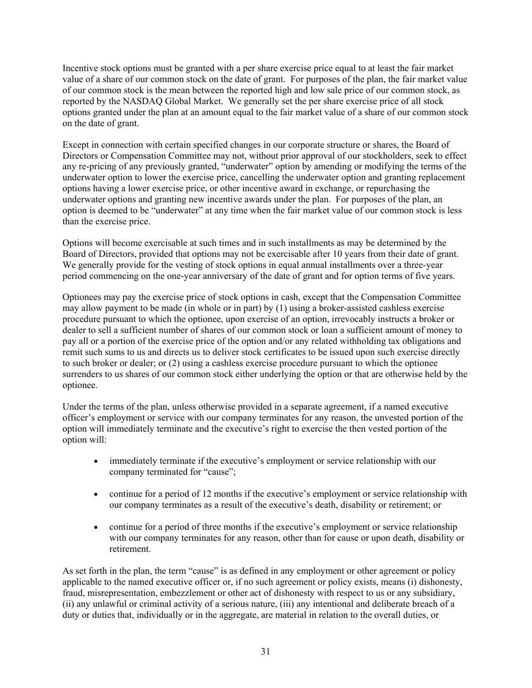Incentive stock options must be granted with a per share exercise price equal to at least the fair market value of a share of our common stock on the date of grant. For purposes of the plan, the fair market value of our common stock is the mean between the reported high and low sale price of our common stock, as reported by the NASDAQ Global Market. We generally set the per share exercise price of all stock options granted under the plan at an amount equal to the fair market value of a share of our common stock on the date of grant.

Except in connection with certain specified changes in our corporate structure or shares, the Board of Directors or Compensation Committee may not, without prior approval of our stockholders, seek to effect any re-pricing of any previously granted, "underwater" option by amending or modifying the terms of the underwater option to lower the exercise price, cancelling the underwater option and granting replacement options having a lower exercise price, or other incentive award in exchange, or repurchasing the underwater options and granting new incentive awards under the plan. For purposes of the plan, an option is deemed to be "underwater" at any time when the fair market value of our common stock is less than the exercise price.

Options will become exercisable at such times and in such installments as may be determined by the Board of Directors, provided that options may not be exercisable after 10 years from their date of grant. We generally provide for the vesting of stock options in equal annual installments over a three-year period commencing on the one-year anniversary of the date of grant and for option terms of five years.

Optionees may pay the exercise price of stock options in cash, except that the Compensation Committee may allow payment to be made (in whole or in part) by (1) using a broker-assisted cashless exercise procedure pursuant to which the optionee, upon exercise of an option, irrevocably instructs a broker or dealer to sell a sufficient number of shares of our common stock or loan a sufficient amount of money to pay all or a portion of the exercise price of the option and/or any related withholding tax obligations and remit such sums to us and directs us to deliver stock certificates to be issued upon such exercise directly to such broker or dealer; or (2) using a cashless exercise procedure pursuant to which the optionee surrenders to us shares of our common stock either underlying the option or that are otherwise held by the optionee.

Under the terms of the plan, unless otherwise provided in a separate agreement, if a named executive officer's employment or service with our company terminates for any reason, the unvested portion of the option will immediately terminate and the executive's right to exercise the then vested portion of the option will:

- immediately terminate if the executive's employment or service relationship with our company terminated for "cause";
- continue for a period of 12 months if the executive's employment or service relationship with our company terminates as a result of the executive's death, disability or retirement; or
- continue for a period of three months if the executive's employment or service relationship with our company terminates for any reason, other than for cause or upon death, disability or retirement.

As set forth in the plan, the term "cause" is as defined in any employment or other agreement or policy applicable to the named executive officer or, if no such agreement or policy exists, means (i) dishonesty, fraud, misrepresentation, embezzlement or other act of dishonesty with respect to us or any subsidiary, (ii) any unlawful or criminal activity of a serious nature, (iii) any intentional and deliberate breach of a duty or duties that, individually or in the aggregate, are material in relation to the overall duties, or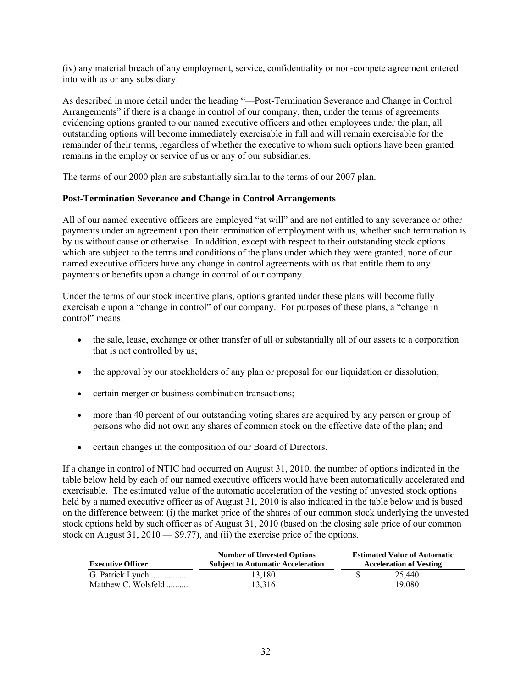(iv) any material breach of any employment, service, confidentiality or non-compete agreement entered into with us or any subsidiary.

As described in more detail under the heading "—Post-Termination Severance and Change in Control Arrangements" if there is a change in control of our company, then, under the terms of agreements evidencing options granted to our named executive officers and other employees under the plan, all outstanding options will become immediately exercisable in full and will remain exercisable for the remainder of their terms, regardless of whether the executive to whom such options have been granted remains in the employ or service of us or any of our subsidiaries.

The terms of our 2000 plan are substantially similar to the terms of our 2007 plan.

# **Post-Termination Severance and Change in Control Arrangements**

All of our named executive officers are employed "at will" and are not entitled to any severance or other payments under an agreement upon their termination of employment with us, whether such termination is by us without cause or otherwise. In addition, except with respect to their outstanding stock options which are subject to the terms and conditions of the plans under which they were granted, none of our named executive officers have any change in control agreements with us that entitle them to any payments or benefits upon a change in control of our company.

Under the terms of our stock incentive plans, options granted under these plans will become fully exercisable upon a "change in control" of our company. For purposes of these plans, a "change in control" means:

- the sale, lease, exchange or other transfer of all or substantially all of our assets to a corporation that is not controlled by us;
- the approval by our stockholders of any plan or proposal for our liquidation or dissolution;
- certain merger or business combination transactions;
- more than 40 percent of our outstanding voting shares are acquired by any person or group of persons who did not own any shares of common stock on the effective date of the plan; and
- certain changes in the composition of our Board of Directors.

If a change in control of NTIC had occurred on August 31, 2010, the number of options indicated in the table below held by each of our named executive officers would have been automatically accelerated and exercisable. The estimated value of the automatic acceleration of the vesting of unvested stock options held by a named executive officer as of August 31, 2010 is also indicated in the table below and is based on the difference between: (i) the market price of the shares of our common stock underlying the unvested stock options held by such officer as of August 31, 2010 (based on the closing sale price of our common stock on August 31,  $2010 - $9.77$ , and (ii) the exercise price of the options.

| <b>Executive Officer</b> | <b>Number of Unvested Options</b><br><b>Subject to Automatic Acceleration</b> |  | <b>Estimated Value of Automatic</b><br><b>Acceleration of Vesting</b> |
|--------------------------|-------------------------------------------------------------------------------|--|-----------------------------------------------------------------------|
| G. Patrick Lynch         | 13.180                                                                        |  | 25.440                                                                |
| Matthew C. Wolsfeld      | 13,316                                                                        |  | 19.080                                                                |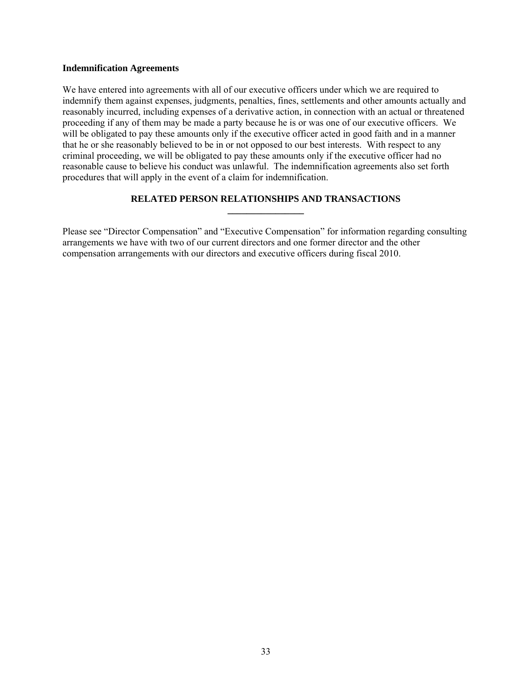#### **Indemnification Agreements**

We have entered into agreements with all of our executive officers under which we are required to indemnify them against expenses, judgments, penalties, fines, settlements and other amounts actually and reasonably incurred, including expenses of a derivative action, in connection with an actual or threatened proceeding if any of them may be made a party because he is or was one of our executive officers. We will be obligated to pay these amounts only if the executive officer acted in good faith and in a manner that he or she reasonably believed to be in or not opposed to our best interests. With respect to any criminal proceeding, we will be obligated to pay these amounts only if the executive officer had no reasonable cause to believe his conduct was unlawful. The indemnification agreements also set forth procedures that will apply in the event of a claim for indemnification.

## **RELATED PERSON RELATIONSHIPS AND TRANSACTIONS \_\_\_\_\_\_\_\_\_\_\_\_\_\_\_\_**

Please see "Director Compensation" and "Executive Compensation" for information regarding consulting arrangements we have with two of our current directors and one former director and the other compensation arrangements with our directors and executive officers during fiscal 2010.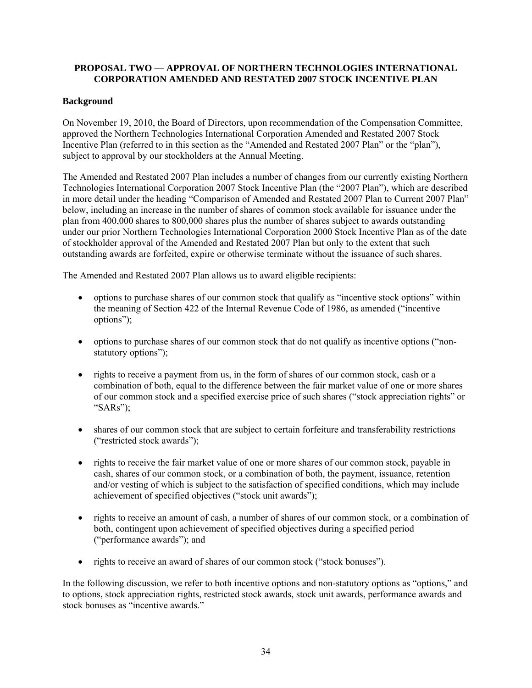# **PROPOSAL TWO — APPROVAL OF NORTHERN TECHNOLOGIES INTERNATIONAL CORPORATION AMENDED AND RESTATED 2007 STOCK INCENTIVE PLAN**

# **Background**

On November 19, 2010, the Board of Directors, upon recommendation of the Compensation Committee, approved the Northern Technologies International Corporation Amended and Restated 2007 Stock Incentive Plan (referred to in this section as the "Amended and Restated 2007 Plan" or the "plan"), subject to approval by our stockholders at the Annual Meeting.

The Amended and Restated 2007 Plan includes a number of changes from our currently existing Northern Technologies International Corporation 2007 Stock Incentive Plan (the "2007 Plan"), which are described in more detail under the heading "Comparison of Amended and Restated 2007 Plan to Current 2007 Plan" below, including an increase in the number of shares of common stock available for issuance under the plan from 400,000 shares to 800,000 shares plus the number of shares subject to awards outstanding under our prior Northern Technologies International Corporation 2000 Stock Incentive Plan as of the date of stockholder approval of the Amended and Restated 2007 Plan but only to the extent that such outstanding awards are forfeited, expire or otherwise terminate without the issuance of such shares.

The Amended and Restated 2007 Plan allows us to award eligible recipients:

- options to purchase shares of our common stock that qualify as "incentive stock options" within the meaning of Section 422 of the Internal Revenue Code of 1986, as amended ("incentive options");
- options to purchase shares of our common stock that do not qualify as incentive options ("nonstatutory options");
- rights to receive a payment from us, in the form of shares of our common stock, cash or a combination of both, equal to the difference between the fair market value of one or more shares of our common stock and a specified exercise price of such shares ("stock appreciation rights" or "SARs");
- shares of our common stock that are subject to certain forfeiture and transferability restrictions ("restricted stock awards");
- rights to receive the fair market value of one or more shares of our common stock, payable in cash, shares of our common stock, or a combination of both, the payment, issuance, retention and/or vesting of which is subject to the satisfaction of specified conditions, which may include achievement of specified objectives ("stock unit awards");
- rights to receive an amount of cash, a number of shares of our common stock, or a combination of both, contingent upon achievement of specified objectives during a specified period ("performance awards"); and
- rights to receive an award of shares of our common stock ("stock bonuses").

In the following discussion, we refer to both incentive options and non-statutory options as "options," and to options, stock appreciation rights, restricted stock awards, stock unit awards, performance awards and stock bonuses as "incentive awards."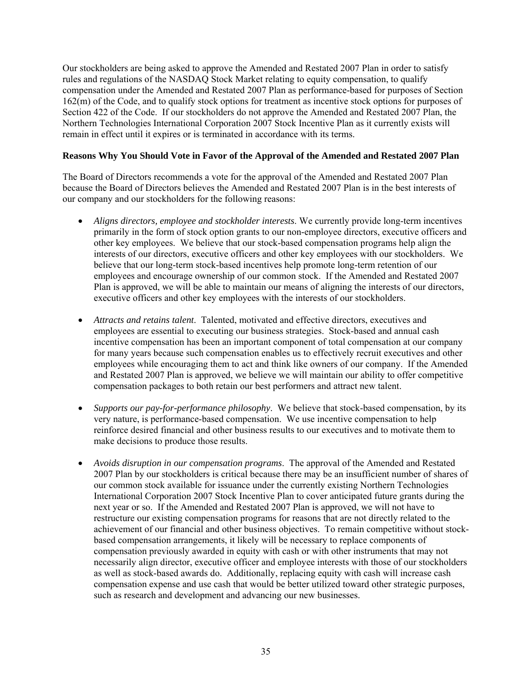Our stockholders are being asked to approve the Amended and Restated 2007 Plan in order to satisfy rules and regulations of the NASDAQ Stock Market relating to equity compensation, to qualify compensation under the Amended and Restated 2007 Plan as performance-based for purposes of Section 162(m) of the Code, and to qualify stock options for treatment as incentive stock options for purposes of Section 422 of the Code. If our stockholders do not approve the Amended and Restated 2007 Plan, the Northern Technologies International Corporation 2007 Stock Incentive Plan as it currently exists will remain in effect until it expires or is terminated in accordance with its terms.

## **Reasons Why You Should Vote in Favor of the Approval of the Amended and Restated 2007 Plan**

The Board of Directors recommends a vote for the approval of the Amended and Restated 2007 Plan because the Board of Directors believes the Amended and Restated 2007 Plan is in the best interests of our company and our stockholders for the following reasons:

- *Aligns directors, employee and stockholder interests*. We currently provide long-term incentives primarily in the form of stock option grants to our non-employee directors, executive officers and other key employees. We believe that our stock-based compensation programs help align the interests of our directors, executive officers and other key employees with our stockholders. We believe that our long-term stock-based incentives help promote long-term retention of our employees and encourage ownership of our common stock. If the Amended and Restated 2007 Plan is approved, we will be able to maintain our means of aligning the interests of our directors, executive officers and other key employees with the interests of our stockholders.
- *Attracts and retains talent*. Talented, motivated and effective directors, executives and employees are essential to executing our business strategies. Stock-based and annual cash incentive compensation has been an important component of total compensation at our company for many years because such compensation enables us to effectively recruit executives and other employees while encouraging them to act and think like owners of our company. If the Amended and Restated 2007 Plan is approved, we believe we will maintain our ability to offer competitive compensation packages to both retain our best performers and attract new talent.
- *Supports our pay-for-performance philosophy*. We believe that stock-based compensation, by its very nature, is performance-based compensation. We use incentive compensation to help reinforce desired financial and other business results to our executives and to motivate them to make decisions to produce those results.
- *Avoids disruption in our compensation programs*. The approval of the Amended and Restated 2007 Plan by our stockholders is critical because there may be an insufficient number of shares of our common stock available for issuance under the currently existing Northern Technologies International Corporation 2007 Stock Incentive Plan to cover anticipated future grants during the next year or so. If the Amended and Restated 2007 Plan is approved, we will not have to restructure our existing compensation programs for reasons that are not directly related to the achievement of our financial and other business objectives. To remain competitive without stockbased compensation arrangements, it likely will be necessary to replace components of compensation previously awarded in equity with cash or with other instruments that may not necessarily align director, executive officer and employee interests with those of our stockholders as well as stock-based awards do. Additionally, replacing equity with cash will increase cash compensation expense and use cash that would be better utilized toward other strategic purposes, such as research and development and advancing our new businesses.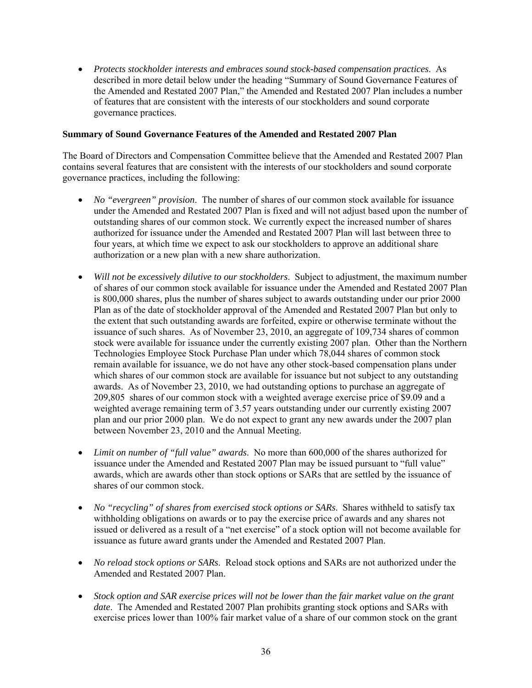*Protects stockholder interests and embraces sound stock-based compensation practices*. As described in more detail below under the heading "Summary of Sound Governance Features of the Amended and Restated 2007 Plan," the Amended and Restated 2007 Plan includes a number of features that are consistent with the interests of our stockholders and sound corporate governance practices.

#### **Summary of Sound Governance Features of the Amended and Restated 2007 Plan**

The Board of Directors and Compensation Committee believe that the Amended and Restated 2007 Plan contains several features that are consistent with the interests of our stockholders and sound corporate governance practices, including the following:

- *No "evergreen" provision*. The number of shares of our common stock available for issuance under the Amended and Restated 2007 Plan is fixed and will not adjust based upon the number of outstanding shares of our common stock. We currently expect the increased number of shares authorized for issuance under the Amended and Restated 2007 Plan will last between three to four years, at which time we expect to ask our stockholders to approve an additional share authorization or a new plan with a new share authorization.
- *Will not be excessively dilutive to our stockholders*. Subject to adjustment, the maximum number of shares of our common stock available for issuance under the Amended and Restated 2007 Plan is 800,000 shares, plus the number of shares subject to awards outstanding under our prior 2000 Plan as of the date of stockholder approval of the Amended and Restated 2007 Plan but only to the extent that such outstanding awards are forfeited, expire or otherwise terminate without the issuance of such shares. As of November 23, 2010, an aggregate of 109,734 shares of common stock were available for issuance under the currently existing 2007 plan. Other than the Northern Technologies Employee Stock Purchase Plan under which 78,044 shares of common stock remain available for issuance, we do not have any other stock-based compensation plans under which shares of our common stock are available for issuance but not subject to any outstanding awards. As of November 23, 2010, we had outstanding options to purchase an aggregate of 209,805 shares of our common stock with a weighted average exercise price of \$9.09 and a weighted average remaining term of 3.57 years outstanding under our currently existing 2007 plan and our prior 2000 plan. We do not expect to grant any new awards under the 2007 plan between November 23, 2010 and the Annual Meeting.
- *Limit on number of "full value" awards*. No more than 600,000 of the shares authorized for issuance under the Amended and Restated 2007 Plan may be issued pursuant to "full value" awards, which are awards other than stock options or SARs that are settled by the issuance of shares of our common stock.
- *No "recycling" of shares from exercised stock options or SARs*. Shares withheld to satisfy tax withholding obligations on awards or to pay the exercise price of awards and any shares not issued or delivered as a result of a "net exercise" of a stock option will not become available for issuance as future award grants under the Amended and Restated 2007 Plan.
- *No reload stock options or SARs*. Reload stock options and SARs are not authorized under the Amended and Restated 2007 Plan.
- *Stock option and SAR exercise prices will not be lower than the fair market value on the grant date*. The Amended and Restated 2007 Plan prohibits granting stock options and SARs with exercise prices lower than 100% fair market value of a share of our common stock on the grant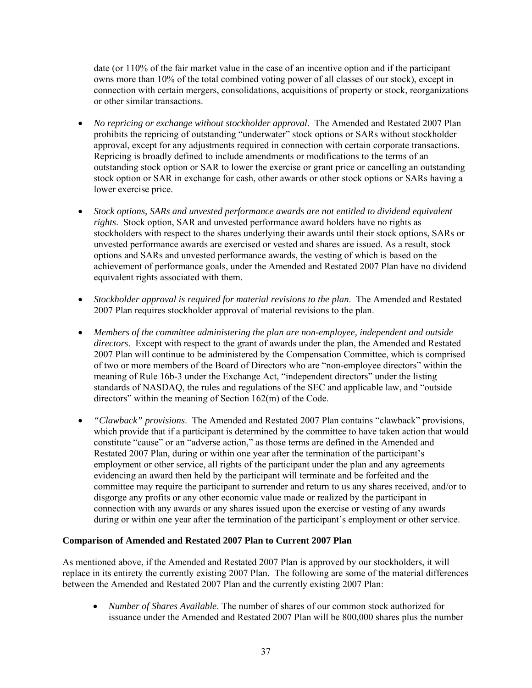date (or 110% of the fair market value in the case of an incentive option and if the participant owns more than 10% of the total combined voting power of all classes of our stock), except in connection with certain mergers, consolidations, acquisitions of property or stock, reorganizations or other similar transactions.

- *No repricing or exchange without stockholder approval*. The Amended and Restated 2007 Plan prohibits the repricing of outstanding "underwater" stock options or SARs without stockholder approval, except for any adjustments required in connection with certain corporate transactions. Repricing is broadly defined to include amendments or modifications to the terms of an outstanding stock option or SAR to lower the exercise or grant price or cancelling an outstanding stock option or SAR in exchange for cash, other awards or other stock options or SARs having a lower exercise price.
- *Stock options, SARs and unvested performance awards are not entitled to dividend equivalent rights*. Stock option, SAR and unvested performance award holders have no rights as stockholders with respect to the shares underlying their awards until their stock options, SARs or unvested performance awards are exercised or vested and shares are issued. As a result, stock options and SARs and unvested performance awards, the vesting of which is based on the achievement of performance goals, under the Amended and Restated 2007 Plan have no dividend equivalent rights associated with them.
- *Stockholder approval is required for material revisions to the plan*. The Amended and Restated 2007 Plan requires stockholder approval of material revisions to the plan.
- *Members of the committee administering the plan are non-employee, independent and outside directors*. Except with respect to the grant of awards under the plan, the Amended and Restated 2007 Plan will continue to be administered by the Compensation Committee, which is comprised of two or more members of the Board of Directors who are "non-employee directors" within the meaning of Rule 16b-3 under the Exchange Act, "independent directors" under the listing standards of NASDAQ, the rules and regulations of the SEC and applicable law, and "outside directors" within the meaning of Section 162(m) of the Code.
- *"Clawback" provisions*. The Amended and Restated 2007 Plan contains "clawback" provisions, which provide that if a participant is determined by the committee to have taken action that would constitute "cause" or an "adverse action," as those terms are defined in the Amended and Restated 2007 Plan, during or within one year after the termination of the participant's employment or other service, all rights of the participant under the plan and any agreements evidencing an award then held by the participant will terminate and be forfeited and the committee may require the participant to surrender and return to us any shares received, and/or to disgorge any profits or any other economic value made or realized by the participant in connection with any awards or any shares issued upon the exercise or vesting of any awards during or within one year after the termination of the participant's employment or other service.

## **Comparison of Amended and Restated 2007 Plan to Current 2007 Plan**

As mentioned above, if the Amended and Restated 2007 Plan is approved by our stockholders, it will replace in its entirety the currently existing 2007 Plan. The following are some of the material differences between the Amended and Restated 2007 Plan and the currently existing 2007 Plan:

 *Number of Shares Available*. The number of shares of our common stock authorized for issuance under the Amended and Restated 2007 Plan will be 800,000 shares plus the number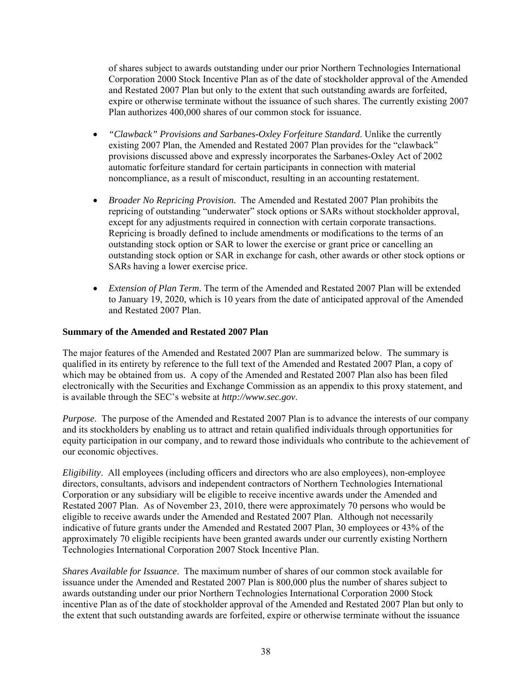of shares subject to awards outstanding under our prior Northern Technologies International Corporation 2000 Stock Incentive Plan as of the date of stockholder approval of the Amended and Restated 2007 Plan but only to the extent that such outstanding awards are forfeited, expire or otherwise terminate without the issuance of such shares. The currently existing 2007 Plan authorizes 400,000 shares of our common stock for issuance.

- *"Clawback" Provisions and Sarbanes-Oxley Forfeiture Standard*. Unlike the currently existing 2007 Plan, the Amended and Restated 2007 Plan provides for the "clawback" provisions discussed above and expressly incorporates the Sarbanes-Oxley Act of 2002 automatic forfeiture standard for certain participants in connection with material noncompliance, as a result of misconduct, resulting in an accounting restatement.
- *Broader No Repricing Provision.* The Amended and Restated 2007 Plan prohibits the repricing of outstanding "underwater" stock options or SARs without stockholder approval, except for any adjustments required in connection with certain corporate transactions. Repricing is broadly defined to include amendments or modifications to the terms of an outstanding stock option or SAR to lower the exercise or grant price or cancelling an outstanding stock option or SAR in exchange for cash, other awards or other stock options or SARs having a lower exercise price.
- *Extension of Plan Term*. The term of the Amended and Restated 2007 Plan will be extended to January 19, 2020, which is 10 years from the date of anticipated approval of the Amended and Restated 2007 Plan.

# **Summary of the Amended and Restated 2007 Plan**

The major features of the Amended and Restated 2007 Plan are summarized below. The summary is qualified in its entirety by reference to the full text of the Amended and Restated 2007 Plan, a copy of which may be obtained from us. A copy of the Amended and Restated 2007 Plan also has been filed electronically with the Securities and Exchange Commission as an appendix to this proxy statement, and is available through the SEC's website at *http://www.sec.gov*.

*Purpose*. The purpose of the Amended and Restated 2007 Plan is to advance the interests of our company and its stockholders by enabling us to attract and retain qualified individuals through opportunities for equity participation in our company, and to reward those individuals who contribute to the achievement of our economic objectives.

*Eligibility*. All employees (including officers and directors who are also employees), non-employee directors, consultants, advisors and independent contractors of Northern Technologies International Corporation or any subsidiary will be eligible to receive incentive awards under the Amended and Restated 2007 Plan. As of November 23, 2010, there were approximately 70 persons who would be eligible to receive awards under the Amended and Restated 2007 Plan. Although not necessarily indicative of future grants under the Amended and Restated 2007 Plan, 30 employees or 43% of the approximately 70 eligible recipients have been granted awards under our currently existing Northern Technologies International Corporation 2007 Stock Incentive Plan.

*Shares Available for Issuance*. The maximum number of shares of our common stock available for issuance under the Amended and Restated 2007 Plan is 800,000 plus the number of shares subject to awards outstanding under our prior Northern Technologies International Corporation 2000 Stock incentive Plan as of the date of stockholder approval of the Amended and Restated 2007 Plan but only to the extent that such outstanding awards are forfeited, expire or otherwise terminate without the issuance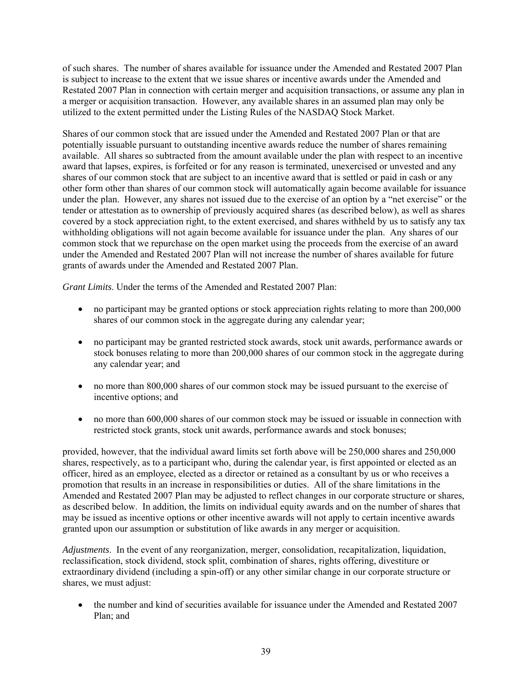of such shares. The number of shares available for issuance under the Amended and Restated 2007 Plan is subject to increase to the extent that we issue shares or incentive awards under the Amended and Restated 2007 Plan in connection with certain merger and acquisition transactions, or assume any plan in a merger or acquisition transaction. However, any available shares in an assumed plan may only be utilized to the extent permitted under the Listing Rules of the NASDAQ Stock Market.

Shares of our common stock that are issued under the Amended and Restated 2007 Plan or that are potentially issuable pursuant to outstanding incentive awards reduce the number of shares remaining available. All shares so subtracted from the amount available under the plan with respect to an incentive award that lapses, expires, is forfeited or for any reason is terminated, unexercised or unvested and any shares of our common stock that are subject to an incentive award that is settled or paid in cash or any other form other than shares of our common stock will automatically again become available for issuance under the plan. However, any shares not issued due to the exercise of an option by a "net exercise" or the tender or attestation as to ownership of previously acquired shares (as described below), as well as shares covered by a stock appreciation right, to the extent exercised, and shares withheld by us to satisfy any tax withholding obligations will not again become available for issuance under the plan. Any shares of our common stock that we repurchase on the open market using the proceeds from the exercise of an award under the Amended and Restated 2007 Plan will not increase the number of shares available for future grants of awards under the Amended and Restated 2007 Plan.

*Grant Limits*. Under the terms of the Amended and Restated 2007 Plan:

- no participant may be granted options or stock appreciation rights relating to more than 200,000 shares of our common stock in the aggregate during any calendar year;
- no participant may be granted restricted stock awards, stock unit awards, performance awards or stock bonuses relating to more than 200,000 shares of our common stock in the aggregate during any calendar year; and
- no more than 800,000 shares of our common stock may be issued pursuant to the exercise of incentive options; and
- no more than 600,000 shares of our common stock may be issued or issuable in connection with restricted stock grants, stock unit awards, performance awards and stock bonuses;

provided, however, that the individual award limits set forth above will be 250,000 shares and 250,000 shares, respectively, as to a participant who, during the calendar year, is first appointed or elected as an officer, hired as an employee, elected as a director or retained as a consultant by us or who receives a promotion that results in an increase in responsibilities or duties. All of the share limitations in the Amended and Restated 2007 Plan may be adjusted to reflect changes in our corporate structure or shares, as described below. In addition, the limits on individual equity awards and on the number of shares that may be issued as incentive options or other incentive awards will not apply to certain incentive awards granted upon our assumption or substitution of like awards in any merger or acquisition.

*Adjustments*. In the event of any reorganization, merger, consolidation, recapitalization, liquidation, reclassification, stock dividend, stock split, combination of shares, rights offering, divestiture or extraordinary dividend (including a spin-off) or any other similar change in our corporate structure or shares, we must adjust:

 the number and kind of securities available for issuance under the Amended and Restated 2007 Plan; and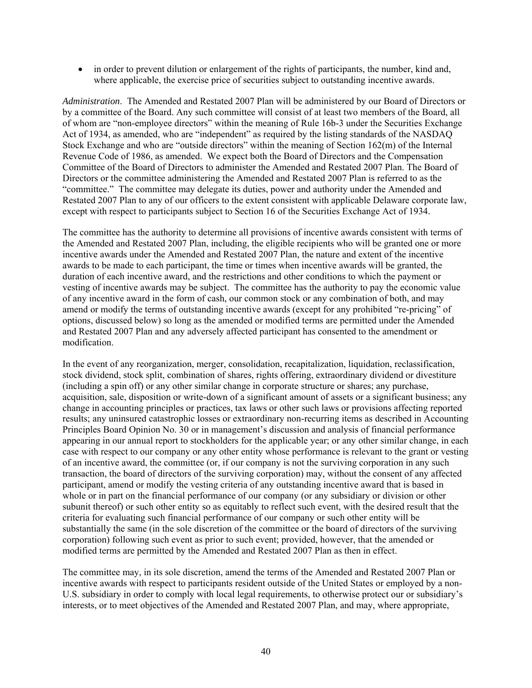in order to prevent dilution or enlargement of the rights of participants, the number, kind and, where applicable, the exercise price of securities subject to outstanding incentive awards.

*Administration*. The Amended and Restated 2007 Plan will be administered by our Board of Directors or by a committee of the Board. Any such committee will consist of at least two members of the Board, all of whom are "non-employee directors" within the meaning of Rule 16b-3 under the Securities Exchange Act of 1934, as amended, who are "independent" as required by the listing standards of the NASDAQ Stock Exchange and who are "outside directors" within the meaning of Section 162(m) of the Internal Revenue Code of 1986, as amended. We expect both the Board of Directors and the Compensation Committee of the Board of Directors to administer the Amended and Restated 2007 Plan. The Board of Directors or the committee administering the Amended and Restated 2007 Plan is referred to as the "committee." The committee may delegate its duties, power and authority under the Amended and Restated 2007 Plan to any of our officers to the extent consistent with applicable Delaware corporate law, except with respect to participants subject to Section 16 of the Securities Exchange Act of 1934.

The committee has the authority to determine all provisions of incentive awards consistent with terms of the Amended and Restated 2007 Plan, including, the eligible recipients who will be granted one or more incentive awards under the Amended and Restated 2007 Plan, the nature and extent of the incentive awards to be made to each participant, the time or times when incentive awards will be granted, the duration of each incentive award, and the restrictions and other conditions to which the payment or vesting of incentive awards may be subject. The committee has the authority to pay the economic value of any incentive award in the form of cash, our common stock or any combination of both, and may amend or modify the terms of outstanding incentive awards (except for any prohibited "re-pricing" of options, discussed below) so long as the amended or modified terms are permitted under the Amended and Restated 2007 Plan and any adversely affected participant has consented to the amendment or modification.

In the event of any reorganization, merger, consolidation, recapitalization, liquidation, reclassification, stock dividend, stock split, combination of shares, rights offering, extraordinary dividend or divestiture (including a spin off) or any other similar change in corporate structure or shares; any purchase, acquisition, sale, disposition or write-down of a significant amount of assets or a significant business; any change in accounting principles or practices, tax laws or other such laws or provisions affecting reported results; any uninsured catastrophic losses or extraordinary non-recurring items as described in Accounting Principles Board Opinion No. 30 or in management's discussion and analysis of financial performance appearing in our annual report to stockholders for the applicable year; or any other similar change, in each case with respect to our company or any other entity whose performance is relevant to the grant or vesting of an incentive award, the committee (or, if our company is not the surviving corporation in any such transaction, the board of directors of the surviving corporation) may, without the consent of any affected participant, amend or modify the vesting criteria of any outstanding incentive award that is based in whole or in part on the financial performance of our company (or any subsidiary or division or other subunit thereof) or such other entity so as equitably to reflect such event, with the desired result that the criteria for evaluating such financial performance of our company or such other entity will be substantially the same (in the sole discretion of the committee or the board of directors of the surviving corporation) following such event as prior to such event; provided, however, that the amended or modified terms are permitted by the Amended and Restated 2007 Plan as then in effect.

The committee may, in its sole discretion, amend the terms of the Amended and Restated 2007 Plan or incentive awards with respect to participants resident outside of the United States or employed by a non-U.S. subsidiary in order to comply with local legal requirements, to otherwise protect our or subsidiary's interests, or to meet objectives of the Amended and Restated 2007 Plan, and may, where appropriate,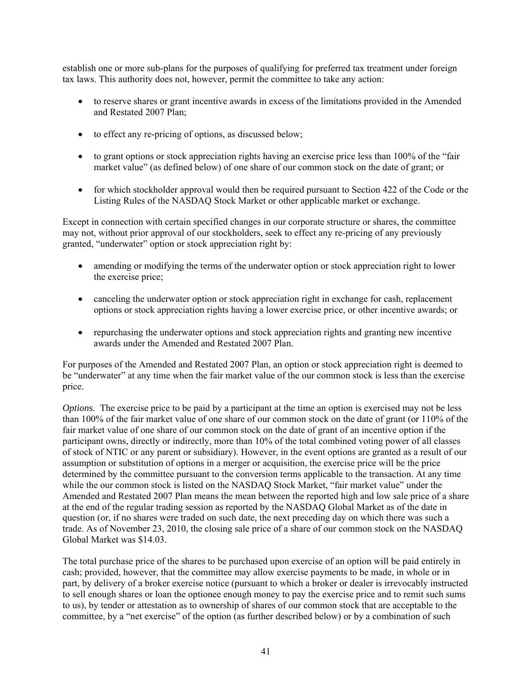establish one or more sub-plans for the purposes of qualifying for preferred tax treatment under foreign tax laws. This authority does not, however, permit the committee to take any action:

- to reserve shares or grant incentive awards in excess of the limitations provided in the Amended and Restated 2007 Plan;
- to effect any re-pricing of options, as discussed below;
- to grant options or stock appreciation rights having an exercise price less than 100% of the "fair" market value" (as defined below) of one share of our common stock on the date of grant; or
- for which stockholder approval would then be required pursuant to Section 422 of the Code or the Listing Rules of the NASDAQ Stock Market or other applicable market or exchange.

Except in connection with certain specified changes in our corporate structure or shares, the committee may not, without prior approval of our stockholders, seek to effect any re-pricing of any previously granted, "underwater" option or stock appreciation right by:

- amending or modifying the terms of the underwater option or stock appreciation right to lower the exercise price;
- canceling the underwater option or stock appreciation right in exchange for cash, replacement options or stock appreciation rights having a lower exercise price, or other incentive awards; or
- repurchasing the underwater options and stock appreciation rights and granting new incentive awards under the Amended and Restated 2007 Plan.

For purposes of the Amended and Restated 2007 Plan, an option or stock appreciation right is deemed to be "underwater" at any time when the fair market value of the our common stock is less than the exercise price.

*Options*. The exercise price to be paid by a participant at the time an option is exercised may not be less than 100% of the fair market value of one share of our common stock on the date of grant (or 110% of the fair market value of one share of our common stock on the date of grant of an incentive option if the participant owns, directly or indirectly, more than 10% of the total combined voting power of all classes of stock of NTIC or any parent or subsidiary). However, in the event options are granted as a result of our assumption or substitution of options in a merger or acquisition, the exercise price will be the price determined by the committee pursuant to the conversion terms applicable to the transaction. At any time while the our common stock is listed on the NASDAQ Stock Market, "fair market value" under the Amended and Restated 2007 Plan means the mean between the reported high and low sale price of a share at the end of the regular trading session as reported by the NASDAQ Global Market as of the date in question (or, if no shares were traded on such date, the next preceding day on which there was such a trade. As of November 23, 2010, the closing sale price of a share of our common stock on the NASDAQ Global Market was \$14.03.

The total purchase price of the shares to be purchased upon exercise of an option will be paid entirely in cash; provided, however, that the committee may allow exercise payments to be made, in whole or in part, by delivery of a broker exercise notice (pursuant to which a broker or dealer is irrevocably instructed to sell enough shares or loan the optionee enough money to pay the exercise price and to remit such sums to us), by tender or attestation as to ownership of shares of our common stock that are acceptable to the committee, by a "net exercise" of the option (as further described below) or by a combination of such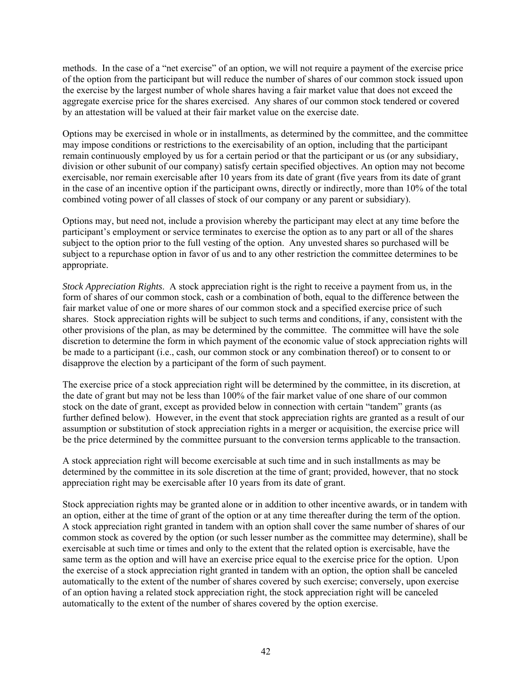methods. In the case of a "net exercise" of an option, we will not require a payment of the exercise price of the option from the participant but will reduce the number of shares of our common stock issued upon the exercise by the largest number of whole shares having a fair market value that does not exceed the aggregate exercise price for the shares exercised. Any shares of our common stock tendered or covered by an attestation will be valued at their fair market value on the exercise date.

Options may be exercised in whole or in installments, as determined by the committee, and the committee may impose conditions or restrictions to the exercisability of an option, including that the participant remain continuously employed by us for a certain period or that the participant or us (or any subsidiary, division or other subunit of our company) satisfy certain specified objectives. An option may not become exercisable, nor remain exercisable after 10 years from its date of grant (five years from its date of grant in the case of an incentive option if the participant owns, directly or indirectly, more than 10% of the total combined voting power of all classes of stock of our company or any parent or subsidiary).

Options may, but need not, include a provision whereby the participant may elect at any time before the participant's employment or service terminates to exercise the option as to any part or all of the shares subject to the option prior to the full vesting of the option. Any unvested shares so purchased will be subject to a repurchase option in favor of us and to any other restriction the committee determines to be appropriate.

*Stock Appreciation Rights*. A stock appreciation right is the right to receive a payment from us, in the form of shares of our common stock, cash or a combination of both, equal to the difference between the fair market value of one or more shares of our common stock and a specified exercise price of such shares. Stock appreciation rights will be subject to such terms and conditions, if any, consistent with the other provisions of the plan, as may be determined by the committee. The committee will have the sole discretion to determine the form in which payment of the economic value of stock appreciation rights will be made to a participant (i.e., cash, our common stock or any combination thereof) or to consent to or disapprove the election by a participant of the form of such payment.

The exercise price of a stock appreciation right will be determined by the committee, in its discretion, at the date of grant but may not be less than 100% of the fair market value of one share of our common stock on the date of grant, except as provided below in connection with certain "tandem" grants (as further defined below). However, in the event that stock appreciation rights are granted as a result of our assumption or substitution of stock appreciation rights in a merger or acquisition, the exercise price will be the price determined by the committee pursuant to the conversion terms applicable to the transaction.

A stock appreciation right will become exercisable at such time and in such installments as may be determined by the committee in its sole discretion at the time of grant; provided, however, that no stock appreciation right may be exercisable after 10 years from its date of grant.

Stock appreciation rights may be granted alone or in addition to other incentive awards, or in tandem with an option, either at the time of grant of the option or at any time thereafter during the term of the option. A stock appreciation right granted in tandem with an option shall cover the same number of shares of our common stock as covered by the option (or such lesser number as the committee may determine), shall be exercisable at such time or times and only to the extent that the related option is exercisable, have the same term as the option and will have an exercise price equal to the exercise price for the option. Upon the exercise of a stock appreciation right granted in tandem with an option, the option shall be canceled automatically to the extent of the number of shares covered by such exercise; conversely, upon exercise of an option having a related stock appreciation right, the stock appreciation right will be canceled automatically to the extent of the number of shares covered by the option exercise.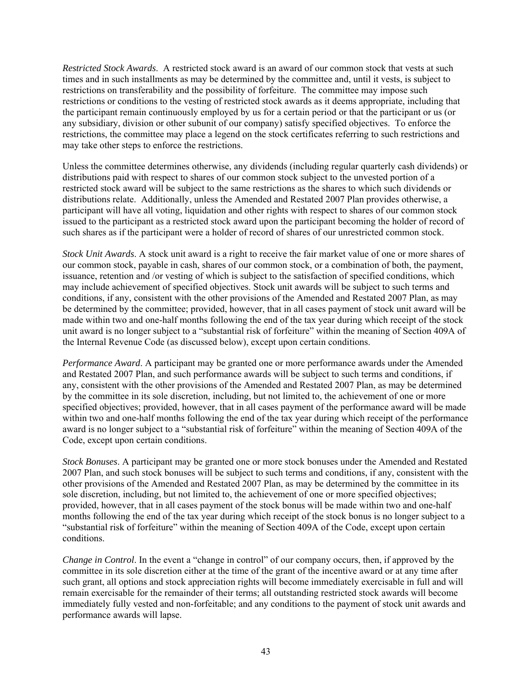*Restricted Stock Awards*. A restricted stock award is an award of our common stock that vests at such times and in such installments as may be determined by the committee and, until it vests, is subject to restrictions on transferability and the possibility of forfeiture. The committee may impose such restrictions or conditions to the vesting of restricted stock awards as it deems appropriate, including that the participant remain continuously employed by us for a certain period or that the participant or us (or any subsidiary, division or other subunit of our company) satisfy specified objectives. To enforce the restrictions, the committee may place a legend on the stock certificates referring to such restrictions and may take other steps to enforce the restrictions.

Unless the committee determines otherwise, any dividends (including regular quarterly cash dividends) or distributions paid with respect to shares of our common stock subject to the unvested portion of a restricted stock award will be subject to the same restrictions as the shares to which such dividends or distributions relate. Additionally, unless the Amended and Restated 2007 Plan provides otherwise, a participant will have all voting, liquidation and other rights with respect to shares of our common stock issued to the participant as a restricted stock award upon the participant becoming the holder of record of such shares as if the participant were a holder of record of shares of our unrestricted common stock.

*Stock Unit Awards*. A stock unit award is a right to receive the fair market value of one or more shares of our common stock, payable in cash, shares of our common stock, or a combination of both, the payment, issuance, retention and /or vesting of which is subject to the satisfaction of specified conditions, which may include achievement of specified objectives. Stock unit awards will be subject to such terms and conditions, if any, consistent with the other provisions of the Amended and Restated 2007 Plan, as may be determined by the committee; provided, however, that in all cases payment of stock unit award will be made within two and one-half months following the end of the tax year during which receipt of the stock unit award is no longer subject to a "substantial risk of forfeiture" within the meaning of Section 409A of the Internal Revenue Code (as discussed below), except upon certain conditions.

*Performance Award*. A participant may be granted one or more performance awards under the Amended and Restated 2007 Plan, and such performance awards will be subject to such terms and conditions, if any, consistent with the other provisions of the Amended and Restated 2007 Plan, as may be determined by the committee in its sole discretion, including, but not limited to, the achievement of one or more specified objectives; provided, however, that in all cases payment of the performance award will be made within two and one-half months following the end of the tax year during which receipt of the performance award is no longer subject to a "substantial risk of forfeiture" within the meaning of Section 409A of the Code, except upon certain conditions.

*Stock Bonuses*. A participant may be granted one or more stock bonuses under the Amended and Restated 2007 Plan, and such stock bonuses will be subject to such terms and conditions, if any, consistent with the other provisions of the Amended and Restated 2007 Plan, as may be determined by the committee in its sole discretion, including, but not limited to, the achievement of one or more specified objectives; provided, however, that in all cases payment of the stock bonus will be made within two and one-half months following the end of the tax year during which receipt of the stock bonus is no longer subject to a "substantial risk of forfeiture" within the meaning of Section 409A of the Code, except upon certain conditions.

*Change in Control*. In the event a "change in control" of our company occurs, then, if approved by the committee in its sole discretion either at the time of the grant of the incentive award or at any time after such grant, all options and stock appreciation rights will become immediately exercisable in full and will remain exercisable for the remainder of their terms; all outstanding restricted stock awards will become immediately fully vested and non-forfeitable; and any conditions to the payment of stock unit awards and performance awards will lapse.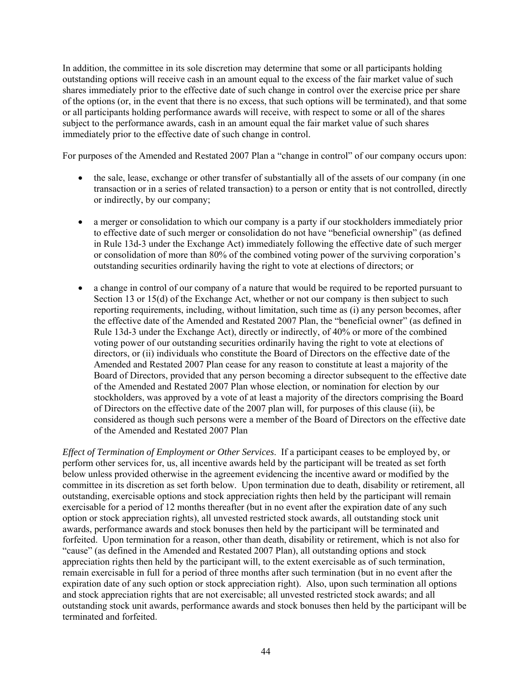In addition, the committee in its sole discretion may determine that some or all participants holding outstanding options will receive cash in an amount equal to the excess of the fair market value of such shares immediately prior to the effective date of such change in control over the exercise price per share of the options (or, in the event that there is no excess, that such options will be terminated), and that some or all participants holding performance awards will receive, with respect to some or all of the shares subject to the performance awards, cash in an amount equal the fair market value of such shares immediately prior to the effective date of such change in control.

For purposes of the Amended and Restated 2007 Plan a "change in control" of our company occurs upon:

- the sale, lease, exchange or other transfer of substantially all of the assets of our company (in one transaction or in a series of related transaction) to a person or entity that is not controlled, directly or indirectly, by our company;
- a merger or consolidation to which our company is a party if our stockholders immediately prior to effective date of such merger or consolidation do not have "beneficial ownership" (as defined in Rule 13d-3 under the Exchange Act) immediately following the effective date of such merger or consolidation of more than 80% of the combined voting power of the surviving corporation's outstanding securities ordinarily having the right to vote at elections of directors; or
- a change in control of our company of a nature that would be required to be reported pursuant to Section 13 or 15(d) of the Exchange Act, whether or not our company is then subject to such reporting requirements, including, without limitation, such time as (i) any person becomes, after the effective date of the Amended and Restated 2007 Plan, the "beneficial owner" (as defined in Rule 13d-3 under the Exchange Act), directly or indirectly, of 40% or more of the combined voting power of our outstanding securities ordinarily having the right to vote at elections of directors, or (ii) individuals who constitute the Board of Directors on the effective date of the Amended and Restated 2007 Plan cease for any reason to constitute at least a majority of the Board of Directors, provided that any person becoming a director subsequent to the effective date of the Amended and Restated 2007 Plan whose election, or nomination for election by our stockholders, was approved by a vote of at least a majority of the directors comprising the Board of Directors on the effective date of the 2007 plan will, for purposes of this clause (ii), be considered as though such persons were a member of the Board of Directors on the effective date of the Amended and Restated 2007 Plan

*Effect of Termination of Employment or Other Services*. If a participant ceases to be employed by, or perform other services for, us, all incentive awards held by the participant will be treated as set forth below unless provided otherwise in the agreement evidencing the incentive award or modified by the committee in its discretion as set forth below. Upon termination due to death, disability or retirement, all outstanding, exercisable options and stock appreciation rights then held by the participant will remain exercisable for a period of 12 months thereafter (but in no event after the expiration date of any such option or stock appreciation rights), all unvested restricted stock awards, all outstanding stock unit awards, performance awards and stock bonuses then held by the participant will be terminated and forfeited. Upon termination for a reason, other than death, disability or retirement, which is not also for "cause" (as defined in the Amended and Restated 2007 Plan), all outstanding options and stock appreciation rights then held by the participant will, to the extent exercisable as of such termination, remain exercisable in full for a period of three months after such termination (but in no event after the expiration date of any such option or stock appreciation right). Also, upon such termination all options and stock appreciation rights that are not exercisable; all unvested restricted stock awards; and all outstanding stock unit awards, performance awards and stock bonuses then held by the participant will be terminated and forfeited.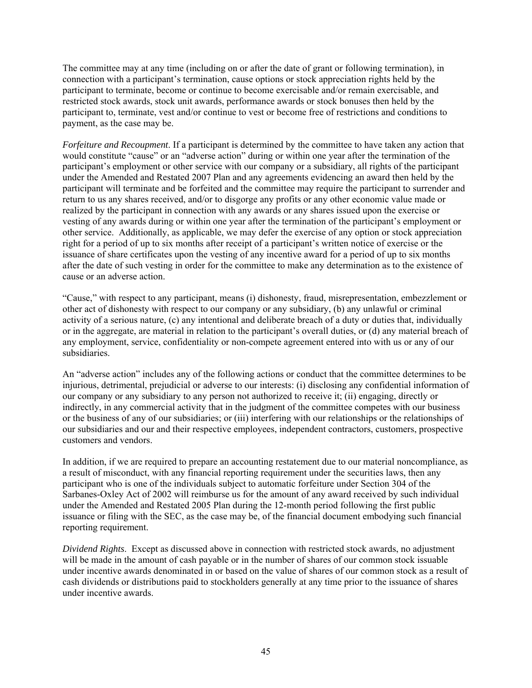The committee may at any time (including on or after the date of grant or following termination), in connection with a participant's termination, cause options or stock appreciation rights held by the participant to terminate, become or continue to become exercisable and/or remain exercisable, and restricted stock awards, stock unit awards, performance awards or stock bonuses then held by the participant to, terminate, vest and/or continue to vest or become free of restrictions and conditions to payment, as the case may be.

*Forfeiture and Recoupment*. If a participant is determined by the committee to have taken any action that would constitute "cause" or an "adverse action" during or within one year after the termination of the participant's employment or other service with our company or a subsidiary, all rights of the participant under the Amended and Restated 2007 Plan and any agreements evidencing an award then held by the participant will terminate and be forfeited and the committee may require the participant to surrender and return to us any shares received, and/or to disgorge any profits or any other economic value made or realized by the participant in connection with any awards or any shares issued upon the exercise or vesting of any awards during or within one year after the termination of the participant's employment or other service. Additionally, as applicable, we may defer the exercise of any option or stock appreciation right for a period of up to six months after receipt of a participant's written notice of exercise or the issuance of share certificates upon the vesting of any incentive award for a period of up to six months after the date of such vesting in order for the committee to make any determination as to the existence of cause or an adverse action.

"Cause," with respect to any participant, means (i) dishonesty, fraud, misrepresentation, embezzlement or other act of dishonesty with respect to our company or any subsidiary, (b) any unlawful or criminal activity of a serious nature, (c) any intentional and deliberate breach of a duty or duties that, individually or in the aggregate, are material in relation to the participant's overall duties, or (d) any material breach of any employment, service, confidentiality or non-compete agreement entered into with us or any of our subsidiaries.

An "adverse action" includes any of the following actions or conduct that the committee determines to be injurious, detrimental, prejudicial or adverse to our interests: (i) disclosing any confidential information of our company or any subsidiary to any person not authorized to receive it; (ii) engaging, directly or indirectly, in any commercial activity that in the judgment of the committee competes with our business or the business of any of our subsidiaries; or (iii) interfering with our relationships or the relationships of our subsidiaries and our and their respective employees, independent contractors, customers, prospective customers and vendors.

In addition, if we are required to prepare an accounting restatement due to our material noncompliance, as a result of misconduct, with any financial reporting requirement under the securities laws, then any participant who is one of the individuals subject to automatic forfeiture under Section 304 of the Sarbanes-Oxley Act of 2002 will reimburse us for the amount of any award received by such individual under the Amended and Restated 2005 Plan during the 12-month period following the first public issuance or filing with the SEC, as the case may be, of the financial document embodying such financial reporting requirement.

*Dividend Rights*. Except as discussed above in connection with restricted stock awards, no adjustment will be made in the amount of cash payable or in the number of shares of our common stock issuable under incentive awards denominated in or based on the value of shares of our common stock as a result of cash dividends or distributions paid to stockholders generally at any time prior to the issuance of shares under incentive awards.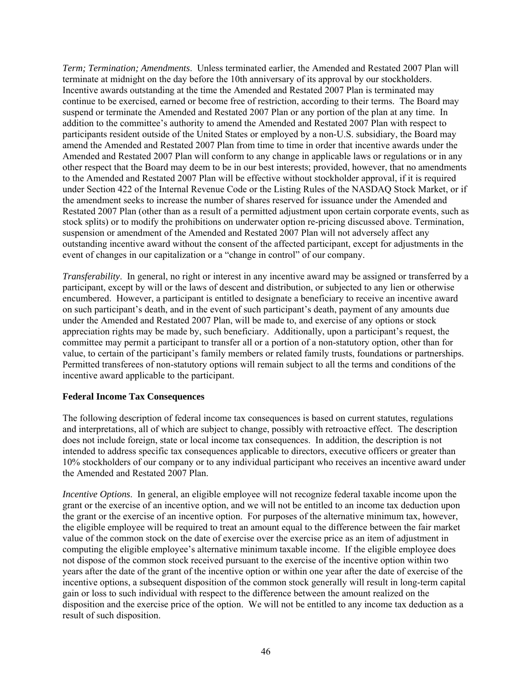*Term; Termination; Amendments*. Unless terminated earlier, the Amended and Restated 2007 Plan will terminate at midnight on the day before the 10th anniversary of its approval by our stockholders. Incentive awards outstanding at the time the Amended and Restated 2007 Plan is terminated may continue to be exercised, earned or become free of restriction, according to their terms. The Board may suspend or terminate the Amended and Restated 2007 Plan or any portion of the plan at any time. In addition to the committee's authority to amend the Amended and Restated 2007 Plan with respect to participants resident outside of the United States or employed by a non-U.S. subsidiary, the Board may amend the Amended and Restated 2007 Plan from time to time in order that incentive awards under the Amended and Restated 2007 Plan will conform to any change in applicable laws or regulations or in any other respect that the Board may deem to be in our best interests; provided, however, that no amendments to the Amended and Restated 2007 Plan will be effective without stockholder approval, if it is required under Section 422 of the Internal Revenue Code or the Listing Rules of the NASDAQ Stock Market, or if the amendment seeks to increase the number of shares reserved for issuance under the Amended and Restated 2007 Plan (other than as a result of a permitted adjustment upon certain corporate events, such as stock splits) or to modify the prohibitions on underwater option re-pricing discussed above. Termination, suspension or amendment of the Amended and Restated 2007 Plan will not adversely affect any outstanding incentive award without the consent of the affected participant, except for adjustments in the event of changes in our capitalization or a "change in control" of our company.

*Transferability*. In general, no right or interest in any incentive award may be assigned or transferred by a participant, except by will or the laws of descent and distribution, or subjected to any lien or otherwise encumbered. However, a participant is entitled to designate a beneficiary to receive an incentive award on such participant's death, and in the event of such participant's death, payment of any amounts due under the Amended and Restated 2007 Plan, will be made to, and exercise of any options or stock appreciation rights may be made by, such beneficiary. Additionally, upon a participant's request, the committee may permit a participant to transfer all or a portion of a non-statutory option, other than for value, to certain of the participant's family members or related family trusts, foundations or partnerships. Permitted transferees of non-statutory options will remain subject to all the terms and conditions of the incentive award applicable to the participant.

## **Federal Income Tax Consequences**

The following description of federal income tax consequences is based on current statutes, regulations and interpretations, all of which are subject to change, possibly with retroactive effect. The description does not include foreign, state or local income tax consequences. In addition, the description is not intended to address specific tax consequences applicable to directors, executive officers or greater than 10% stockholders of our company or to any individual participant who receives an incentive award under the Amended and Restated 2007 Plan.

*Incentive Options.* In general, an eligible employee will not recognize federal taxable income upon the grant or the exercise of an incentive option, and we will not be entitled to an income tax deduction upon the grant or the exercise of an incentive option. For purposes of the alternative minimum tax, however, the eligible employee will be required to treat an amount equal to the difference between the fair market value of the common stock on the date of exercise over the exercise price as an item of adjustment in computing the eligible employee's alternative minimum taxable income. If the eligible employee does not dispose of the common stock received pursuant to the exercise of the incentive option within two years after the date of the grant of the incentive option or within one year after the date of exercise of the incentive options, a subsequent disposition of the common stock generally will result in long-term capital gain or loss to such individual with respect to the difference between the amount realized on the disposition and the exercise price of the option. We will not be entitled to any income tax deduction as a result of such disposition.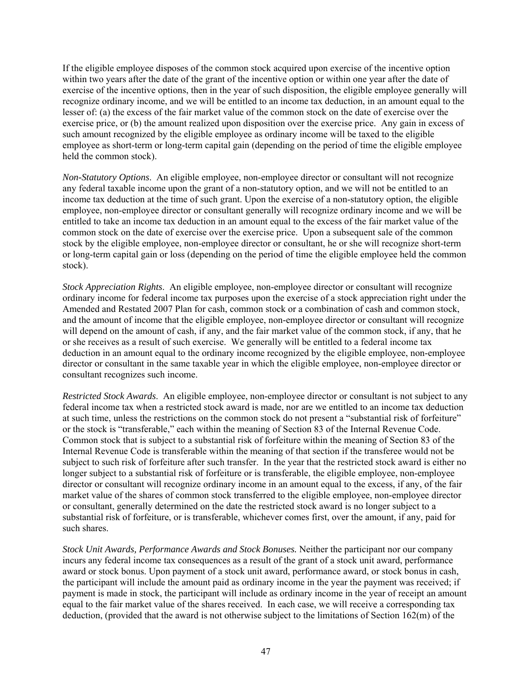If the eligible employee disposes of the common stock acquired upon exercise of the incentive option within two years after the date of the grant of the incentive option or within one year after the date of exercise of the incentive options, then in the year of such disposition, the eligible employee generally will recognize ordinary income, and we will be entitled to an income tax deduction, in an amount equal to the lesser of: (a) the excess of the fair market value of the common stock on the date of exercise over the exercise price, or (b) the amount realized upon disposition over the exercise price. Any gain in excess of such amount recognized by the eligible employee as ordinary income will be taxed to the eligible employee as short-term or long-term capital gain (depending on the period of time the eligible employee held the common stock).

*Non-Statutory Options*. An eligible employee, non-employee director or consultant will not recognize any federal taxable income upon the grant of a non-statutory option, and we will not be entitled to an income tax deduction at the time of such grant. Upon the exercise of a non-statutory option, the eligible employee, non-employee director or consultant generally will recognize ordinary income and we will be entitled to take an income tax deduction in an amount equal to the excess of the fair market value of the common stock on the date of exercise over the exercise price. Upon a subsequent sale of the common stock by the eligible employee, non-employee director or consultant, he or she will recognize short-term or long-term capital gain or loss (depending on the period of time the eligible employee held the common stock).

*Stock Appreciation Rights*. An eligible employee, non-employee director or consultant will recognize ordinary income for federal income tax purposes upon the exercise of a stock appreciation right under the Amended and Restated 2007 Plan for cash, common stock or a combination of cash and common stock, and the amount of income that the eligible employee, non-employee director or consultant will recognize will depend on the amount of cash, if any, and the fair market value of the common stock, if any, that he or she receives as a result of such exercise. We generally will be entitled to a federal income tax deduction in an amount equal to the ordinary income recognized by the eligible employee, non-employee director or consultant in the same taxable year in which the eligible employee, non-employee director or consultant recognizes such income.

*Restricted Stock Awards*. An eligible employee, non-employee director or consultant is not subject to any federal income tax when a restricted stock award is made, nor are we entitled to an income tax deduction at such time, unless the restrictions on the common stock do not present a "substantial risk of forfeiture" or the stock is "transferable," each within the meaning of Section 83 of the Internal Revenue Code. Common stock that is subject to a substantial risk of forfeiture within the meaning of Section 83 of the Internal Revenue Code is transferable within the meaning of that section if the transferee would not be subject to such risk of forfeiture after such transfer. In the year that the restricted stock award is either no longer subject to a substantial risk of forfeiture or is transferable, the eligible employee, non-employee director or consultant will recognize ordinary income in an amount equal to the excess, if any, of the fair market value of the shares of common stock transferred to the eligible employee, non-employee director or consultant, generally determined on the date the restricted stock award is no longer subject to a substantial risk of forfeiture, or is transferable, whichever comes first, over the amount, if any, paid for such shares.

*Stock Unit Awards, Performance Awards and Stock Bonuses.* Neither the participant nor our company incurs any federal income tax consequences as a result of the grant of a stock unit award, performance award or stock bonus. Upon payment of a stock unit award, performance award, or stock bonus in cash, the participant will include the amount paid as ordinary income in the year the payment was received; if payment is made in stock, the participant will include as ordinary income in the year of receipt an amount equal to the fair market value of the shares received. In each case, we will receive a corresponding tax deduction, (provided that the award is not otherwise subject to the limitations of Section 162(m) of the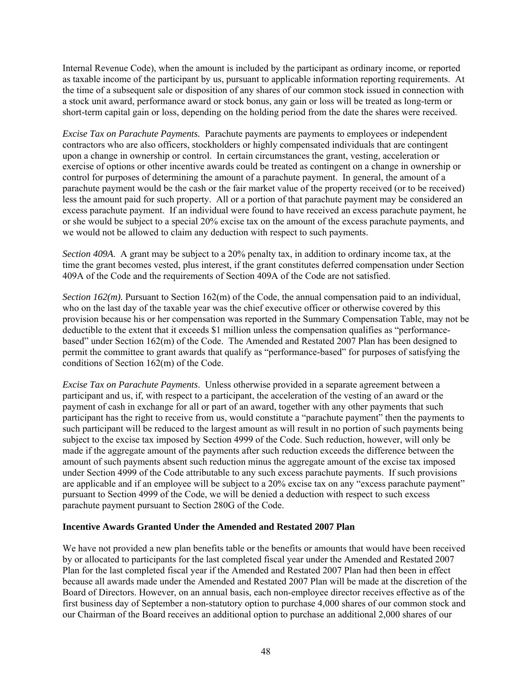Internal Revenue Code), when the amount is included by the participant as ordinary income, or reported as taxable income of the participant by us, pursuant to applicable information reporting requirements. At the time of a subsequent sale or disposition of any shares of our common stock issued in connection with a stock unit award, performance award or stock bonus, any gain or loss will be treated as long-term or short-term capital gain or loss, depending on the holding period from the date the shares were received.

*Excise Tax on Parachute Payments.* Parachute payments are payments to employees or independent contractors who are also officers, stockholders or highly compensated individuals that are contingent upon a change in ownership or control. In certain circumstances the grant, vesting, acceleration or exercise of options or other incentive awards could be treated as contingent on a change in ownership or control for purposes of determining the amount of a parachute payment. In general, the amount of a parachute payment would be the cash or the fair market value of the property received (or to be received) less the amount paid for such property. All or a portion of that parachute payment may be considered an excess parachute payment. If an individual were found to have received an excess parachute payment, he or she would be subject to a special 20% excise tax on the amount of the excess parachute payments, and we would not be allowed to claim any deduction with respect to such payments.

*Section 409A*. A grant may be subject to a 20% penalty tax, in addition to ordinary income tax, at the time the grant becomes vested, plus interest, if the grant constitutes deferred compensation under Section 409A of the Code and the requirements of Section 409A of the Code are not satisfied.

*Section 162(m)*. Pursuant to Section 162(m) of the Code, the annual compensation paid to an individual, who on the last day of the taxable year was the chief executive officer or otherwise covered by this provision because his or her compensation was reported in the Summary Compensation Table, may not be deductible to the extent that it exceeds \$1 million unless the compensation qualifies as "performancebased" under Section 162(m) of the Code. The Amended and Restated 2007 Plan has been designed to permit the committee to grant awards that qualify as "performance-based" for purposes of satisfying the conditions of Section 162(m) of the Code.

*Excise Tax on Parachute Payments*. Unless otherwise provided in a separate agreement between a participant and us, if, with respect to a participant, the acceleration of the vesting of an award or the payment of cash in exchange for all or part of an award, together with any other payments that such participant has the right to receive from us, would constitute a "parachute payment" then the payments to such participant will be reduced to the largest amount as will result in no portion of such payments being subject to the excise tax imposed by Section 4999 of the Code. Such reduction, however, will only be made if the aggregate amount of the payments after such reduction exceeds the difference between the amount of such payments absent such reduction minus the aggregate amount of the excise tax imposed under Section 4999 of the Code attributable to any such excess parachute payments. If such provisions are applicable and if an employee will be subject to a 20% excise tax on any "excess parachute payment" pursuant to Section 4999 of the Code, we will be denied a deduction with respect to such excess parachute payment pursuant to Section 280G of the Code.

## **Incentive Awards Granted Under the Amended and Restated 2007 Plan**

We have not provided a new plan benefits table or the benefits or amounts that would have been received by or allocated to participants for the last completed fiscal year under the Amended and Restated 2007 Plan for the last completed fiscal year if the Amended and Restated 2007 Plan had then been in effect because all awards made under the Amended and Restated 2007 Plan will be made at the discretion of the Board of Directors. However, on an annual basis, each non-employee director receives effective as of the first business day of September a non-statutory option to purchase 4,000 shares of our common stock and our Chairman of the Board receives an additional option to purchase an additional 2,000 shares of our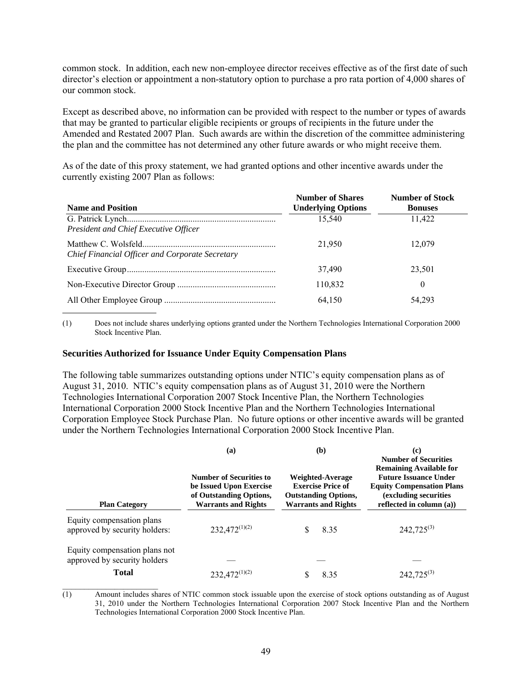common stock. In addition, each new non-employee director receives effective as of the first date of such director's election or appointment a non-statutory option to purchase a pro rata portion of 4,000 shares of our common stock.

Except as described above, no information can be provided with respect to the number or types of awards that may be granted to particular eligible recipients or groups of recipients in the future under the Amended and Restated 2007 Plan. Such awards are within the discretion of the committee administering the plan and the committee has not determined any other future awards or who might receive them.

As of the date of this proxy statement, we had granted options and other incentive awards under the currently existing 2007 Plan as follows:

| <b>Name and Position</b>                        | <b>Number of Shares</b><br><b>Underlying Options</b> | <b>Number of Stock</b><br><b>Bonuses</b> |
|-------------------------------------------------|------------------------------------------------------|------------------------------------------|
| President and Chief Executive Officer           | 15.540                                               | 11.422                                   |
| Chief Financial Officer and Corporate Secretary | 21.950                                               | 12.079                                   |
|                                                 | 37,490                                               | 23,501                                   |
|                                                 | 110,832                                              | 0                                        |
|                                                 | 64.150                                               | 54,293                                   |

(1) Does not include shares underlying options granted under the Northern Technologies International Corporation 2000 Stock Incentive Plan.

#### **Securities Authorized for Issuance Under Equity Compensation Plans**

The following table summarizes outstanding options under NTIC's equity compensation plans as of August 31, 2010. NTIC's equity compensation plans as of August 31, 2010 were the Northern Technologies International Corporation 2007 Stock Incentive Plan, the Northern Technologies International Corporation 2000 Stock Incentive Plan and the Northern Technologies International Corporation Employee Stock Purchase Plan. No future options or other incentive awards will be granted under the Northern Technologies International Corporation 2000 Stock Incentive Plan.

| <b>Plan Category</b>                                                          | (a)<br><b>Number of Securities to</b><br>be Issued Upon Exercise<br>of Outstanding Options,<br><b>Warrants and Rights</b> | (b)<br>Weighted-Average<br><b>Exercise Price of</b><br><b>Outstanding Options,</b><br><b>Warrants and Rights</b> | (c)<br><b>Number of Securities</b><br><b>Remaining Available for</b><br><b>Future Issuance Under</b><br><b>Equity Compensation Plans</b><br>(excluding securities<br>reflected in column $(a)$ ) |
|-------------------------------------------------------------------------------|---------------------------------------------------------------------------------------------------------------------------|------------------------------------------------------------------------------------------------------------------|--------------------------------------------------------------------------------------------------------------------------------------------------------------------------------------------------|
| Equity compensation plans<br>approved by security holders:                    | $232,472^{(1)(2)}$                                                                                                        | 8.35                                                                                                             | $242,725^{(3)}$                                                                                                                                                                                  |
| Equity compensation plans not<br>approved by security holders<br><b>Total</b> | $232,472^{(1)(2)}$                                                                                                        | 8.35                                                                                                             | $242,725^{(3)}$                                                                                                                                                                                  |

(1) Amount includes shares of NTIC common stock issuable upon the exercise of stock options outstanding as of August 31, 2010 under the Northern Technologies International Corporation 2007 Stock Incentive Plan and the Northern Technologies International Corporation 2000 Stock Incentive Plan.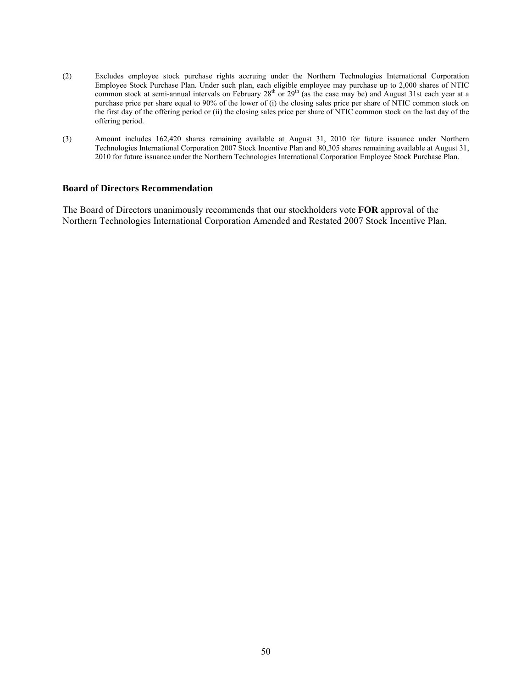- (2) Excludes employee stock purchase rights accruing under the Northern Technologies International Corporation Employee Stock Purchase Plan. Under such plan, each eligible employee may purchase up to 2,000 shares of NTIC common stock at semi-annual intervals on February  $28<sup>th</sup>$  or  $29<sup>th</sup>$  (as the case may be) and August 31st each year at a purchase price per share equal to 90% of the lower of (i) the closing sales price per share of NTIC common stock on the first day of the offering period or (ii) the closing sales price per share of NTIC common stock on the last day of the offering period.
- (3) Amount includes 162,420 shares remaining available at August 31, 2010 for future issuance under Northern Technologies International Corporation 2007 Stock Incentive Plan and 80,305 shares remaining available at August 31, 2010 for future issuance under the Northern Technologies International Corporation Employee Stock Purchase Plan.

#### **Board of Directors Recommendation**

The Board of Directors unanimously recommends that our stockholders vote **FOR** approval of the Northern Technologies International Corporation Amended and Restated 2007 Stock Incentive Plan.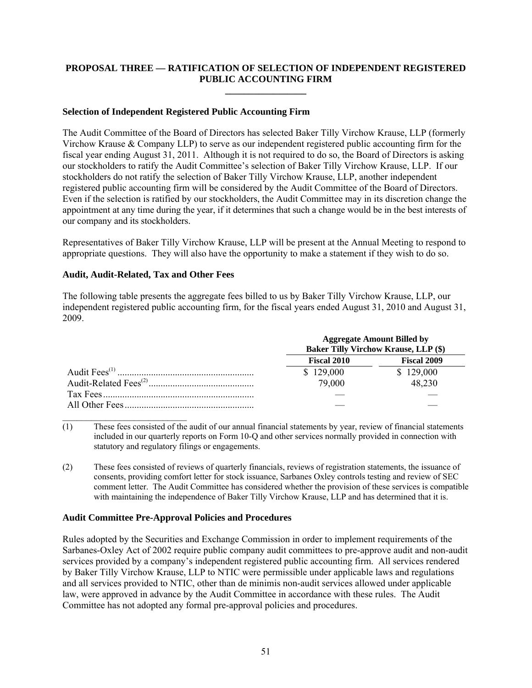## **PROPOSAL THREE — RATIFICATION OF SELECTION OF INDEPENDENT REGISTERED PUBLIC ACCOUNTING FIRM \_\_\_\_\_\_\_\_\_\_\_\_\_\_\_\_\_**

#### **Selection of Independent Registered Public Accounting Firm**

The Audit Committee of the Board of Directors has selected Baker Tilly Virchow Krause, LLP (formerly Virchow Krause & Company LLP) to serve as our independent registered public accounting firm for the fiscal year ending August 31, 2011. Although it is not required to do so, the Board of Directors is asking our stockholders to ratify the Audit Committee's selection of Baker Tilly Virchow Krause, LLP. If our stockholders do not ratify the selection of Baker Tilly Virchow Krause, LLP, another independent registered public accounting firm will be considered by the Audit Committee of the Board of Directors. Even if the selection is ratified by our stockholders, the Audit Committee may in its discretion change the appointment at any time during the year, if it determines that such a change would be in the best interests of our company and its stockholders.

Representatives of Baker Tilly Virchow Krause, LLP will be present at the Annual Meeting to respond to appropriate questions. They will also have the opportunity to make a statement if they wish to do so.

## **Audit, Audit-Related, Tax and Other Fees**

 $\mathcal{L}_\text{max}$ 

The following table presents the aggregate fees billed to us by Baker Tilly Virchow Krause, LLP, our independent registered public accounting firm, for the fiscal years ended August 31, 2010 and August 31, 2009.

| <b>Aggregate Amount Billed by</b><br><b>Baker Tilly Virchow Krause, LLP (\$)</b> |                    |  |
|----------------------------------------------------------------------------------|--------------------|--|
| <b>Fiscal 2010</b>                                                               | <b>Fiscal 2009</b> |  |
| \$129,000                                                                        | \$129,000          |  |
| 79,000                                                                           | 48,230             |  |
|                                                                                  |                    |  |
|                                                                                  |                    |  |

 $(1)$  These fees consisted of the audit of our annual financial statements by year, review of financial statements included in our quarterly reports on Form 10-Q and other services normally provided in connection with statutory and regulatory filings or engagements.

(2) These fees consisted of reviews of quarterly financials, reviews of registration statements, the issuance of consents, providing comfort letter for stock issuance, Sarbanes Oxley controls testing and review of SEC comment letter. The Audit Committee has considered whether the provision of these services is compatible with maintaining the independence of Baker Tilly Virchow Krause, LLP and has determined that it is.

#### **Audit Committee Pre-Approval Policies and Procedures**

Rules adopted by the Securities and Exchange Commission in order to implement requirements of the Sarbanes-Oxley Act of 2002 require public company audit committees to pre-approve audit and non-audit services provided by a company's independent registered public accounting firm. All services rendered by Baker Tilly Virchow Krause, LLP to NTIC were permissible under applicable laws and regulations and all services provided to NTIC, other than de minimis non-audit services allowed under applicable law, were approved in advance by the Audit Committee in accordance with these rules. The Audit Committee has not adopted any formal pre-approval policies and procedures.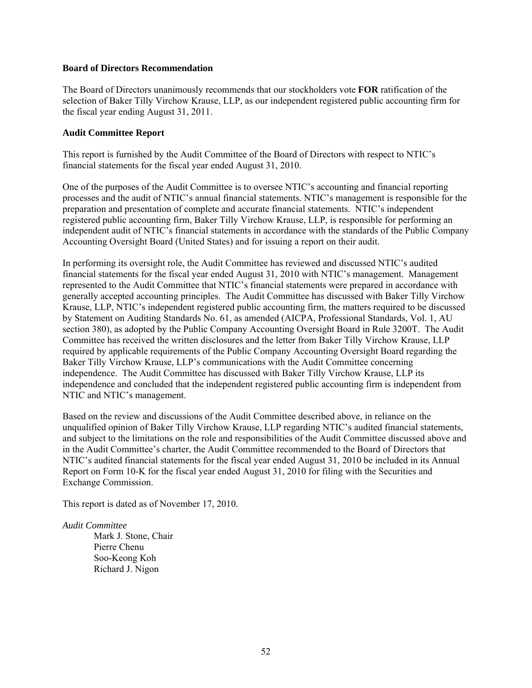#### **Board of Directors Recommendation**

The Board of Directors unanimously recommends that our stockholders vote **FOR** ratification of the selection of Baker Tilly Virchow Krause, LLP, as our independent registered public accounting firm for the fiscal year ending August 31, 2011.

#### **Audit Committee Report**

This report is furnished by the Audit Committee of the Board of Directors with respect to NTIC's financial statements for the fiscal year ended August 31, 2010.

One of the purposes of the Audit Committee is to oversee NTIC's accounting and financial reporting processes and the audit of NTIC's annual financial statements. NTIC's management is responsible for the preparation and presentation of complete and accurate financial statements. NTIC's independent registered public accounting firm, Baker Tilly Virchow Krause, LLP, is responsible for performing an independent audit of NTIC's financial statements in accordance with the standards of the Public Company Accounting Oversight Board (United States) and for issuing a report on their audit.

In performing its oversight role, the Audit Committee has reviewed and discussed NTIC's audited financial statements for the fiscal year ended August 31, 2010 with NTIC's management. Management represented to the Audit Committee that NTIC's financial statements were prepared in accordance with generally accepted accounting principles. The Audit Committee has discussed with Baker Tilly Virchow Krause, LLP, NTIC's independent registered public accounting firm, the matters required to be discussed by Statement on Auditing Standards No. 61, as amended (AICPA, Professional Standards, Vol. 1, AU section 380), as adopted by the Public Company Accounting Oversight Board in Rule 3200T. The Audit Committee has received the written disclosures and the letter from Baker Tilly Virchow Krause, LLP required by applicable requirements of the Public Company Accounting Oversight Board regarding the Baker Tilly Virchow Krause, LLP's communications with the Audit Committee concerning independence. The Audit Committee has discussed with Baker Tilly Virchow Krause, LLP its independence and concluded that the independent registered public accounting firm is independent from NTIC and NTIC's management.

Based on the review and discussions of the Audit Committee described above, in reliance on the unqualified opinion of Baker Tilly Virchow Krause, LLP regarding NTIC's audited financial statements, and subject to the limitations on the role and responsibilities of the Audit Committee discussed above and in the Audit Committee's charter, the Audit Committee recommended to the Board of Directors that NTIC's audited financial statements for the fiscal year ended August 31, 2010 be included in its Annual Report on Form 10-K for the fiscal year ended August 31, 2010 for filing with the Securities and Exchange Commission.

This report is dated as of November 17, 2010.

#### *Audit Committee*

Mark J. Stone, Chair Pierre Chenu Soo-Keong Koh Richard J. Nigon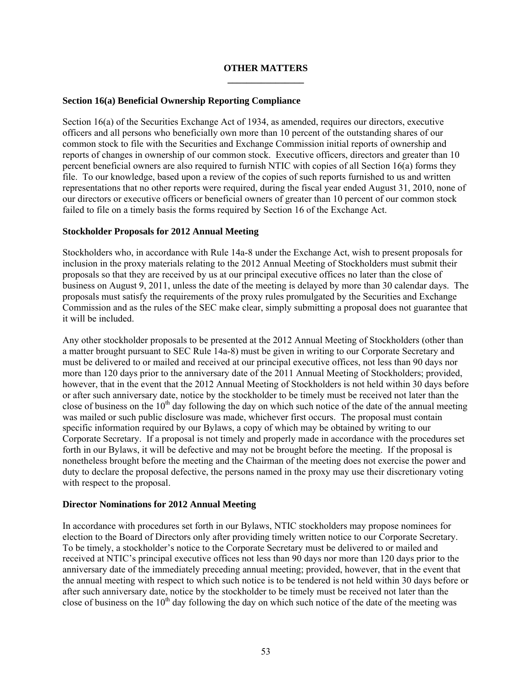## **OTHER MATTERS \_\_\_\_\_\_\_\_\_\_\_\_\_\_\_\_**

## **Section 16(a) Beneficial Ownership Reporting Compliance**

Section 16(a) of the Securities Exchange Act of 1934, as amended, requires our directors, executive officers and all persons who beneficially own more than 10 percent of the outstanding shares of our common stock to file with the Securities and Exchange Commission initial reports of ownership and reports of changes in ownership of our common stock. Executive officers, directors and greater than 10 percent beneficial owners are also required to furnish NTIC with copies of all Section 16(a) forms they file. To our knowledge, based upon a review of the copies of such reports furnished to us and written representations that no other reports were required, during the fiscal year ended August 31, 2010, none of our directors or executive officers or beneficial owners of greater than 10 percent of our common stock failed to file on a timely basis the forms required by Section 16 of the Exchange Act.

## **Stockholder Proposals for 2012 Annual Meeting**

Stockholders who, in accordance with Rule 14a-8 under the Exchange Act, wish to present proposals for inclusion in the proxy materials relating to the 2012 Annual Meeting of Stockholders must submit their proposals so that they are received by us at our principal executive offices no later than the close of business on August 9, 2011, unless the date of the meeting is delayed by more than 30 calendar days. The proposals must satisfy the requirements of the proxy rules promulgated by the Securities and Exchange Commission and as the rules of the SEC make clear, simply submitting a proposal does not guarantee that it will be included.

Any other stockholder proposals to be presented at the 2012 Annual Meeting of Stockholders (other than a matter brought pursuant to SEC Rule 14a-8) must be given in writing to our Corporate Secretary and must be delivered to or mailed and received at our principal executive offices, not less than 90 days nor more than 120 days prior to the anniversary date of the 2011 Annual Meeting of Stockholders; provided, however, that in the event that the 2012 Annual Meeting of Stockholders is not held within 30 days before or after such anniversary date, notice by the stockholder to be timely must be received not later than the close of business on the  $10<sup>th</sup>$  day following the day on which such notice of the date of the annual meeting was mailed or such public disclosure was made, whichever first occurs. The proposal must contain specific information required by our Bylaws, a copy of which may be obtained by writing to our Corporate Secretary. If a proposal is not timely and properly made in accordance with the procedures set forth in our Bylaws, it will be defective and may not be brought before the meeting. If the proposal is nonetheless brought before the meeting and the Chairman of the meeting does not exercise the power and duty to declare the proposal defective, the persons named in the proxy may use their discretionary voting with respect to the proposal.

## **Director Nominations for 2012 Annual Meeting**

In accordance with procedures set forth in our Bylaws, NTIC stockholders may propose nominees for election to the Board of Directors only after providing timely written notice to our Corporate Secretary. To be timely, a stockholder's notice to the Corporate Secretary must be delivered to or mailed and received at NTIC's principal executive offices not less than 90 days nor more than 120 days prior to the anniversary date of the immediately preceding annual meeting; provided, however, that in the event that the annual meeting with respect to which such notice is to be tendered is not held within 30 days before or after such anniversary date, notice by the stockholder to be timely must be received not later than the close of business on the  $10<sup>th</sup>$  day following the day on which such notice of the date of the meeting was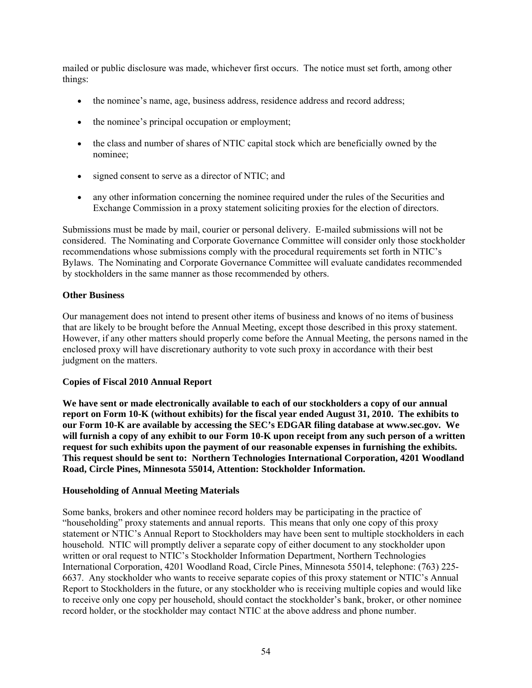mailed or public disclosure was made, whichever first occurs. The notice must set forth, among other things:

- the nominee's name, age, business address, residence address and record address;
- the nominee's principal occupation or employment;
- the class and number of shares of NTIC capital stock which are beneficially owned by the nominee;
- signed consent to serve as a director of NTIC; and
- any other information concerning the nominee required under the rules of the Securities and Exchange Commission in a proxy statement soliciting proxies for the election of directors.

Submissions must be made by mail, courier or personal delivery. E-mailed submissions will not be considered. The Nominating and Corporate Governance Committee will consider only those stockholder recommendations whose submissions comply with the procedural requirements set forth in NTIC's Bylaws. The Nominating and Corporate Governance Committee will evaluate candidates recommended by stockholders in the same manner as those recommended by others.

## **Other Business**

Our management does not intend to present other items of business and knows of no items of business that are likely to be brought before the Annual Meeting, except those described in this proxy statement. However, if any other matters should properly come before the Annual Meeting, the persons named in the enclosed proxy will have discretionary authority to vote such proxy in accordance with their best judgment on the matters.

## **Copies of Fiscal 2010 Annual Report**

**We have sent or made electronically available to each of our stockholders a copy of our annual report on Form 10-K (without exhibits) for the fiscal year ended August 31, 2010. The exhibits to our Form 10-K are available by accessing the SEC's EDGAR filing database at www.sec.gov. We will furnish a copy of any exhibit to our Form 10-K upon receipt from any such person of a written request for such exhibits upon the payment of our reasonable expenses in furnishing the exhibits. This request should be sent to: Northern Technologies International Corporation, 4201 Woodland Road, Circle Pines, Minnesota 55014, Attention: Stockholder Information.** 

## **Householding of Annual Meeting Materials**

Some banks, brokers and other nominee record holders may be participating in the practice of "householding" proxy statements and annual reports. This means that only one copy of this proxy statement or NTIC's Annual Report to Stockholders may have been sent to multiple stockholders in each household. NTIC will promptly deliver a separate copy of either document to any stockholder upon written or oral request to NTIC's Stockholder Information Department, Northern Technologies International Corporation, 4201 Woodland Road, Circle Pines, Minnesota 55014, telephone: (763) 225- 6637. Any stockholder who wants to receive separate copies of this proxy statement or NTIC's Annual Report to Stockholders in the future, or any stockholder who is receiving multiple copies and would like to receive only one copy per household, should contact the stockholder's bank, broker, or other nominee record holder, or the stockholder may contact NTIC at the above address and phone number.